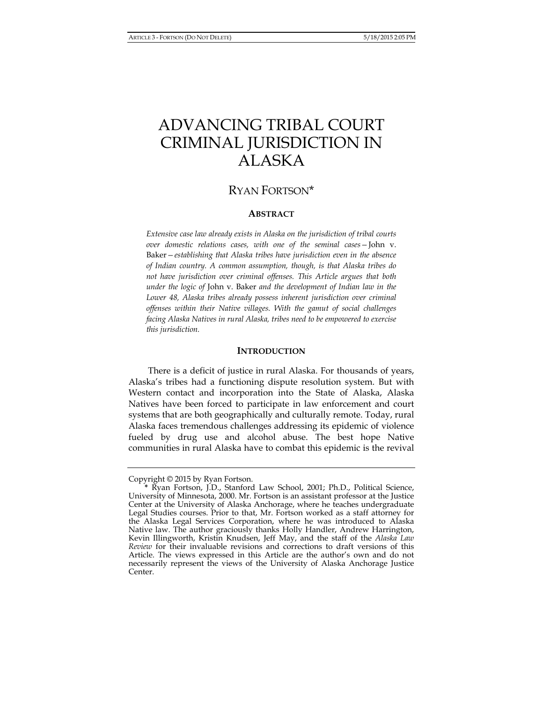# ADVANCING TRIBAL COURT CRIMINAL JURISDICTION IN ALASKA

## RYAN FORTSON\*

## **ABSTRACT**

*Extensive case law already exists in Alaska on the jurisdiction of tribal courts over domestic relations cases, with one of the seminal cases—*John v. Baker*—establishing that Alaska tribes have jurisdiction even in the absence of Indian country. A common assumption, though, is that Alaska tribes do not have jurisdiction over criminal offenses. This Article argues that both under the logic of* John v. Baker *and the development of Indian law in the*  Lower 48, Alaska tribes already possess inherent jurisdiction over criminal *offenses within their Native villages. With the gamut of social challenges facing Alaska Natives in rural Alaska, tribes need to be empowered to exercise this jurisdiction.* 

#### **INTRODUCTION**

There is a deficit of justice in rural Alaska. For thousands of years, Alaska's tribes had a functioning dispute resolution system. But with Western contact and incorporation into the State of Alaska, Alaska Natives have been forced to participate in law enforcement and court systems that are both geographically and culturally remote. Today, rural Alaska faces tremendous challenges addressing its epidemic of violence fueled by drug use and alcohol abuse. The best hope Native communities in rural Alaska have to combat this epidemic is the revival

Copyright © 2015 by Ryan Fortson.

**<sup>\*</sup>** Ryan Fortson, J.D., Stanford Law School, 2001; Ph.D., Political Science, University of Minnesota, 2000. Mr. Fortson is an assistant professor at the Justice Center at the University of Alaska Anchorage, where he teaches undergraduate Legal Studies courses. Prior to that, Mr. Fortson worked as a staff attorney for the Alaska Legal Services Corporation, where he was introduced to Alaska Native law. The author graciously thanks Holly Handler, Andrew Harrington, Kevin Illingworth, Kristin Knudsen, Jeff May, and the staff of the *Alaska Law Review* for their invaluable revisions and corrections to draft versions of this Article. The views expressed in this Article are the author's own and do not necessarily represent the views of the University of Alaska Anchorage Justice Center.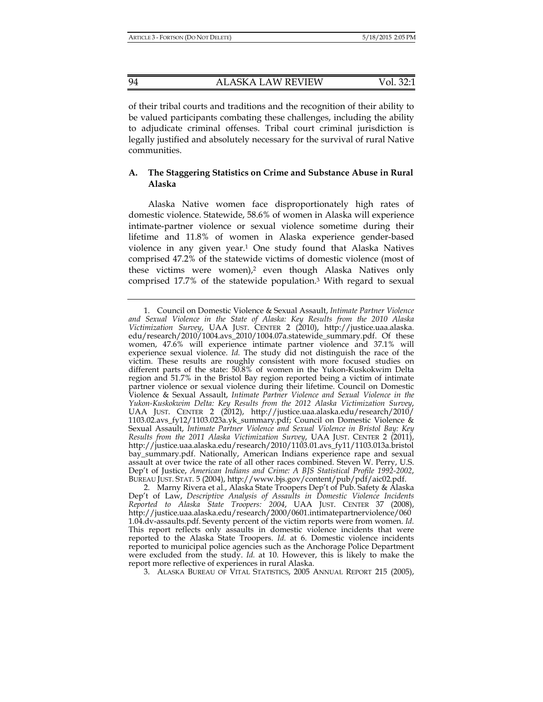of their tribal courts and traditions and the recognition of their ability to be valued participants combating these challenges, including the ability to adjudicate criminal offenses. Tribal court criminal jurisdiction is legally justified and absolutely necessary for the survival of rural Native communities.

## **A. The Staggering Statistics on Crime and Substance Abuse in Rural Alaska**

Alaska Native women face disproportionately high rates of domestic violence. Statewide, 58.6% of women in Alaska will experience intimate-partner violence or sexual violence sometime during their lifetime and 11.8% of women in Alaska experience gender-based violence in any given year.1 One study found that Alaska Natives comprised 47.2% of the statewide victims of domestic violence (most of these victims were women),<sup>2</sup> even though Alaska Natives only comprised 17.7% of the statewide population.3 With regard to sexual

 <sup>1.</sup> Council on Domestic Violence & Sexual Assault, *Intimate Partner Violence and Sexual Violence in the State of Alaska: Key Results from the 2010 Alaska Victimization Survey*, UAA JUST. CENTER 2 (2010), http://justice.uaa.alaska. edu/research/2010/1004.avs\_2010/1004.07a.statewide\_summary.pdf. Of these women, 47.6% will experience intimate partner violence and 37.1% will experience sexual violence. *Id.* The study did not distinguish the race of the victim. These results are roughly consistent with more focused studies on different parts of the state: 50.8% of women in the Yukon-Kuskokwim Delta region and 51.7% in the Bristol Bay region reported being a victim of intimate partner violence or sexual violence during their lifetime. Council on Domestic Violence & Sexual Assault, *Intimate Partner Violence and Sexual Violence in the Yukon-Kuskokwim Delta: Key Results from the 2012 Alaska Victimization Survey*, UAA JUST. CENTER 2 (2012), http://justice.uaa.alaska.edu/research/2010/ 1103.02.avs\_fy12/1103.023a.yk\_summary.pdf; Council on Domestic Violence & Sexual Assault, *Intimate Partner Violence and Sexual Violence in Bristol Bay: Key Results from the 2011 Alaska Victimization Survey*, UAA JUST. CENTER 2 (2011), http://justice.uaa.alaska.edu/research/2010/1103.01.avs\_fy11/1103.013a.bristol bay\_summary.pdf. Nationally, American Indians experience rape and sexual assault at over twice the rate of all other races combined. Steven W. Perry, U.S. Dep't of Justice, *American Indians and Crime: A BJS Statistical Profile 1992-2002*, BUREAU JUST. STAT. 5 (2004), http://www.bjs.gov/content/pub/pdf/aic02.pdf.

 <sup>2.</sup> Marny Rivera et al., Alaska State Troopers Dep't of Pub. Safety & Alaska Dep't of Law, *Descriptive Analysis of Assaults in Domestic Violence Incidents Reported to Alaska State Troopers: 2004*, UAA JUST. CENTER 37 (2008), http://justice.uaa.alaska.edu/research/2000/0601.intimatepartnerviolence/060 1.04.dv-assaults.pdf. Seventy percent of the victim reports were from women. *Id.*  This report reflects only assaults in domestic violence incidents that were reported to the Alaska State Troopers. *Id.* at 6. Domestic violence incidents reported to municipal police agencies such as the Anchorage Police Department were excluded from the study. *Id.* at 10. However, this is likely to make the report more reflective of experiences in rural Alaska.

 <sup>3.</sup> ALASKA BUREAU OF VITAL STATISTICS, 2005 ANNUAL REPORT 215 (2005),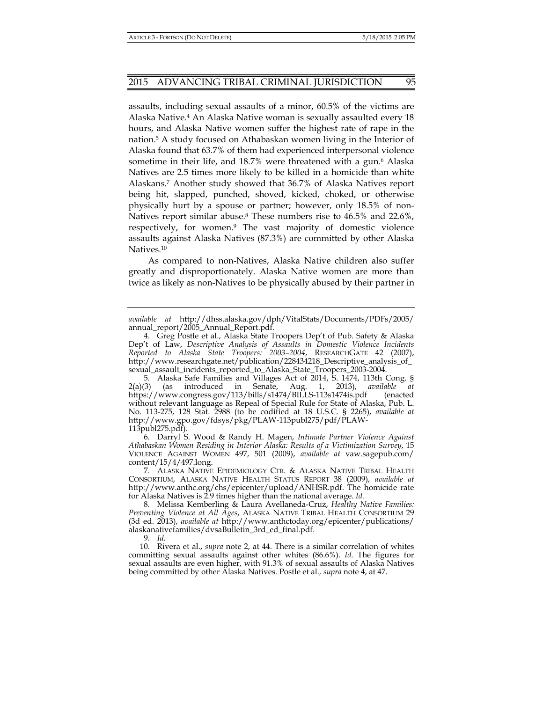assaults, including sexual assaults of a minor, 60.5% of the victims are Alaska Native.4 An Alaska Native woman is sexually assaulted every 18 hours, and Alaska Native women suffer the highest rate of rape in the nation.5 A study focused on Athabaskan women living in the Interior of Alaska found that 63.7% of them had experienced interpersonal violence sometime in their life, and 18.7% were threatened with a gun.<sup>6</sup> Alaska Natives are 2.5 times more likely to be killed in a homicide than white Alaskans.7 Another study showed that 36.7% of Alaska Natives report being hit, slapped, punched, shoved, kicked, choked, or otherwise physically hurt by a spouse or partner; however, only 18.5% of non-Natives report similar abuse.8 These numbers rise to 46.5% and 22.6%, respectively, for women.9 The vast majority of domestic violence assaults against Alaska Natives (87.3%) are committed by other Alaska Natives.10

As compared to non-Natives, Alaska Native children also suffer greatly and disproportionately. Alaska Native women are more than twice as likely as non-Natives to be physically abused by their partner in

5. Alaska Safe Families and Villages Act of 2014, S. 1474, 113th Cong. § (3) (as introduced in Senate, Aug. 1, 2013), *available at* 2(a)(3) (as introduced in Senate, Aug. 1, 2013), *available at*  https://www.congress.gov/113/bills/s1474/BILLS-113s1474is.pdf (enacted without relevant language as Repeal of Special Rule for State of Alaska, Pub. L. No. 113-275, 128 Stat. 2988 (to be codified at 18 U.S.C. § 2265), *available at*  http://www.gpo.gov/fdsys/pkg/PLAW-113publ275/pdf/PLAW-113publ275.pdf).

 6. Darryl S. Wood & Randy H. Magen, *Intimate Partner Violence Against Athabaskan Women Residing in Interior Alaska: Results of a Victimization Survey*, 15 VIOLENCE AGAINST WOMEN 497, 501 (2009), *available at* vaw.sagepub.com/ content/15/4/497.long.

 7. ALASKA NATIVE EPIDEMIOLOGY CTR. & ALASKA NATIVE TRIBAL HEALTH CONSORTIUM, ALASKA NATIVE HEALTH STATUS REPORT 38 (2009), *available at*  http://www.anthc.org/chs/epicenter/upload/ANHSR.pdf. The homicide rate for Alaska Natives is 2.9 times higher than the national average. *Id.*

 8. Melissa Kemberling & Laura Avellaneda-Cruz, *Healthy Native Families: Preventing Violence at All Ages*, ALASKA NATIVE TRIBAL HEALTH CONSORTIUM 29 (3d ed. 2013), *available at* http://www.anthctoday.org/epicenter/publications/ alaskanativefamilies/dvsaBulletin\_3rd\_ed\_final.pdf.

9. *Id.* 

 10. Rivera et al., *supra* note 2, at 44. There is a similar correlation of whites committing sexual assaults against other whites (86.6%). *Id.* The figures for sexual assaults are even higher, with 91.3% of sexual assaults of Alaska Natives being committed by other Alaska Natives. Postle et al*., supra* note 4, at 47.

*available at* http://dhss.alaska.gov/dph/VitalStats/Documents/PDFs/2005/ annual\_report/2005\_Annual\_Report.pdf.

 <sup>4.</sup> Greg Postle et al., Alaska State Troopers Dep't of Pub. Safety & Alaska Dep't of Law, *Descriptive Analysis of Assaults in Domestic Violence Incidents Reported to Alaska State Troopers: 2003–2004*, RESEARCHGATE 42 (2007), http://www.researchgate.net/publication/228434218\_Descriptive\_analysis\_of\_ sexual\_assault\_incidents\_reported\_to\_Alaska\_State\_Troopers\_2003-2004.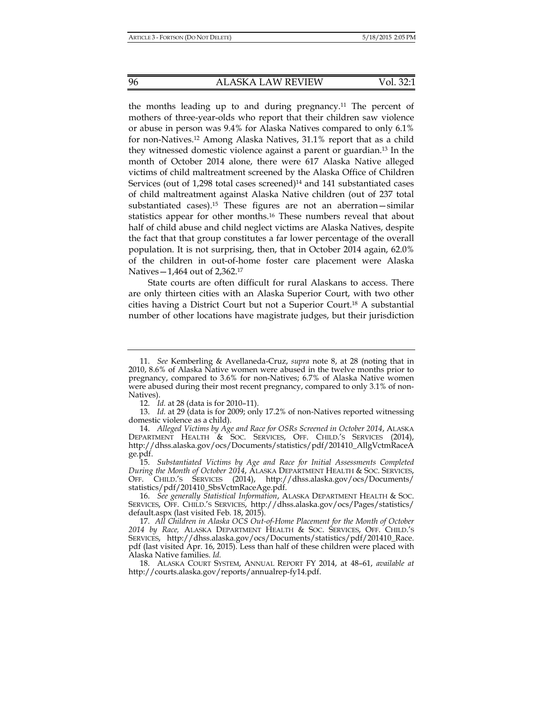the months leading up to and during pregnancy.11 The percent of mothers of three-year-olds who report that their children saw violence or abuse in person was 9.4% for Alaska Natives compared to only 6.1% for non-Natives.12 Among Alaska Natives, 31.1% report that as a child they witnessed domestic violence against a parent or guardian.13 In the month of October 2014 alone, there were 617 Alaska Native alleged victims of child maltreatment screened by the Alaska Office of Children Services (out of  $1,298$  total cases screened)<sup>14</sup> and 141 substantiated cases of child maltreatment against Alaska Native children (out of 237 total substantiated cases).15 These figures are not an aberration—similar statistics appear for other months.16 These numbers reveal that about half of child abuse and child neglect victims are Alaska Natives, despite the fact that that group constitutes a far lower percentage of the overall population. It is not surprising, then, that in October 2014 again, 62.0% of the children in out-of-home foster care placement were Alaska Natives—1,464 out of 2,362.17

State courts are often difficult for rural Alaskans to access. There are only thirteen cities with an Alaska Superior Court, with two other cities having a District Court but not a Superior Court.18 A substantial number of other locations have magistrate judges, but their jurisdiction

 <sup>11.</sup> *See* Kemberling & Avellaneda-Cruz, *supra* note 8, at 28 (noting that in 2010, 8.6% of Alaska Native women were abused in the twelve months prior to pregnancy, compared to 3.6% for non-Natives; 6.7% of Alaska Native women were abused during their most recent pregnancy, compared to only 3.1% of non-Natives).

 <sup>12.</sup> *Id.* at 28 (data is for 2010–11).

 <sup>13.</sup> *Id.* at 29 (data is for 2009; only 17.2% of non-Natives reported witnessing domestic violence as a child).

 <sup>14.</sup> *Alleged Victims by Age and Race for OSRs Screened in October 2014*, ALASKA DEPARTMENT HEALTH & SOC. SERVICES, OFF. CHILD.'S SERVICES (2014), http://dhss.alaska.gov/ocs/Documents/statistics/pdf/201410\_AllgVctmRaceA ge.pdf.

 <sup>15.</sup> *Substantiated Victims by Age and Race for Initial Assessments Completed During the Month of October 2014*, ALASKA DEPARTMENT HEALTH & SOC. SERVICES, OFF. CHILD.'S SERVICES (2014), http://dhss.alaska.gov/ocs/Documents/ statistics/pdf/201410\_SbsVctmRaceAge.pdf.

 <sup>16.</sup> *See generally Statistical Information*, ALASKA DEPARTMENT HEALTH & SOC. SERVICES, OFF. CHILD.'S SERVICES, http://dhss.alaska.gov/ocs/Pages/statistics/ default.aspx (last visited Feb. 18, 2015).

 <sup>17.</sup> *All Children in Alaska OCS Out-of-Home Placement for the Month of October 2014 by Race,* ALASKA DEPARTMENT HEALTH & SOC. SERVICES, OFF. CHILD.'S SERVICES, http://dhss.alaska.gov/ocs/Documents/statistics/pdf/201410\_Race. pdf (last visited Apr. 16, 2015). Less than half of these children were placed with Alaska Native families. *Id.* 

 <sup>18.</sup> ALASKA COURT SYSTEM, ANNUAL REPORT FY 2014, at 48–61, *available at* http://courts.alaska.gov/reports/annualrep-fy14.pdf.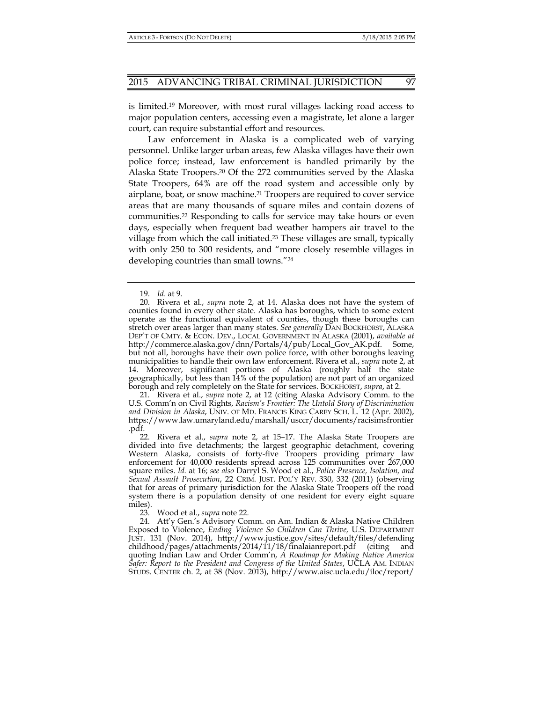is limited.19 Moreover, with most rural villages lacking road access to major population centers, accessing even a magistrate, let alone a larger court, can require substantial effort and resources.

Law enforcement in Alaska is a complicated web of varying personnel. Unlike larger urban areas, few Alaska villages have their own police force; instead, law enforcement is handled primarily by the Alaska State Troopers.20 Of the 272 communities served by the Alaska State Troopers, 64% are off the road system and accessible only by airplane, boat, or snow machine.<sup>21</sup> Troopers are required to cover service areas that are many thousands of square miles and contain dozens of communities.22 Responding to calls for service may take hours or even days, especially when frequent bad weather hampers air travel to the village from which the call initiated.23 These villages are small, typically with only 250 to 300 residents, and "more closely resemble villages in developing countries than small towns."<sup>24</sup>

21*.* Rivera et al., *supra* note 2, at 12 (citing Alaska Advisory Comm. to the U.S. Comm'n on Civil Rights, *Racism's Frontier: The Untold Story of Discrimination*  and Division in Alaska, UNIV. OF MD. FRANCIS KING CAREY SCH. L. 12 (Apr. 2002), https://www.law.umaryland.edu/marshall/usccr/documents/racisimsfrontier .pdf.

23. Wood et al., *supra* note 22.

 <sup>19.</sup> *Id*. at 9.

 <sup>20.</sup> Rivera et al., *supra* note 2, at 14. Alaska does not have the system of counties found in every other state. Alaska has boroughs, which to some extent operate as the functional equivalent of counties, though these boroughs can stretch over areas larger than many states. *See generally* DAN BOCKHORST, ALASKA DEP'T OF CMTY. & ECON. DEV., LOCAL GOVERNMENT IN ALASKA (2001), *available at* http://commerce.alaska.gov/dnn/Portals/4/pub/Local\_Gov\_AK.pdf. Some, but not all, boroughs have their own police force, with other boroughs leaving municipalities to handle their own law enforcement. Rivera et al., *supra* note 2, at 14. Moreover, significant portions of Alaska (roughly half the state geographically, but less than 14% of the population) are not part of an organized borough and rely completely on the State for services. BOCKHORST, *supra*, at 2.

 <sup>22.</sup> Rivera et al., *supra* note 2, at 15–17. The Alaska State Troopers are divided into five detachments; the largest geographic detachment, covering Western Alaska, consists of forty-five Troopers providing primary law enforcement for 40,000 residents spread across 125 communities over 267,000 square miles. *Id.* at 16; *see also* Darryl S. Wood et al., *Police Presence, Isolation, and Sexual Assault Prosecution*, 22 CRIM. JUST. POL'Y REV. 330, 332 (2011) (observing that for areas of primary jurisdiction for the Alaska State Troopers off the road system there is a population density of one resident for every eight square miles).

 <sup>24.</sup> Att'y Gen.'s Advisory Comm. on Am. Indian & Alaska Native Children Exposed to Violence, *Ending Violence So Children Can Thrive,* U.S. DEPARTMENT JUST. 131 (Nov. 2014), http://www.justice.gov/sites/default/files/defending childhood/pages/attachments/2014/11/18/finalaianreport.pdf (citing and quoting Indian Law and Order Comm'n, *A Roadmap for Making Native America Safer: Report to the President and Congress of the United States*, UCLA AM. INDIAN STUDS. CENTER ch. 2, at 38 (Nov. 2013), http://www.aisc.ucla.edu/iloc/report/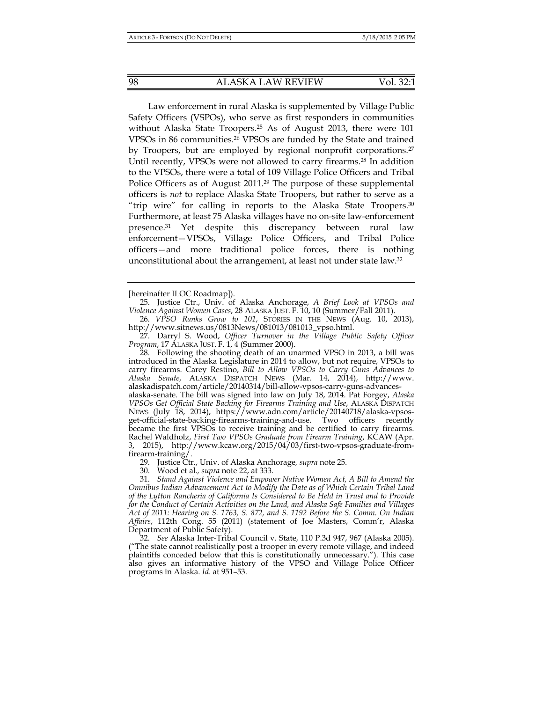Law enforcement in rural Alaska is supplemented by Village Public Safety Officers (VSPOs), who serve as first responders in communities without Alaska State Troopers.<sup>25</sup> As of August 2013, there were 101 VPSOs in 86 communities.26 VPSOs are funded by the State and trained by Troopers, but are employed by regional nonprofit corporations.<sup>27</sup> Until recently, VPSOs were not allowed to carry firearms.28 In addition to the VPSOs, there were a total of 109 Village Police Officers and Tribal Police Officers as of August 2011.29 The purpose of these supplemental officers is *not* to replace Alaska State Troopers, but rather to serve as a "trip wire" for calling in reports to the Alaska State Troopers. $30$ Furthermore, at least 75 Alaska villages have no on-site law-enforcement presence.31 Yet despite this discrepancy between rural law enforcement—VPSOs, Village Police Officers, and Tribal Police officers—and more traditional police forces, there is nothing unconstitutional about the arrangement, at least not under state law.32

 26. *VPSO Ranks Grow to 101*, STORIES IN THE NEWS (Aug. 10, 2013), http://www.sitnews.us/0813News/081013/081013\_vpso.html.

 28. Following the shooting death of an unarmed VPSO in 2013, a bill was introduced in the Alaska Legislature in 2014 to allow, but not require, VPSOs to carry firearms. Carey Restino, *Bill to Allow VPSOs to Carry Guns Advances to Alaska Senate*, ALASKA DISPATCH NEWS (Mar. 14, 2014), http://www. alaskadispatch.com/article/20140314/bill-allow-vpsos-carry-guns-advancesalaska-senate. The bill was signed into law on July 18, 2014. Pat Forgey, *Alaska VPSOs Get Official State Backing for Firearms Training and Use*, ALASKA DISPATCH NEWS (July 18, 2014), https://www.adn.com/article/20140718/alaska-vpsosget-official-state-backing-firearms-training-and-use. Two officers recently became the first VPSOs to receive training and be certified to carry firearms. Rachel Waldholz, *First Two VPSOs Graduate from Firearm Training*, KCAW (Apr. 3, 2015), http://www.kcaw.org/2015/04/03/first-two-vpsos-graduate-fromfirearm-training/.

29. Justice Ctr., Univ. of Alaska Anchorage*, supra* note 25.

30. Wood et al.*, supra* note 22, at 333.

 31. *Stand Against Violence and Empower Native Women Act, A Bill to Amend the Omnibus Indian Advancement Act to Modify the Date as of Which Certain Tribal Land of the Lytton Rancheria of California Is Considered to Be Held in Trust and to Provide for the Conduct of Certain Activities on the Land, and Alaska Safe Families and Villages Act of 2011: Hearing on S. 1763, S. 872, and S. 1192 Before the S. Comm. On Indian Affairs*, 112th Cong. 55 (2011) (statement of Joe Masters, Comm'r, Alaska Department of Public Safety).

 32. *See* Alaska Inter-Tribal Council v. State, 110 P.3d 947, 967 (Alaska 2005). ("The state cannot realistically post a trooper in every remote village, and indeed plaintiffs conceded below that this is constitutionally unnecessary."). This case also gives an informative history of the VPSO and Village Police Officer programs in Alaska. *Id*. at 951–53.

<sup>[</sup>hereinafter ILOC Roadmap]).

 <sup>25.</sup> Justice Ctr., Univ. of Alaska Anchorage, *A Brief Look at VPSOs and Violence Against Women Cases*, 28 ALASKA JUST. F. 10, 10 (Summer/Fall 2011).

 <sup>27.</sup> Darryl S. Wood, *Officer Turnover in the Village Public Safety Officer Program*, 17 ALASKA JUST. F. 1, 4 (Summer 2000).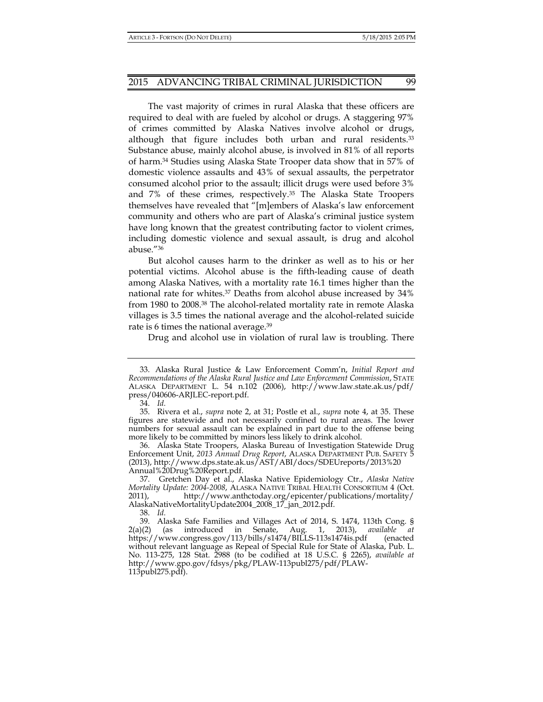The vast majority of crimes in rural Alaska that these officers are required to deal with are fueled by alcohol or drugs. A staggering 97% of crimes committed by Alaska Natives involve alcohol or drugs, although that figure includes both urban and rural residents.<sup>33</sup> Substance abuse, mainly alcohol abuse, is involved in 81% of all reports of harm.34 Studies using Alaska State Trooper data show that in 57% of domestic violence assaults and 43% of sexual assaults, the perpetrator consumed alcohol prior to the assault; illicit drugs were used before 3% and 7% of these crimes, respectively.35 The Alaska State Troopers themselves have revealed that "[m]embers of Alaska's law enforcement community and others who are part of Alaska's criminal justice system have long known that the greatest contributing factor to violent crimes, including domestic violence and sexual assault, is drug and alcohol abuse."36

But alcohol causes harm to the drinker as well as to his or her potential victims. Alcohol abuse is the fifth-leading cause of death among Alaska Natives, with a mortality rate 16.1 times higher than the national rate for whites.37 Deaths from alcohol abuse increased by 34% from 1980 to 2008.38 The alcohol-related mortality rate in remote Alaska villages is 3.5 times the national average and the alcohol-related suicide rate is 6 times the national average.39

Drug and alcohol use in violation of rural law is troubling. There

 <sup>33.</sup> Alaska Rural Justice & Law Enforcement Comm'n, *Initial Report and Recommendations of the Alaska Rural Justice and Law Enforcement Commission*, STATE ALASKA DEPARTMENT L. 54 n.102 (2006), http://www.law.state.ak.us/pdf/ press/040606-ARJLEC-report.pdf.

 <sup>34.</sup> *Id.*

 <sup>35.</sup> Rivera et al., *supra* note 2, at 31; Postle et al., *supra* note 4, at 35. These figures are statewide and not necessarily confined to rural areas. The lower numbers for sexual assault can be explained in part due to the offense being more likely to be committed by minors less likely to drink alcohol.

 <sup>36.</sup> Alaska State Troopers, Alaska Bureau of Investigation Statewide Drug Enforcement Unit, *2013 Annual Drug Report*, ALASKA DEPARTMENT PUB. SAFETY 5 (2013), http://www.dps.state.ak.us/AST/ABI/docs/SDEUreports/2013%20 Annual%20Drug%20Report.pdf.

 <sup>37.</sup> Gretchen Day et al., Alaska Native Epidemiology Ctr., *Alaska Native Mortality Update: 2004-2008*, ALASKA NATIVE TRIBAL HEALTH CONSORTIUM 4 (Oct. 2011), http://www.anthctoday.org/epicenter/publications/mortality/ AlaskaNativeMortalityUpdate2004\_2008\_17\_jan\_2012.pdf.

 <sup>38.</sup> *Id.*

 <sup>39.</sup> Alaska Safe Families and Villages Act of 2014, S. 1474, 113th Cong. § 2(a)(2) (as introduced in Senate, Aug. 1, 2013), *available at*  https://www.congress.gov/113/bills/s1474/BILLS-113s1474is.pdf (enacted without relevant language as Repeal of Special Rule for State of Alaska, Pub. L. No. 113-275, 128 Stat. 2988 (to be codified at 18 U.S.C. § 2265), *available at*  http://www.gpo.gov/fdsys/pkg/PLAW-113publ275/pdf/PLAW-113publ275.pdf).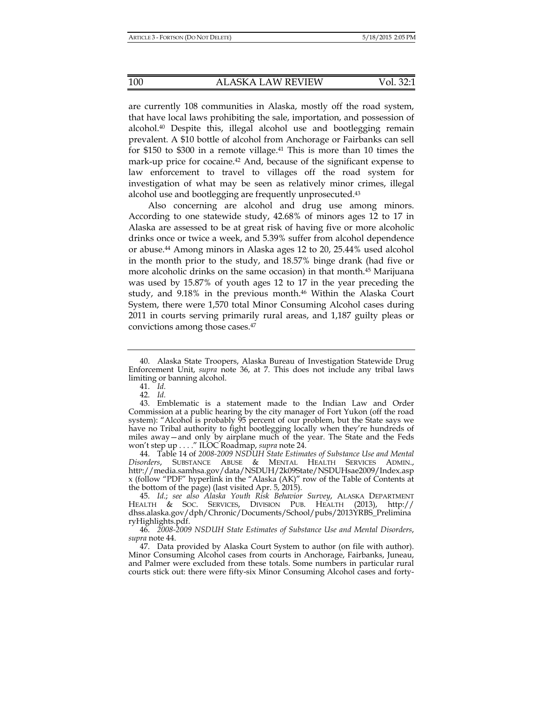are currently 108 communities in Alaska, mostly off the road system, that have local laws prohibiting the sale, importation, and possession of alcohol.40 Despite this, illegal alcohol use and bootlegging remain prevalent. A \$10 bottle of alcohol from Anchorage or Fairbanks can sell for \$150 to \$300 in a remote village.41 This is more than 10 times the mark-up price for cocaine.<sup>42</sup> And, because of the significant expense to law enforcement to travel to villages off the road system for investigation of what may be seen as relatively minor crimes, illegal alcohol use and bootlegging are frequently unprosecuted.43

Also concerning are alcohol and drug use among minors. According to one statewide study, 42.68% of minors ages 12 to 17 in Alaska are assessed to be at great risk of having five or more alcoholic drinks once or twice a week, and 5.39% suffer from alcohol dependence or abuse.44 Among minors in Alaska ages 12 to 20, 25.44% used alcohol in the month prior to the study, and 18.57% binge drank (had five or more alcoholic drinks on the same occasion) in that month.45 Marijuana was used by 15.87% of youth ages 12 to 17 in the year preceding the study, and 9.18% in the previous month.<sup>46</sup> Within the Alaska Court System, there were 1,570 total Minor Consuming Alcohol cases during 2011 in courts serving primarily rural areas, and 1,187 guilty pleas or convictions among those cases.47

 <sup>40.</sup> Alaska State Troopers, Alaska Bureau of Investigation Statewide Drug Enforcement Unit, *supra* note 36, at 7. This does not include any tribal laws limiting or banning alcohol.

 <sup>41.</sup> *Id.*

 <sup>42.</sup> *Id.*

 <sup>43.</sup> Emblematic is a statement made to the Indian Law and Order Commission at a public hearing by the city manager of Fort Yukon (off the road system): "Alcohol is probably 95 percent of our problem, but the State says we have no Tribal authority to fight bootlegging locally when they're hundreds of miles away—and only by airplane much of the year. The State and the Feds won't step up . . . ." ILOC Roadmap, *supra* note 24.

 <sup>44.</sup> Table 14 of *2008-2009 NSDUH State Estimates of Substance Use and Mental Disorders*, SUBSTANCE ABUSE & MENTAL HEALTH SERVICES ADMIN., httP://media.samhsa.gov/data/NSDUH/2k09State/NSDUHsae2009/Index.asp x (follow "PDF" hyperlink in the "Alaska (AK)" row of the Table of Contents at the bottom of the page) (last visited Apr. 5, 2015).

 <sup>45.</sup> *Id*.; *see also Alaska Youth Risk Behavior Survey*, ALASKA DEPARTMENT HEALTH & SOC. SERVICES, DIVISION PUB. HEALTH (2013), http:// dhss.alaska.gov/dph/Chronic/Documents/School/pubs/2013YRBS\_Prelimina ryHighlights.pdf.

 <sup>46.</sup> *2008-2009 NSDUH State Estimates of Substance Use and Mental Disorders*, *supra* note 44.

 <sup>47.</sup> Data provided by Alaska Court System to author (on file with author). Minor Consuming Alcohol cases from courts in Anchorage, Fairbanks, Juneau, and Palmer were excluded from these totals. Some numbers in particular rural courts stick out: there were fifty-six Minor Consuming Alcohol cases and forty-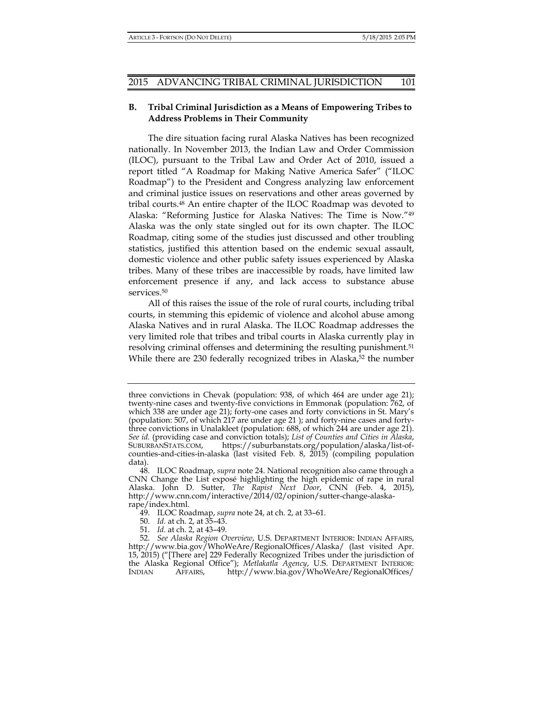## **B. Tribal Criminal Jurisdiction as a Means of Empowering Tribes to Address Problems in Their Community**

The dire situation facing rural Alaska Natives has been recognized nationally. In November 2013, the Indian Law and Order Commission (ILOC), pursuant to the Tribal Law and Order Act of 2010, issued a report titled "A Roadmap for Making Native America Safer" ("ILOC Roadmap") to the President and Congress analyzing law enforcement and criminal justice issues on reservations and other areas governed by tribal courts.48 An entire chapter of the ILOC Roadmap was devoted to Alaska: "Reforming Justice for Alaska Natives: The Time is Now."49 Alaska was the only state singled out for its own chapter. The ILOC Roadmap, citing some of the studies just discussed and other troubling statistics, justified this attention based on the endemic sexual assault, domestic violence and other public safety issues experienced by Alaska tribes. Many of these tribes are inaccessible by roads, have limited law enforcement presence if any, and lack access to substance abuse services.<sup>50</sup>

All of this raises the issue of the role of rural courts, including tribal courts, in stemming this epidemic of violence and alcohol abuse among Alaska Natives and in rural Alaska. The ILOC Roadmap addresses the very limited role that tribes and tribal courts in Alaska currently play in resolving criminal offenses and determining the resulting punishment.51 While there are 230 federally recognized tribes in Alaska,<sup>52</sup> the number

three convictions in Chevak (population: 938, of which 464 are under age 21); twenty-nine cases and twenty-five convictions in Emmonak (population: 762, of which 338 are under age 21); forty-one cases and forty convictions in St. Mary's (population: 507, of which 217 are under age 21 ); and forty-nine cases and fortythree convictions in Unalakleet (population: 688, of which 244 are under age 21). *See id.* (providing case and conviction totals); *List of Counties and Cities in Alaska*, SUBURBANSTATS.COM, https://suburbanstats.org/population/alaska/list-ofcounties-and-cities-in-alaska (last visited Feb. 8, 2015) (compiling population data).

 <sup>48.</sup> ILOC Roadmap, *supra* note 24. National recognition also came through a CNN Change the List exposé highlighting the high epidemic of rape in rural Alaska. John D. Sutter, *The Rapist Next Door*, CNN (Feb. 4, 2015), http://www.cnn.com/interactive/2014/02/opinion/sutter-change-alaskarape/index.html.

 <sup>49.</sup> ILOC Roadmap, *supra* note 24, at ch. 2, at 33–61.

 <sup>50.</sup> *Id.* at ch. 2, at 35–43.

 <sup>51.</sup> *Id.* at ch. 2, at 43–49.

 <sup>52.</sup> *See Alaska Region Overview*, U.S. DEPARTMENT INTERIOR: INDIAN AFFAIRS, http://www.bia.gov/WhoWeAre/RegionalOffices/Alaska/ (last visited Apr. 15, 2015) ("[There are] 229 Federally Recognized Tribes under the jurisdiction of the Alaska Regional Office"); *Metlakatla Agency*, U.S. DEPARTMENT INTERIOR: AFFAIRS, http://www.bia.gov/WhoWeAre/RegionalOffices/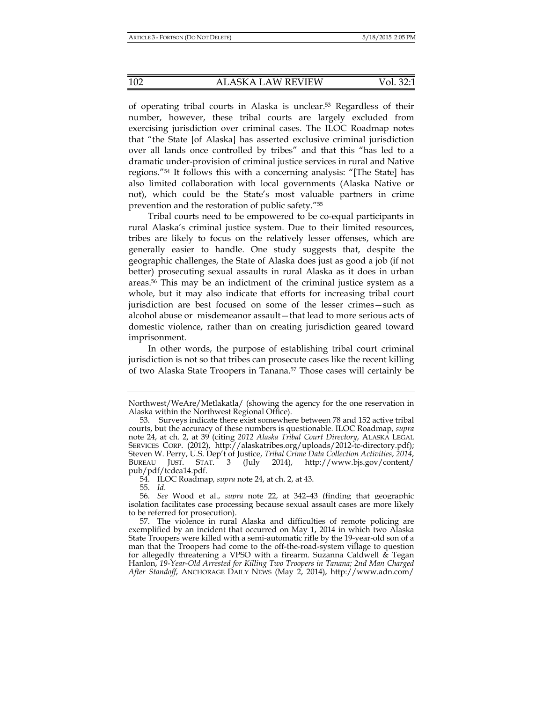of operating tribal courts in Alaska is unclear.53 Regardless of their number, however, these tribal courts are largely excluded from exercising jurisdiction over criminal cases. The ILOC Roadmap notes that "the State [of Alaska] has asserted exclusive criminal jurisdiction over all lands once controlled by tribes" and that this "has led to a dramatic under-provision of criminal justice services in rural and Native regions."54 It follows this with a concerning analysis: "[The State] has also limited collaboration with local governments (Alaska Native or not), which could be the State's most valuable partners in crime prevention and the restoration of public safety."55

Tribal courts need to be empowered to be co-equal participants in rural Alaska's criminal justice system. Due to their limited resources, tribes are likely to focus on the relatively lesser offenses, which are generally easier to handle. One study suggests that, despite the geographic challenges, the State of Alaska does just as good a job (if not better) prosecuting sexual assaults in rural Alaska as it does in urban areas.56 This may be an indictment of the criminal justice system as a whole, but it may also indicate that efforts for increasing tribal court jurisdiction are best focused on some of the lesser crimes—such as alcohol abuse or misdemeanor assault—that lead to more serious acts of domestic violence, rather than on creating jurisdiction geared toward imprisonment.

In other words, the purpose of establishing tribal court criminal jurisdiction is not so that tribes can prosecute cases like the recent killing of two Alaska State Troopers in Tanana.<sup>57</sup> Those cases will certainly be

55. *Id*.

Northwest/WeAre/Metlakatla/ (showing the agency for the one reservation in Alaska within the Northwest Regional Office).

 <sup>53.</sup> Surveys indicate there exist somewhere between 78 and 152 active tribal courts, but the accuracy of these numbers is questionable. ILOC Roadmap, *supra*  note 24, at ch. 2, at 39 (citing *2012 Alaska Tribal Court Directory*, ALASKA LEGAL SERVICES CORP. (2012), http://alaskatribes.org/uploads/2012-tc-directory.pdf); Steven W. Perry, U.S. Dep't of Justice, *Tribal Crime Data Collection Activities*, *2014*, BUREAU JUST. STAT. 3 (July 2014), http://www.bjs.gov/content/ pub/pdf/tcdca14.pdf.

 <sup>54.</sup> ILOC Roadmap*, supra* note 24, at ch. 2, at 43.

 <sup>56.</sup> *See* Wood et al., *supra* note 22, at 342–43 (finding that geographic isolation facilitates case processing because sexual assault cases are more likely to be referred for prosecution).

 <sup>57.</sup> The violence in rural Alaska and difficulties of remote policing are exemplified by an incident that occurred on May 1, 2014 in which two Alaska State Troopers were killed with a semi-automatic rifle by the 19-year-old son of a man that the Troopers had come to the off-the-road-system village to question for allegedly threatening a VPSO with a firearm. Suzanna Caldwell & Tegan Hanlon, *19-Year-Old Arrested for Killing Two Troopers in Tanana; 2nd Man Charged After Standoff*, ANCHORAGE DAILY NEWS (May 2, 2014), http://www.adn.com/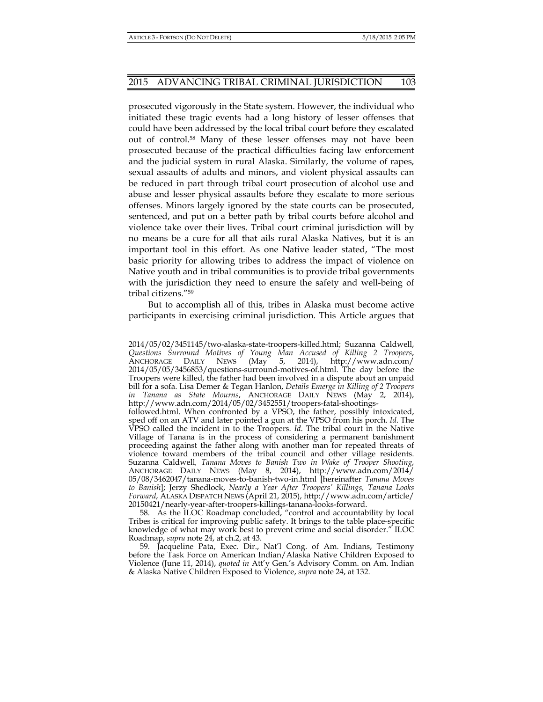prosecuted vigorously in the State system. However, the individual who initiated these tragic events had a long history of lesser offenses that could have been addressed by the local tribal court before they escalated out of control.58 Many of these lesser offenses may not have been prosecuted because of the practical difficulties facing law enforcement and the judicial system in rural Alaska. Similarly, the volume of rapes, sexual assaults of adults and minors, and violent physical assaults can be reduced in part through tribal court prosecution of alcohol use and abuse and lesser physical assaults before they escalate to more serious offenses. Minors largely ignored by the state courts can be prosecuted, sentenced, and put on a better path by tribal courts before alcohol and violence take over their lives. Tribal court criminal jurisdiction will by no means be a cure for all that ails rural Alaska Natives, but it is an important tool in this effort. As one Native leader stated, "The most basic priority for allowing tribes to address the impact of violence on Native youth and in tribal communities is to provide tribal governments with the jurisdiction they need to ensure the safety and well-being of tribal citizens."59

But to accomplish all of this, tribes in Alaska must become active participants in exercising criminal jurisdiction. This Article argues that

 58. As the ILOC Roadmap concluded, "control and accountability by local Tribes is critical for improving public safety. It brings to the table place-specific knowledge of what may work best to prevent crime and social disorder." ILOC Roadmap, *supra* note 24, at ch.2, at 43.

<sup>2014/05/02/3451145/</sup>two-alaska-state-troopers-killed.html; Suzanna Caldwell, *Questions Surround Motives of Young Man Accused of Killing 2 Troopers*, ANCHORAGE DAILY NEWS (May 5, 2014), http://www.adn.com/ 2014/05/05/3456853/questions-surround-motives-of.html. The day before the Troopers were killed, the father had been involved in a dispute about an unpaid bill for a sofa. Lisa Demer & Tegan Hanlon, *Details Emerge in Killing of 2 Troopers in Tanana as State Mourns*, ANCHORAGE DAILY NEWS (May 2, 2014), http://www.adn.com/2014/05/02/3452551/troopers-fatal-shootings-

followed.html. When confronted by a VPSO, the father, possibly intoxicated, sped off on an ATV and later pointed a gun at the VPSO from his porch. *Id*. The VPSO called the incident in to the Troopers. *Id*. The tribal court in the Native Village of Tanana is in the process of considering a permanent banishment proceeding against the father along with another man for repeated threats of violence toward members of the tribal council and other village residents. Suzanna Caldwell*, Tanana Moves to Banish Two in Wake of Trooper Shooting*, ANCHORAGE DAILY NEWS (May 8, 2014), http://www.adn.com/2014/ 05/08/3462047/tanana-moves-to-banish-two-in.html [hereinafter *Tanana Moves to Banish*]; Jerzy Shedlock, *Nearly a Year After Troopers' Killings, Tanana Looks Forward*, ALASKA DISPATCH NEWS (April 21, 2015), http://www.adn.com/article/ 20150421/nearly-year-after-troopers-killings-tanana-looks-forward.

 <sup>59.</sup> Jacqueline Pata, Exec. Dir., Nat'l Cong. of Am. Indians, Testimony before the Task Force on American Indian/Alaska Native Children Exposed to Violence (June 11, 2014), *quoted in* Att'y Gen.'s Advisory Comm. on Am. Indian & Alaska Native Children Exposed to Violence, *supra* note 24, at 132.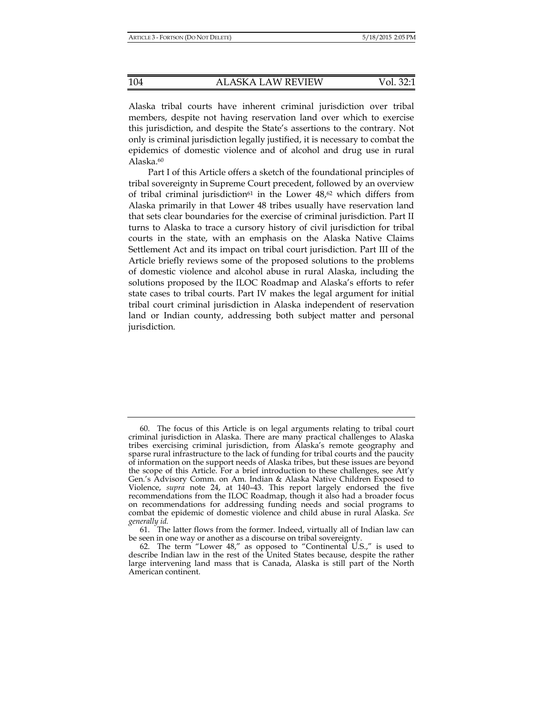Alaska tribal courts have inherent criminal jurisdiction over tribal members, despite not having reservation land over which to exercise this jurisdiction, and despite the State's assertions to the contrary. Not only is criminal jurisdiction legally justified, it is necessary to combat the epidemics of domestic violence and of alcohol and drug use in rural Alaska.<sup>60</sup>

Part I of this Article offers a sketch of the foundational principles of tribal sovereignty in Supreme Court precedent, followed by an overview of tribal criminal jurisdiction<sup>61</sup> in the Lower  $48,62$  which differs from Alaska primarily in that Lower 48 tribes usually have reservation land that sets clear boundaries for the exercise of criminal jurisdiction. Part II turns to Alaska to trace a cursory history of civil jurisdiction for tribal courts in the state, with an emphasis on the Alaska Native Claims Settlement Act and its impact on tribal court jurisdiction. Part III of the Article briefly reviews some of the proposed solutions to the problems of domestic violence and alcohol abuse in rural Alaska, including the solutions proposed by the ILOC Roadmap and Alaska's efforts to refer state cases to tribal courts. Part IV makes the legal argument for initial tribal court criminal jurisdiction in Alaska independent of reservation land or Indian county, addressing both subject matter and personal jurisdiction.

 <sup>60.</sup> The focus of this Article is on legal arguments relating to tribal court criminal jurisdiction in Alaska. There are many practical challenges to Alaska tribes exercising criminal jurisdiction, from Alaska's remote geography and sparse rural infrastructure to the lack of funding for tribal courts and the paucity of information on the support needs of Alaska tribes, but these issues are beyond the scope of this Article. For a brief introduction to these challenges, see Att'y Gen.'s Advisory Comm. on Am. Indian & Alaska Native Children Exposed to Violence, *supra* note 24, at 140–43. This report largely endorsed the five recommendations from the ILOC Roadmap, though it also had a broader focus on recommendations for addressing funding needs and social programs to combat the epidemic of domestic violence and child abuse in rural Alaska. *See generally id.*

 <sup>61.</sup> The latter flows from the former. Indeed, virtually all of Indian law can be seen in one way or another as a discourse on tribal sovereignty.

 <sup>62.</sup> The term "Lower 48," as opposed to "Continental U.S.," is used to describe Indian law in the rest of the United States because, despite the rather large intervening land mass that is Canada, Alaska is still part of the North American continent.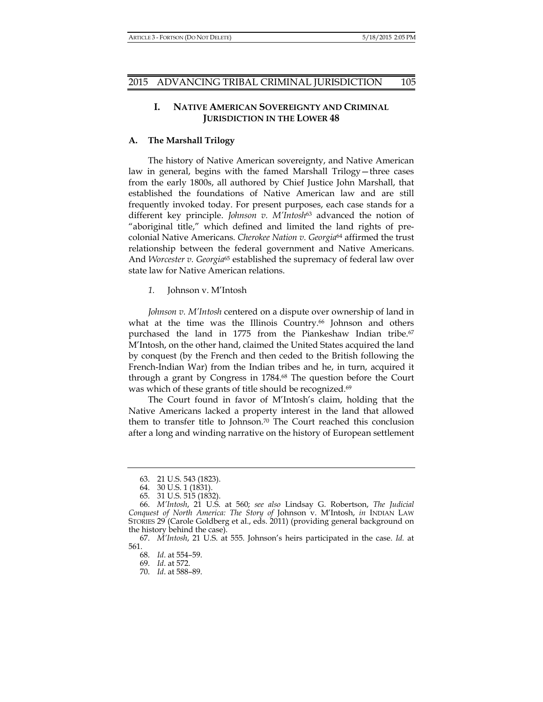## **I. NATIVE AMERICAN SOVEREIGNTY AND CRIMINAL JURISDICTION IN THE LOWER 48**

#### **A. The Marshall Trilogy**

The history of Native American sovereignty, and Native American law in general, begins with the famed Marshall Trilogy—three cases from the early 1800s, all authored by Chief Justice John Marshall, that established the foundations of Native American law and are still frequently invoked today. For present purposes, each case stands for a different key principle. *Johnson v. M'Intosh*<sup>63</sup> advanced the notion of "aboriginal title," which defined and limited the land rights of precolonial Native Americans. *Cherokee Nation v. Georgia*<sup>64</sup> affirmed the trust relationship between the federal government and Native Americans. And *Worcester v. Georgia*<sup>65</sup> established the supremacy of federal law over state law for Native American relations.

*1.* Johnson v. M'Intosh

*Johnson v. M'Intosh* centered on a dispute over ownership of land in what at the time was the Illinois Country.<sup>66</sup> Johnson and others purchased the land in 1775 from the Piankeshaw Indian tribe.<sup>67</sup> M'Intosh, on the other hand, claimed the United States acquired the land by conquest (by the French and then ceded to the British following the French-Indian War) from the Indian tribes and he, in turn, acquired it through a grant by Congress in 1784.68 The question before the Court was which of these grants of title should be recognized.<sup>69</sup>

The Court found in favor of M'Intosh's claim, holding that the Native Americans lacked a property interest in the land that allowed them to transfer title to Johnson.70 The Court reached this conclusion after a long and winding narrative on the history of European settlement

 <sup>63. 21</sup> U.S. 543 (1823).

 <sup>64. 30</sup> U.S. 1 (1831).

 <sup>65. 31</sup> U.S. 515 (1832).

 <sup>66.</sup> *M'Intosh*, 21 U.S. at 560; *see also* Lindsay G. Robertson, *The Judicial Conquest of North America: The Story of* Johnson v. M'Intosh, *in* INDIAN LAW STORIES 29 (Carole Goldberg et al., eds. 2011) (providing general background on the history behind the case).

 <sup>67.</sup> *M'Intosh*, 21 U.S. at 555. Johnson's heirs participated in the case. *Id.* at 561.

 <sup>68.</sup> *Id*. at 554–59.

 <sup>69.</sup> *Id*. at 572.

 <sup>70.</sup> *Id*. at 588–89.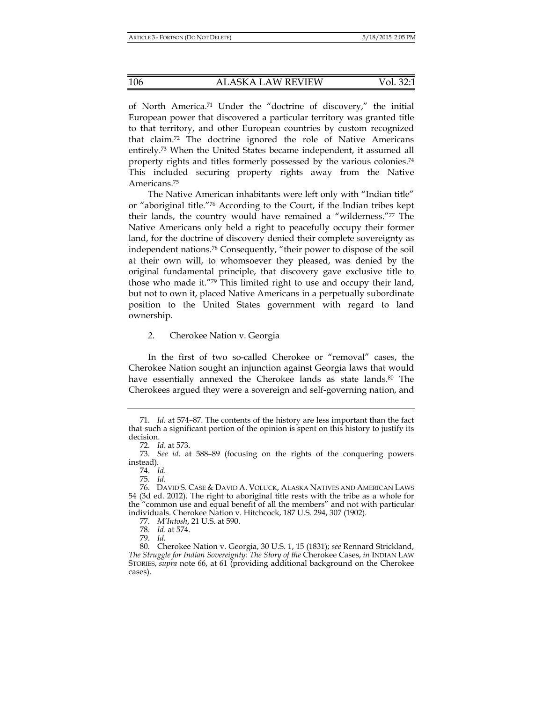of North America.71 Under the "doctrine of discovery," the initial European power that discovered a particular territory was granted title to that territory, and other European countries by custom recognized that claim.72 The doctrine ignored the role of Native Americans entirely.73 When the United States became independent, it assumed all property rights and titles formerly possessed by the various colonies.74 This included securing property rights away from the Native Americans.75

The Native American inhabitants were left only with "Indian title" or "aboriginal title."76 According to the Court, if the Indian tribes kept their lands, the country would have remained a "wilderness."77 The Native Americans only held a right to peacefully occupy their former land, for the doctrine of discovery denied their complete sovereignty as independent nations.78 Consequently, "their power to dispose of the soil at their own will, to whomsoever they pleased, was denied by the original fundamental principle, that discovery gave exclusive title to those who made it."79 This limited right to use and occupy their land, but not to own it, placed Native Americans in a perpetually subordinate position to the United States government with regard to land ownership.

## *2.* Cherokee Nation v. Georgia

In the first of two so-called Cherokee or "removal" cases, the Cherokee Nation sought an injunction against Georgia laws that would have essentially annexed the Cherokee lands as state lands.<sup>80</sup> The Cherokees argued they were a sovereign and self-governing nation, and

79. *Id.* 

 <sup>71.</sup> *Id*. at 574–87. The contents of the history are less important than the fact that such a significant portion of the opinion is spent on this history to justify its decision.

 <sup>72.</sup> *Id*. at 573.

 <sup>73.</sup> *See id*. at 588–89 (focusing on the rights of the conquering powers instead).

 <sup>74.</sup> *Id*.

 <sup>75.</sup> *Id.*

 <sup>76.</sup> DAVID S. CASE & DAVID A. VOLUCK, ALASKA NATIVES AND AMERICAN LAWS 54 (3d ed. 2012). The right to aboriginal title rests with the tribe as a whole for the "common use and equal benefit of all the members" and not with particular individuals. Cherokee Nation v. Hitchcock, 187 U.S. 294, 307 (1902).

 <sup>77.</sup> *M'Intosh*, 21 U.S. at 590.

 <sup>78.</sup> *Id*. at 574.

 <sup>80.</sup> Cherokee Nation v. Georgia, 30 U.S. 1, 15 (1831); *see* Rennard Strickland, *The Struggle for Indian Sovereignty: The Story of the* Cherokee Cases, *in* INDIAN LAW STORIES, *supra* note 66, at 61 (providing additional background on the Cherokee cases).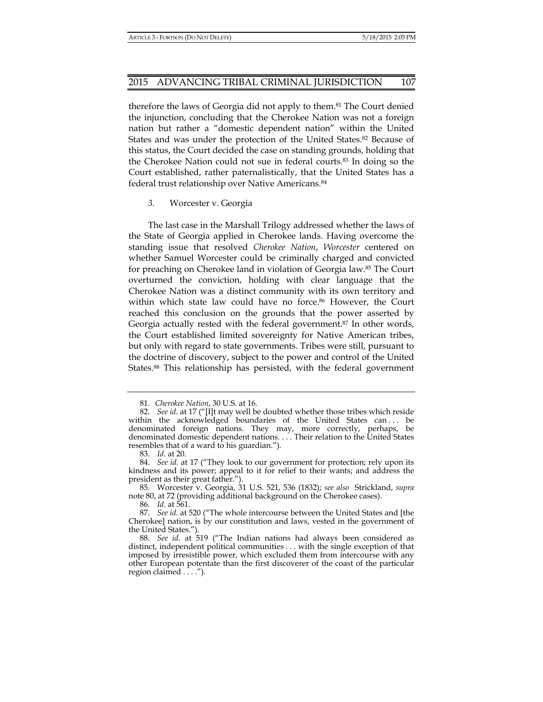therefore the laws of Georgia did not apply to them.<sup>81</sup> The Court denied the injunction, concluding that the Cherokee Nation was not a foreign nation but rather a "domestic dependent nation" within the United States and was under the protection of the United States.<sup>82</sup> Because of this status, the Court decided the case on standing grounds, holding that the Cherokee Nation could not sue in federal courts.83 In doing so the Court established, rather paternalistically, that the United States has a federal trust relationship over Native Americans.84

#### *3.* Worcester v. Georgia

The last case in the Marshall Trilogy addressed whether the laws of the State of Georgia applied in Cherokee lands. Having overcome the standing issue that resolved *Cherokee Nation*, *Worcester* centered on whether Samuel Worcester could be criminally charged and convicted for preaching on Cherokee land in violation of Georgia law.85 The Court overturned the conviction, holding with clear language that the Cherokee Nation was a distinct community with its own territory and within which state law could have no force.<sup>86</sup> However, the Court reached this conclusion on the grounds that the power asserted by Georgia actually rested with the federal government.<sup>87</sup> In other words, the Court established limited sovereignty for Native American tribes, but only with regard to state governments. Tribes were still, pursuant to the doctrine of discovery, subject to the power and control of the United States.88 This relationship has persisted, with the federal government

 <sup>81.</sup> *Cherokee Nation*, 30 U.S. at 16.

 <sup>82.</sup> *See id*. at 17 ("[I]t may well be doubted whether those tribes which reside within the acknowledged boundaries of the United States can ... be denominated foreign nations. They may, more correctly, perhaps, be denominated domestic dependent nations. . . . Their relation to the United States resembles that of a ward to his guardian.").

 <sup>83.</sup> *Id*. at 20.

 <sup>84.</sup> *See id.* at 17 ("They look to our government for protection; rely upon its kindness and its power; appeal to it for relief to their wants; and address the president as their great father.").

 <sup>85.</sup> Worcester v. Georgia, 31 U.S. 521, 536 (1832); *see also* Strickland, *supra*  note 80, at 72 (providing additional background on the Cherokee cases).

 <sup>86.</sup> *Id.* at 561.

 <sup>87.</sup> *See id*. at 520 ("The whole intercourse between the United States and [the Cherokee] nation, is by our constitution and laws, vested in the government of the United States.").

 <sup>88.</sup> *See id*. at 519 ("The Indian nations had always been considered as distinct, independent political communities . . . with the single exception of that imposed by irresistible power, which excluded them from intercourse with any other European potentate than the first discoverer of the coast of the particular region claimed . . . .").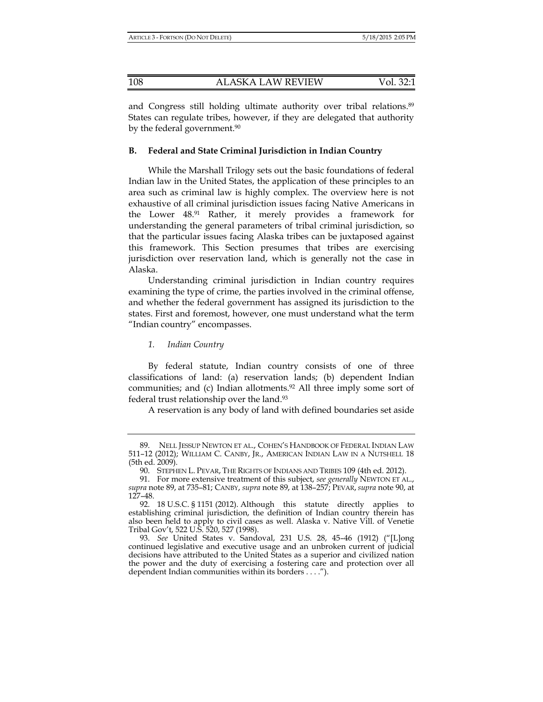and Congress still holding ultimate authority over tribal relations.<sup>89</sup> States can regulate tribes, however, if they are delegated that authority by the federal government.<sup>90</sup>

#### **B. Federal and State Criminal Jurisdiction in Indian Country**

While the Marshall Trilogy sets out the basic foundations of federal Indian law in the United States, the application of these principles to an area such as criminal law is highly complex. The overview here is not exhaustive of all criminal jurisdiction issues facing Native Americans in the Lower 48.91 Rather, it merely provides a framework for understanding the general parameters of tribal criminal jurisdiction, so that the particular issues facing Alaska tribes can be juxtaposed against this framework. This Section presumes that tribes are exercising jurisdiction over reservation land, which is generally not the case in Alaska.

Understanding criminal jurisdiction in Indian country requires examining the type of crime, the parties involved in the criminal offense, and whether the federal government has assigned its jurisdiction to the states. First and foremost, however, one must understand what the term "Indian country" encompasses.

*1. Indian Country* 

By federal statute, Indian country consists of one of three classifications of land: (a) reservation lands; (b) dependent Indian communities; and (c) Indian allotments.<sup>92</sup> All three imply some sort of federal trust relationship over the land.93

A reservation is any body of land with defined boundaries set aside

 <sup>89.</sup> NELL JESSUP NEWTON ET AL., COHEN'S HANDBOOK OF FEDERAL INDIAN LAW 511–12 (2012); WILLIAM C. CANBY, JR., AMERICAN INDIAN LAW IN A NUTSHELL 18 (5th ed. 2009).

 <sup>90.</sup> STEPHEN L. PEVAR, THE RIGHTS OF INDIANS AND TRIBES 109 (4th ed. 2012).

 <sup>91.</sup> For more extensive treatment of this subject, *see generally* NEWTON ET AL., *supra* note 89, at 735–81; CANBY, *supra* note 89, at 138–257; PEVAR, *supra* note 90, at 127–48.

 <sup>92. 18</sup> U.S.C. § 1151 (2012). Although this statute directly applies to establishing criminal jurisdiction, the definition of Indian country therein has also been held to apply to civil cases as well. Alaska v. Native Vill. of Venetie Tribal Gov't, 522 U.S. 520, 527 (1998).

 <sup>93.</sup> *See* United States v. Sandoval, 231 U.S. 28, 45–46 (1912) ("[L]ong continued legislative and executive usage and an unbroken current of judicial decisions have attributed to the United States as a superior and civilized nation the power and the duty of exercising a fostering care and protection over all dependent Indian communities within its borders . . . .").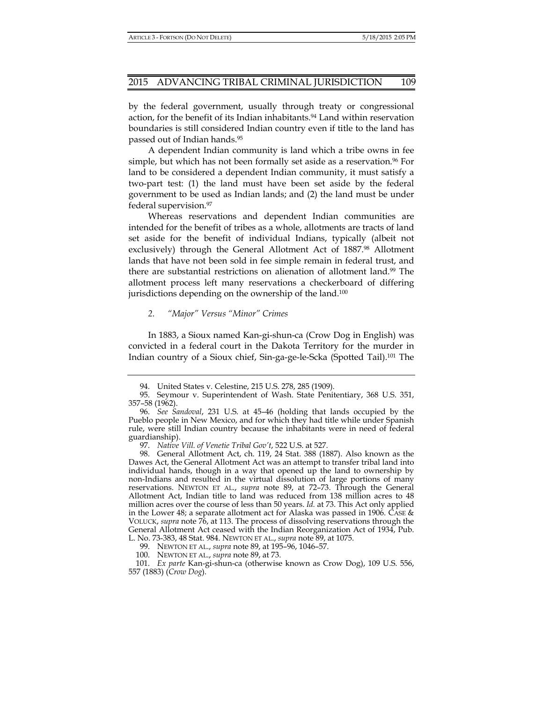by the federal government, usually through treaty or congressional action, for the benefit of its Indian inhabitants.94 Land within reservation boundaries is still considered Indian country even if title to the land has passed out of Indian hands.95

A dependent Indian community is land which a tribe owns in fee simple, but which has not been formally set aside as a reservation.<sup>96</sup> For land to be considered a dependent Indian community, it must satisfy a two-part test: (1) the land must have been set aside by the federal government to be used as Indian lands; and (2) the land must be under federal supervision.97

Whereas reservations and dependent Indian communities are intended for the benefit of tribes as a whole, allotments are tracts of land set aside for the benefit of individual Indians, typically (albeit not exclusively) through the General Allotment Act of 1887.98 Allotment lands that have not been sold in fee simple remain in federal trust, and there are substantial restrictions on alienation of allotment land.99 The allotment process left many reservations a checkerboard of differing jurisdictions depending on the ownership of the land.<sup>100</sup>

## *2. "Major" Versus "Minor" Crimes*

In 1883, a Sioux named Kan-gi-shun-ca (Crow Dog in English) was convicted in a federal court in the Dakota Territory for the murder in Indian country of a Sioux chief, Sin-ga-ge-le-Scka (Spotted Tail).101 The

 <sup>94.</sup> United States v. Celestine, 215 U.S. 278, 285 (1909).

 <sup>95.</sup> Seymour v. Superintendent of Wash. State Penitentiary, 368 U.S. 351, 357–58 (1962).

 <sup>96.</sup> *See Sandoval*, 231 U.S. at 45–46 (holding that lands occupied by the Pueblo people in New Mexico, and for which they had title while under Spanish rule, were still Indian country because the inhabitants were in need of federal guardianship).

 <sup>97.</sup> *Native Vill. of Venetie Tribal Gov't*, 522 U.S. at 527.

 <sup>98.</sup> General Allotment Act, ch. 119, 24 Stat. 388 (1887). Also known as the Dawes Act, the General Allotment Act was an attempt to transfer tribal land into individual hands, though in a way that opened up the land to ownership by non-Indians and resulted in the virtual dissolution of large portions of many reservations. NEWTON ET AL., *supra* note 89, at 72–73. Through the General Allotment Act, Indian title to land was reduced from 138 million acres to 48 million acres over the course of less than 50 years. *Id.* at 73. This Act only applied in the Lower 48; a separate allotment act for Alaska was passed in 1906.  $\overline{C}$ ASE & VOLUCK, *supra* note 76, at 113. The process of dissolving reservations through the General Allotment Act ceased with the Indian Reorganization Act of 1934, Pub. L. No. 73-383, 48 Stat. 984. NEWTON ET AL., *supra* note 89, at 1075.

 <sup>99.</sup> NEWTON ET AL., *supra* note 89, at 195–96, 1046–57.

 <sup>100.</sup> NEWTON ET AL., *supra* note 89, at 73.

 <sup>101.</sup> *Ex parte* Kan-gi-shun-ca (otherwise known as Crow Dog), 109 U.S. 556, 557 (1883) (*Crow Dog*).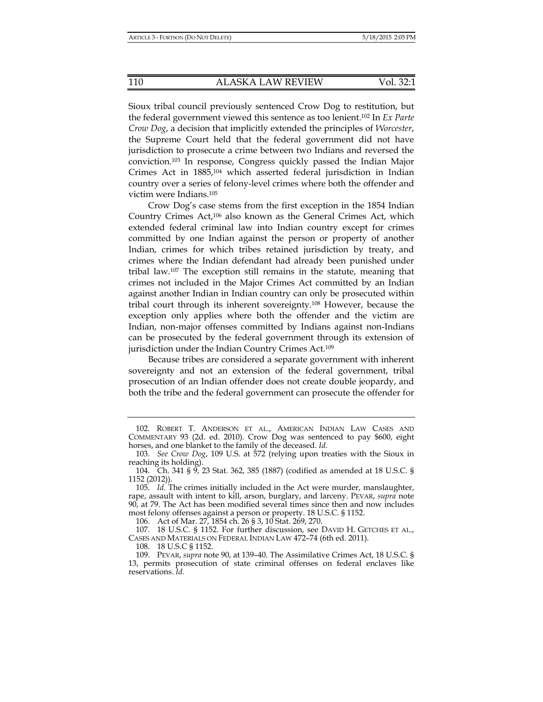Sioux tribal council previously sentenced Crow Dog to restitution, but the federal government viewed this sentence as too lenient.102 In *Ex Parte Crow Dog*, a decision that implicitly extended the principles of *Worcester*, the Supreme Court held that the federal government did not have jurisdiction to prosecute a crime between two Indians and reversed the conviction.103 In response, Congress quickly passed the Indian Major Crimes Act in 1885,104 which asserted federal jurisdiction in Indian country over a series of felony-level crimes where both the offender and victim were Indians.105

Crow Dog's case stems from the first exception in the 1854 Indian Country Crimes Act,106 also known as the General Crimes Act, which extended federal criminal law into Indian country except for crimes committed by one Indian against the person or property of another Indian, crimes for which tribes retained jurisdiction by treaty, and crimes where the Indian defendant had already been punished under tribal law.107 The exception still remains in the statute, meaning that crimes not included in the Major Crimes Act committed by an Indian against another Indian in Indian country can only be prosecuted within tribal court through its inherent sovereignty.108 However, because the exception only applies where both the offender and the victim are Indian, non-major offenses committed by Indians against non-Indians can be prosecuted by the federal government through its extension of jurisdiction under the Indian Country Crimes Act.<sup>109</sup>

Because tribes are considered a separate government with inherent sovereignty and not an extension of the federal government, tribal prosecution of an Indian offender does not create double jeopardy, and both the tribe and the federal government can prosecute the offender for

106. Act of Mar. 27, 1854 ch. 26 § 3, 10 Stat. 269, 270.

108. 18 U.S.C § 1152.

 <sup>102.</sup> ROBERT T. ANDERSON ET AL., AMERICAN INDIAN LAW CASES AND COMMENTARY 93 (2d. ed. 2010). Crow Dog was sentenced to pay \$600, eight horses, and one blanket to the family of the deceased. *Id.*

 <sup>103.</sup> *See Crow Dog*, 109 U.S. at 572 (relying upon treaties with the Sioux in reaching its holding).

 <sup>104.</sup> Ch. 341 § 9, 23 Stat. 362, 385 (1887) (codified as amended at 18 U.S.C. § 1152 (2012)).

 <sup>105.</sup> *Id.* The crimes initially included in the Act were murder, manslaughter, rape, assault with intent to kill, arson, burglary, and larceny. PEVAR, *supra* note 90, at 79. The Act has been modified several times since then and now includes most felony offenses against a person or property. 18 U.S.C. § 1152.

 <sup>107. 18</sup> U.S.C. § 1152. For further discussion, see DAVID H. GETCHES ET AL., CASES AND MATERIALS ON FEDERAL INDIAN LAW 472–74 (6th ed. 2011).

 <sup>109.</sup> PEVAR, *supra* note 90, at 139–40. The Assimilative Crimes Act, 18 U.S.C. § 13, permits prosecution of state criminal offenses on federal enclaves like reservations. *Id.*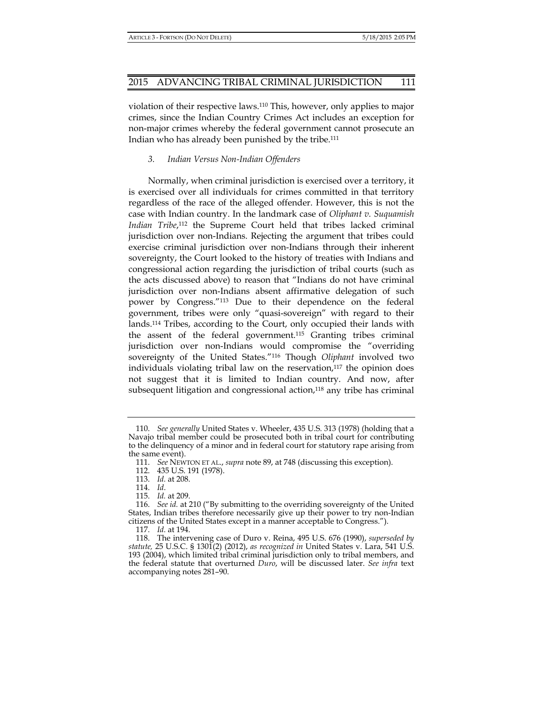violation of their respective laws.110 This, however, only applies to major crimes, since the Indian Country Crimes Act includes an exception for non-major crimes whereby the federal government cannot prosecute an Indian who has already been punished by the tribe.111

#### *3. Indian Versus Non-Indian Offenders*

Normally, when criminal jurisdiction is exercised over a territory, it is exercised over all individuals for crimes committed in that territory regardless of the race of the alleged offender. However, this is not the case with Indian country. In the landmark case of *Oliphant v. Suquamish*  Indian Tribe,<sup>112</sup> the Supreme Court held that tribes lacked criminal jurisdiction over non-Indians. Rejecting the argument that tribes could exercise criminal jurisdiction over non-Indians through their inherent sovereignty, the Court looked to the history of treaties with Indians and congressional action regarding the jurisdiction of tribal courts (such as the acts discussed above) to reason that "Indians do not have criminal jurisdiction over non-Indians absent affirmative delegation of such power by Congress."113 Due to their dependence on the federal government, tribes were only "quasi-sovereign" with regard to their lands.114 Tribes, according to the Court, only occupied their lands with the assent of the federal government.115 Granting tribes criminal jurisdiction over non-Indians would compromise the "overriding sovereignty of the United States."116 Though *Oliphant* involved two individuals violating tribal law on the reservation,<sup>117</sup> the opinion does not suggest that it is limited to Indian country. And now, after subsequent litigation and congressional action,<sup>118</sup> any tribe has criminal

 <sup>110.</sup> *See generally* United States v. Wheeler, 435 U.S. 313 (1978) (holding that a Navajo tribal member could be prosecuted both in tribal court for contributing to the delinquency of a minor and in federal court for statutory rape arising from the same event).

 <sup>111.</sup> *See* NEWTON ET AL., *supra* note 89, at 748 (discussing this exception).

 <sup>112. 435</sup> U.S. 191 (1978).

 <sup>113.</sup> *Id.* at 208.

 <sup>114.</sup> *Id*.

 <sup>115.</sup> *Id.* at 209.

 <sup>116.</sup> *See id.* at 210 ("By submitting to the overriding sovereignty of the United States, Indian tribes therefore necessarily give up their power to try non-Indian citizens of the United States except in a manner acceptable to Congress.").

 <sup>117.</sup> *Id.* at 194.

 <sup>118.</sup> The intervening case of Duro v. Reina, 495 U.S. 676 (1990), *superseded by statute,* 25 U.S.C. § 1301(2) (2012), *as recognized in* United States v. Lara, 541 U.S. 193 (2004), which limited tribal criminal jurisdiction only to tribal members, and the federal statute that overturned *Duro*, will be discussed later. *See infra* text accompanying notes 281–90.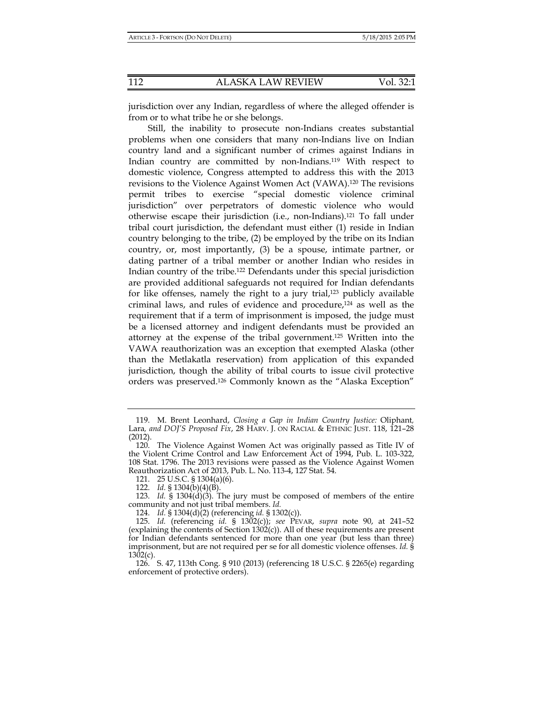jurisdiction over any Indian, regardless of where the alleged offender is from or to what tribe he or she belongs.

Still, the inability to prosecute non-Indians creates substantial problems when one considers that many non-Indians live on Indian country land and a significant number of crimes against Indians in Indian country are committed by non-Indians.119 With respect to domestic violence, Congress attempted to address this with the 2013 revisions to the Violence Against Women Act (VAWA).120 The revisions permit tribes to exercise "special domestic violence criminal jurisdiction" over perpetrators of domestic violence who would otherwise escape their jurisdiction (i.e., non-Indians).<sup>121</sup> To fall under tribal court jurisdiction, the defendant must either (1) reside in Indian country belonging to the tribe, (2) be employed by the tribe on its Indian country, or, most importantly, (3) be a spouse, intimate partner, or dating partner of a tribal member or another Indian who resides in Indian country of the tribe.122 Defendants under this special jurisdiction are provided additional safeguards not required for Indian defendants for like offenses, namely the right to a jury trial,<sup>123</sup> publicly available criminal laws, and rules of evidence and procedure,124 as well as the requirement that if a term of imprisonment is imposed, the judge must be a licensed attorney and indigent defendants must be provided an attorney at the expense of the tribal government.125 Written into the VAWA reauthorization was an exception that exempted Alaska (other than the Metlakatla reservation) from application of this expanded jurisdiction, though the ability of tribal courts to issue civil protective orders was preserved.126 Commonly known as the "Alaska Exception"

 <sup>119.</sup> M. Brent Leonhard, *Closing a Gap in Indian Country Justice:* Oliphant*,*  Lara*, and DOJ'S Proposed Fix*, 28 HARV. J. ON RACIAL & ETHNIC JUST. 118, 121–28 (2012).

 <sup>120.</sup> The Violence Against Women Act was originally passed as Title IV of the Violent Crime Control and Law Enforcement Act of 1994, Pub. L. 103-322, 108 Stat. 1796. The 2013 revisions were passed as the Violence Against Women Reauthorization Act of 2013, Pub. L. No. 113-4, 127 Stat. 54.

 <sup>121. 25</sup> U.S.C. § 1304(a)(6).

 <sup>122.</sup> *Id.* § 1304(b)(4)(B).

 <sup>123.</sup> *Id.* § 1304(d)(3). The jury must be composed of members of the entire community and not just tribal members. *Id.* 

 <sup>124.</sup> *Id.* § 1304(d)(2) (referencing *id.* § 1302(c)).

 <sup>125.</sup> *Id.* (referencing *id.* § 1302(c)); *see* PEVAR, *supra* note 90, at 241–52 (explaining the contents of Section  $1302(c)$ ). All of these requirements are present for Indian defendants sentenced for more than one year (but less than three) imprisonment, but are not required per se for all domestic violence offenses. *Id.* §  $1302(c)$ .

 <sup>126.</sup> S. 47, 113th Cong. § 910 (2013) (referencing 18 U.S.C. § 2265(e) regarding enforcement of protective orders).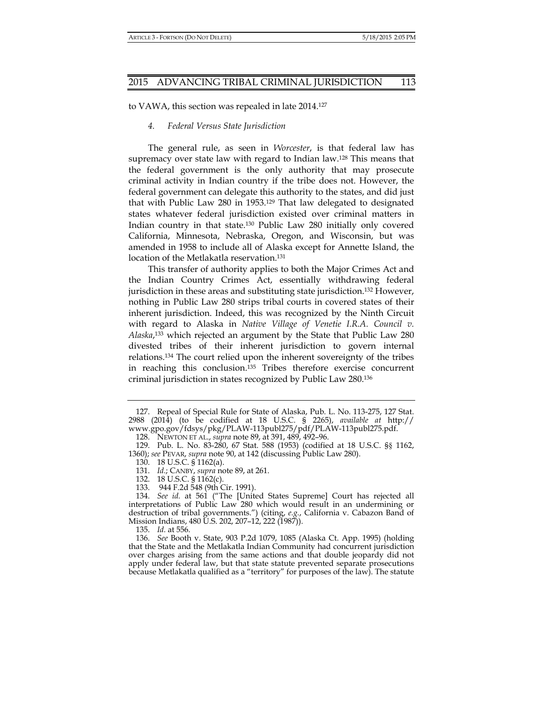to VAWA, this section was repealed in late 2014.127

#### *4. Federal Versus State Jurisdiction*

The general rule, as seen in *Worcester*, is that federal law has supremacy over state law with regard to Indian law.128 This means that the federal government is the only authority that may prosecute criminal activity in Indian country if the tribe does not. However, the federal government can delegate this authority to the states, and did just that with Public Law 280 in 1953.129 That law delegated to designated states whatever federal jurisdiction existed over criminal matters in Indian country in that state.130 Public Law 280 initially only covered California, Minnesota, Nebraska, Oregon, and Wisconsin, but was amended in 1958 to include all of Alaska except for Annette Island, the location of the Metlakatla reservation.<sup>131</sup>

This transfer of authority applies to both the Major Crimes Act and the Indian Country Crimes Act, essentially withdrawing federal jurisdiction in these areas and substituting state jurisdiction.132 However, nothing in Public Law 280 strips tribal courts in covered states of their inherent jurisdiction. Indeed, this was recognized by the Ninth Circuit with regard to Alaska in *Native Village of Venetie I.R.A. Council v. Alaska*, 133 which rejected an argument by the State that Public Law 280 divested tribes of their inherent jurisdiction to govern internal relations.134 The court relied upon the inherent sovereignty of the tribes in reaching this conclusion.135 Tribes therefore exercise concurrent criminal jurisdiction in states recognized by Public Law 280.136

 <sup>127.</sup> Repeal of Special Rule for State of Alaska, Pub. L. No. 113-275, 127 Stat. 2988 (2014) (to be codified at 18 U.S.C. § 2265), *available at* http:// www.gpo.gov/fdsys/pkg/PLAW-113publ275/pdf/PLAW-113publ275.pdf.

 <sup>128.</sup> NEWTON ET AL., *supra* note 89, at 391, 489, 492–96.

 <sup>129.</sup> Pub. L. No. 83-280, 67 Stat. 588 (1953) (codified at 18 U.S.C. §§ 1162, 1360); *see* PEVAR, *supra* note 90, at 142 (discussing Public Law 280).

 <sup>130. 18</sup> U.S.C. § 1162(a).

 <sup>131.</sup> *Id.*; CANBY, *supra* note 89, at 261.

 <sup>132. 18</sup> U.S.C. § 1162(c).

 <sup>133. 944</sup> F.2d 548 (9th Cir. 1991).

 <sup>134.</sup> *See id.* at 561 ("The [United States Supreme] Court has rejected all interpretations of Public Law 280 which would result in an undermining or destruction of tribal governments.") (citing, *e.g.*, California v. Cabazon Band of Mission Indians, 480 U.S. 202, 207–12, 222 (1987)).

 <sup>135.</sup> *Id.* at 556.

 <sup>136.</sup> *See* Booth v. State, 903 P.2d 1079, 1085 (Alaska Ct. App. 1995) (holding that the State and the Metlakatla Indian Community had concurrent jurisdiction over charges arising from the same actions and that double jeopardy did not apply under federal law, but that state statute prevented separate prosecutions because Metlakatla qualified as a "territory" for purposes of the law). The statute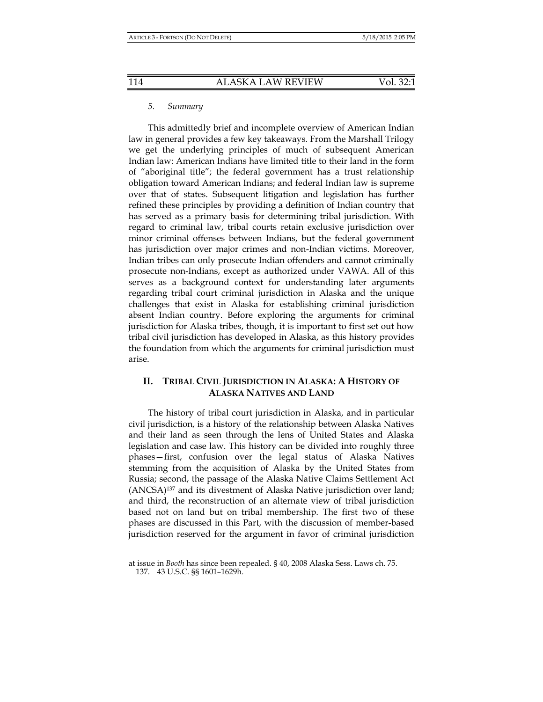#### *5. Summary*

This admittedly brief and incomplete overview of American Indian law in general provides a few key takeaways. From the Marshall Trilogy we get the underlying principles of much of subsequent American Indian law: American Indians have limited title to their land in the form of "aboriginal title"; the federal government has a trust relationship obligation toward American Indians; and federal Indian law is supreme over that of states. Subsequent litigation and legislation has further refined these principles by providing a definition of Indian country that has served as a primary basis for determining tribal jurisdiction. With regard to criminal law, tribal courts retain exclusive jurisdiction over minor criminal offenses between Indians, but the federal government has jurisdiction over major crimes and non-Indian victims. Moreover, Indian tribes can only prosecute Indian offenders and cannot criminally prosecute non-Indians, except as authorized under VAWA. All of this serves as a background context for understanding later arguments regarding tribal court criminal jurisdiction in Alaska and the unique challenges that exist in Alaska for establishing criminal jurisdiction absent Indian country. Before exploring the arguments for criminal jurisdiction for Alaska tribes, though, it is important to first set out how tribal civil jurisdiction has developed in Alaska, as this history provides the foundation from which the arguments for criminal jurisdiction must arise.

## **II. TRIBAL CIVIL JURISDICTION IN ALASKA: A HISTORY OF ALASKA NATIVES AND LAND**

The history of tribal court jurisdiction in Alaska, and in particular civil jurisdiction, is a history of the relationship between Alaska Natives and their land as seen through the lens of United States and Alaska legislation and case law. This history can be divided into roughly three phases—first, confusion over the legal status of Alaska Natives stemming from the acquisition of Alaska by the United States from Russia; second, the passage of the Alaska Native Claims Settlement Act (ANCSA)137 and its divestment of Alaska Native jurisdiction over land; and third, the reconstruction of an alternate view of tribal jurisdiction based not on land but on tribal membership. The first two of these phases are discussed in this Part, with the discussion of member-based jurisdiction reserved for the argument in favor of criminal jurisdiction

at issue in *Booth* has since been repealed. § 40, 2008 Alaska Sess. Laws ch. 75.

 <sup>137. 43</sup> U.S.C. §§ 1601–1629h.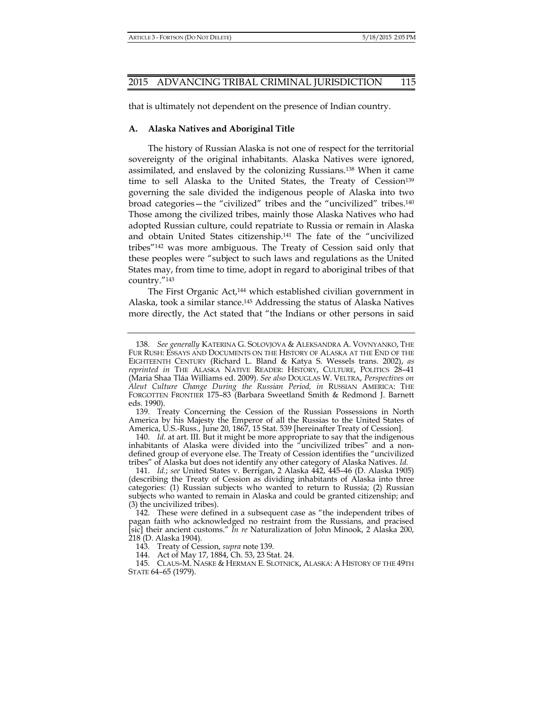that is ultimately not dependent on the presence of Indian country.

#### **A. Alaska Natives and Aboriginal Title**

The history of Russian Alaska is not one of respect for the territorial sovereignty of the original inhabitants. Alaska Natives were ignored, assimilated, and enslaved by the colonizing Russians.138 When it came time to sell Alaska to the United States, the Treaty of Cession<sup>139</sup> governing the sale divided the indigenous people of Alaska into two broad categories—the "civilized" tribes and the "uncivilized" tribes.140 Those among the civilized tribes, mainly those Alaska Natives who had adopted Russian culture, could repatriate to Russia or remain in Alaska and obtain United States citizenship.141 The fate of the "uncivilized tribes"142 was more ambiguous. The Treaty of Cession said only that these peoples were "subject to such laws and regulations as the United States may, from time to time, adopt in regard to aboriginal tribes of that country."143

The First Organic Act,<sup>144</sup> which established civilian government in Alaska, took a similar stance.145 Addressing the status of Alaska Natives more directly, the Act stated that "the Indians or other persons in said

 <sup>138.</sup> *See generally* KATERINA G. SOLOVJOVA & ALEKSANDRA A. VOVNYANKO, THE FUR RUSH: ESSAYS AND DOCUMENTS ON THE HISTORY OF ALASKA AT THE END OF THE EIGHTEENTH CENTURY (Richard L. Bland & Katya S. Wessels trans. 2002), *as reprinted in* THE ALASKA NATIVE READER: HISTORY, CULTURE, POLITICS 28–41 (Maria Shaa Tláa Williams ed. 2009). *See also* DOUGLAS W. VELTRA, *Perspectives on Aleut Culture Change During the Russian Period, in* RUSSIAN AMERICA: THE FORGOTTEN FRONTIER 175–83 (Barbara Sweetland Smith & Redmond J. Barnett eds. 1990).

 <sup>139.</sup> Treaty Concerning the Cession of the Russian Possessions in North America by his Majesty the Emperor of all the Russias to the United States of America, U.S.-Russ., June 20, 1867, 15 Stat. 539 [hereinafter Treaty of Cession].

 <sup>140.</sup> *Id.* at art. III. But it might be more appropriate to say that the indigenous inhabitants of Alaska were divided into the "uncivilized tribes" and a nondefined group of everyone else. The Treaty of Cession identifies the "uncivilized tribes" of Alaska but does not identify any other category of Alaska Natives. *Id.* 

 <sup>141.</sup> *Id.*; *see* United States v. Berrigan, 2 Alaska 442, 445–46 (D. Alaska 1905) (describing the Treaty of Cession as dividing inhabitants of Alaska into three categories: (1) Russian subjects who wanted to return to Russia; (2) Russian subjects who wanted to remain in Alaska and could be granted citizenship; and (3) the uncivilized tribes).

 <sup>142.</sup> These were defined in a subsequent case as "the independent tribes of pagan faith who acknowledged no restraint from the Russians, and pracised [sic] their ancient customs." *In re* Naturalization of John Minook, 2 Alaska 200, 218 (D. Alaska 1904).

 <sup>143.</sup> Treaty of Cession, *supra* note 139.

 <sup>144.</sup> Act of May 17, 1884, Ch. 53, 23 Stat. 24.

 <sup>145.</sup> CLAUS-M. NASKE & HERMAN E. SLOTNICK, ALASKA: A HISTORY OF THE 49TH STATE 64–65 (1979).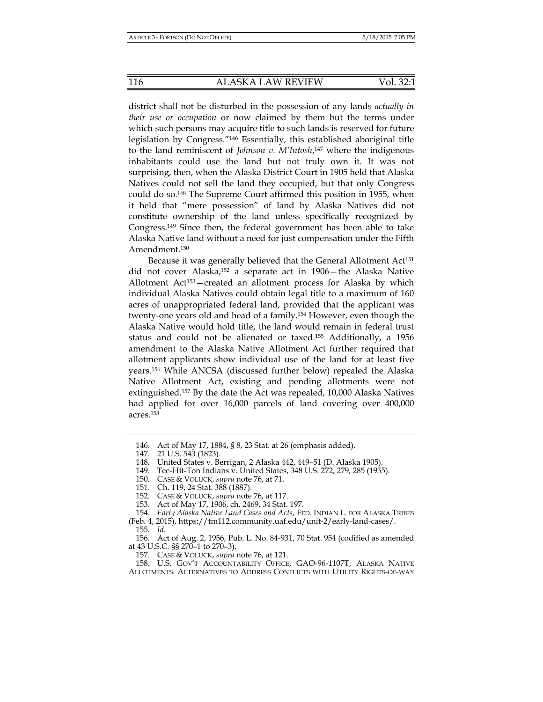district shall not be disturbed in the possession of any lands *actually in their use or occupation* or now claimed by them but the terms under which such persons may acquire title to such lands is reserved for future legislation by Congress."146 Essentially, this established aboriginal title to the land reminiscent of *Johnson v. M'Intosh*, 147 where the indigenous inhabitants could use the land but not truly own it. It was not surprising, then, when the Alaska District Court in 1905 held that Alaska Natives could not sell the land they occupied, but that only Congress could do so.148 The Supreme Court affirmed this position in 1955, when it held that "mere possession" of land by Alaska Natives did not constitute ownership of the land unless specifically recognized by Congress.149 Since then, the federal government has been able to take Alaska Native land without a need for just compensation under the Fifth Amendment.150

Because it was generally believed that the General Allotment Act<sup>151</sup> did not cover Alaska,152 a separate act in 1906—the Alaska Native Allotment Act<sup>153</sup>-created an allotment process for Alaska by which individual Alaska Natives could obtain legal title to a maximum of 160 acres of unappropriated federal land, provided that the applicant was twenty-one years old and head of a family.154 However, even though the Alaska Native would hold title, the land would remain in federal trust status and could not be alienated or taxed.155 Additionally, a 1956 amendment to the Alaska Native Allotment Act further required that allotment applicants show individual use of the land for at least five years.156 While ANCSA (discussed further below) repealed the Alaska Native Allotment Act, existing and pending allotments were not extinguished.157 By the date the Act was repealed, 10,000 Alaska Natives had applied for over 16,000 parcels of land covering over 400,000 acres.158

- 149. Tee-Hit-Ton Indians v. United States, 348 U.S. 272, 279, 285 (1955).
- 150. CASE & VOLUCK, *supra* note 76, at 71.

 154. *Early Alaska Native Land Cases and Acts*, FED. INDIAN L. FOR ALASKA TRIBES (Feb. 4, 2015), https://tm112.community.uaf.edu/unit-2/early-land-cases/.

 <sup>146.</sup> Act of May 17, 1884, § 8, 23 Stat. at 26 (emphasis added).

 <sup>147. 21</sup> U.S. 543 (1823).

 <sup>148.</sup> United States v. Berrigan, 2 Alaska 442, 449–51 (D. Alaska 1905).

 <sup>151.</sup> Ch. 119, 24 Stat. 388 (1887).

 <sup>152.</sup> CASE & VOLUCK, *supra* note 76, at 117.

 <sup>153.</sup> Act of May 17, 1906, ch. 2469, 34 Stat. 197.

 <sup>155.</sup> *Id.* 156. Act of Aug. 2, 1956, Pub. L. No. 84-931, 70 Stat. 954 (codified as amended

at 43 U.S.C. §§ 270–1 to 270–3).

 <sup>157.</sup> CASE & VOLUCK, *supra* note 76, at 121.

 <sup>158.</sup> U.S. GOV'T ACCOUNTABILITY OFFICE, GAO-96-1107T, ALASKA NATIVE ALLOTMENTS: ALTERNATIVES TO ADDRESS CONFLICTS WITH UTILITY RIGHTS-OF-WAY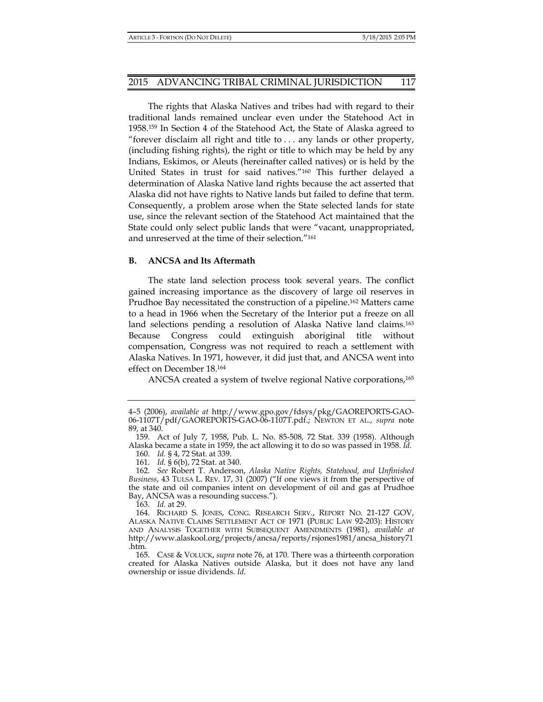The rights that Alaska Natives and tribes had with regard to their traditional lands remained unclear even under the Statehood Act in 1958.159 In Section 4 of the Statehood Act, the State of Alaska agreed to "forever disclaim all right and title to . . . any lands or other property, (including fishing rights), the right or title to which may be held by any Indians, Eskimos, or Aleuts (hereinafter called natives) or is held by the United States in trust for said natives."160 This further delayed a determination of Alaska Native land rights because the act asserted that Alaska did not have rights to Native lands but failed to define that term. Consequently, a problem arose when the State selected lands for state use, since the relevant section of the Statehood Act maintained that the State could only select public lands that were "vacant, unappropriated, and unreserved at the time of their selection."161

#### **B. ANCSA and Its Aftermath**

The state land selection process took several years. The conflict gained increasing importance as the discovery of large oil reserves in Prudhoe Bay necessitated the construction of a pipeline.162 Matters came to a head in 1966 when the Secretary of the Interior put a freeze on all land selections pending a resolution of Alaska Native land claims.163 Because Congress could extinguish aboriginal title without compensation, Congress was not required to reach a settlement with Alaska Natives. In 1971, however, it did just that, and ANCSA went into effect on December 18.164

ANCSA created a system of twelve regional Native corporations,<sup>165</sup>

<sup>4–5 (2006),</sup> *available at* http://www.gpo.gov/fdsys/pkg/GAOREPORTS-GAO-06-1107T/pdf/GAOREPORTS-GAO-06-1107T.pdf.; NEWTON ET AL., *supra* note 89, at 340.

 <sup>159.</sup> Act of July 7, 1958, Pub. L. No. 85-508, 72 Stat. 339 (1958). Although Alaska became a state in 1959, the act allowing it to do so was passed in 1958. *Id.*  160. *Id.* § 4, 72 Stat. at 339.

 <sup>161.</sup> *Id.* § 6(b), 72 Stat. at 340.

 <sup>162.</sup> *See* Robert T. Anderson, *Alaska Native Rights, Statehood, and Unfinished Business*, 43 TULSA L. REV. 17, 31 (2007) ("If one views it from the perspective of the state and oil companies intent on development of oil and gas at Prudhoe Bay, ANCSA was a resounding success.").

 <sup>163.</sup> *Id.* at 29.

 <sup>164.</sup> RICHARD S. JONES, CONG. RESEARCH SERV., REPORT NO. 21-127 GOV, ALASKA NATIVE CLAIMS SETTLEMENT ACT OF 1971 (PUBLIC LAW 92-203): HISTORY AND ANALYSIS TOGETHER WITH SUBSEQUENT AMENDMENTS (1981), *available at*  http://www.alaskool.org/projects/ancsa/reports/rsjones1981/ancsa\_history71 .htm.

 <sup>165.</sup> CASE & VOLUCK, *supra* note 76, at 170. There was a thirteenth corporation created for Alaska Natives outside Alaska, but it does not have any land ownership or issue dividends. *Id.*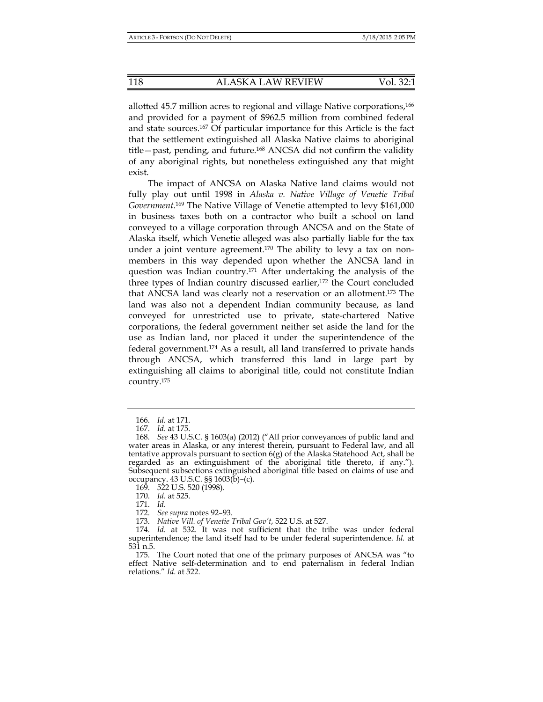allotted 45.7 million acres to regional and village Native corporations,<sup>166</sup> and provided for a payment of \$962.5 million from combined federal and state sources.167 Of particular importance for this Article is the fact that the settlement extinguished all Alaska Native claims to aboriginal title—past, pending, and future.168 ANCSA did not confirm the validity of any aboriginal rights, but nonetheless extinguished any that might exist.

The impact of ANCSA on Alaska Native land claims would not fully play out until 1998 in *Alaska v. Native Village of Venetie Tribal*  Government.<sup>169</sup> The Native Village of Venetie attempted to levy \$161,000 in business taxes both on a contractor who built a school on land conveyed to a village corporation through ANCSA and on the State of Alaska itself, which Venetie alleged was also partially liable for the tax under a joint venture agreement.<sup>170</sup> The ability to levy a tax on nonmembers in this way depended upon whether the ANCSA land in question was Indian country.171 After undertaking the analysis of the three types of Indian country discussed earlier,<sup>172</sup> the Court concluded that ANCSA land was clearly not a reservation or an allotment.173 The land was also not a dependent Indian community because, as land conveyed for unrestricted use to private, state-chartered Native corporations, the federal government neither set aside the land for the use as Indian land, nor placed it under the superintendence of the federal government.174 As a result, all land transferred to private hands through ANCSA, which transferred this land in large part by extinguishing all claims to aboriginal title, could not constitute Indian country.175

169. 522 U.S. 520 (1998).

170. *Id.* at 525.

171. *Id.*

172. *See supra* notes 92–93.

173. *Native Vill. of Venetie Tribal Gov't*, 522 U.S. at 527.

 <sup>166.</sup> *Id.* at 171.

 <sup>167.</sup> *Id.* at 175.

 <sup>168.</sup> *See* 43 U.S.C. § 1603(a) (2012) ("All prior conveyances of public land and water areas in Alaska, or any interest therein, pursuant to Federal law, and all tentative approvals pursuant to section 6(g) of the Alaska Statehood Act, shall be regarded as an extinguishment of the aboriginal title thereto, if any."). Subsequent subsections extinguished aboriginal title based on claims of use and occupancy. 43 U.S.C. §§ 1603(b)–(c).

 <sup>174.</sup> *Id*. at 532. It was not sufficient that the tribe was under federal superintendence; the land itself had to be under federal superintendence. *Id.* at 531 n.5.

 <sup>175.</sup> The Court noted that one of the primary purposes of ANCSA was "to effect Native self-determination and to end paternalism in federal Indian relations." *Id*. at 522.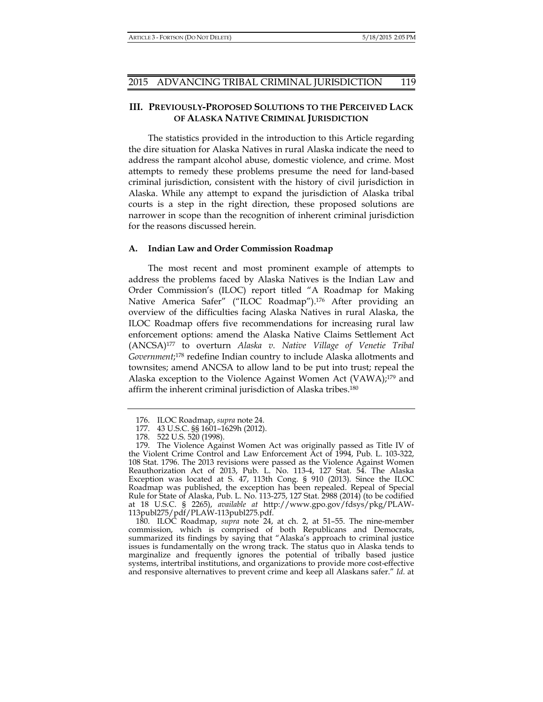## **III. PREVIOUSLY-PROPOSED SOLUTIONS TO THE PERCEIVED LACK OF ALASKA NATIVE CRIMINAL JURISDICTION**

The statistics provided in the introduction to this Article regarding the dire situation for Alaska Natives in rural Alaska indicate the need to address the rampant alcohol abuse, domestic violence, and crime. Most attempts to remedy these problems presume the need for land-based criminal jurisdiction, consistent with the history of civil jurisdiction in Alaska. While any attempt to expand the jurisdiction of Alaska tribal courts is a step in the right direction, these proposed solutions are narrower in scope than the recognition of inherent criminal jurisdiction for the reasons discussed herein.

## **A. Indian Law and Order Commission Roadmap**

The most recent and most prominent example of attempts to address the problems faced by Alaska Natives is the Indian Law and Order Commission's (ILOC) report titled "A Roadmap for Making Native America Safer" ("ILOC Roadmap").<sup>176</sup> After providing an overview of the difficulties facing Alaska Natives in rural Alaska, the ILOC Roadmap offers five recommendations for increasing rural law enforcement options: amend the Alaska Native Claims Settlement Act (ANCSA)177 to overturn *Alaska v. Native Village of Venetie Tribal Government*; 178 redefine Indian country to include Alaska allotments and townsites; amend ANCSA to allow land to be put into trust; repeal the Alaska exception to the Violence Against Women Act (VAWA);179 and affirm the inherent criminal jurisdiction of Alaska tribes.180

 180. ILOC Roadmap, *supra* note 24, at ch. 2, at 51–55. The nine-member commission, which is comprised of both Republicans and Democrats, summarized its findings by saying that "Alaska's approach to criminal justice issues is fundamentally on the wrong track. The status quo in Alaska tends to marginalize and frequently ignores the potential of tribally based justice systems, intertribal institutions, and organizations to provide more cost-effective and responsive alternatives to prevent crime and keep all Alaskans safer." *Id.* at

 <sup>176.</sup> ILOC Roadmap, *supra* note 24.

 <sup>177. 43</sup> U.S.C. §§ 1601–1629h (2012).

 <sup>178. 522</sup> U.S. 520 (1998).

 <sup>179.</sup> The Violence Against Women Act was originally passed as Title IV of the Violent Crime Control and Law Enforcement Act of 1994, Pub. L. 103-322, 108 Stat. 1796. The 2013 revisions were passed as the Violence Against Women Reauthorization Act of 2013, Pub. L. No. 113-4, 127 Stat. 54. The Alaska Exception was located at S. 47, 113th Cong. § 910 (2013). Since the ILOC Roadmap was published, the exception has been repealed. Repeal of Special Rule for State of Alaska, Pub. L. No. 113-275, 127 Stat. 2988 (2014) (to be codified at 18 U.S.C. § 2265), *available at* http://www.gpo.gov/fdsys/pkg/PLAW-113publ275/pdf/PLAW-113publ275.pdf.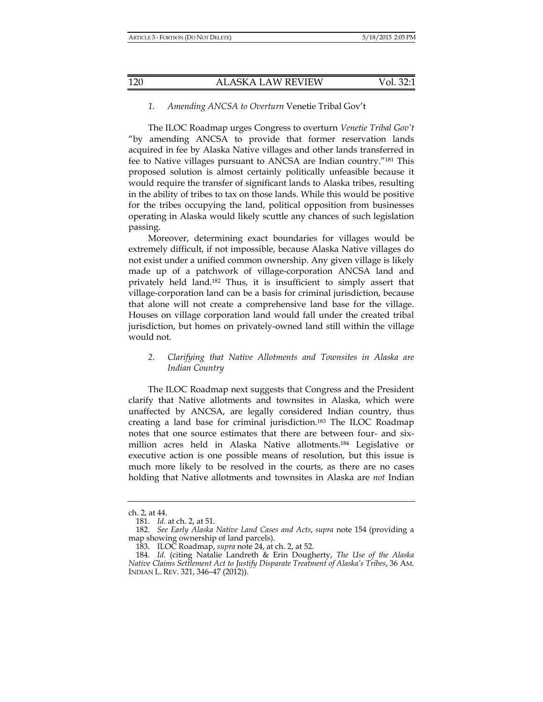## *1. Amending ANCSA to Overturn* Venetie Tribal Gov't

The ILOC Roadmap urges Congress to overturn *Venetie Tribal Gov't*  "by amending ANCSA to provide that former reservation lands acquired in fee by Alaska Native villages and other lands transferred in fee to Native villages pursuant to ANCSA are Indian country."181 This proposed solution is almost certainly politically unfeasible because it would require the transfer of significant lands to Alaska tribes, resulting in the ability of tribes to tax on those lands. While this would be positive for the tribes occupying the land, political opposition from businesses operating in Alaska would likely scuttle any chances of such legislation passing.

Moreover, determining exact boundaries for villages would be extremely difficult, if not impossible, because Alaska Native villages do not exist under a unified common ownership. Any given village is likely made up of a patchwork of village-corporation ANCSA land and privately held land.182 Thus, it is insufficient to simply assert that village-corporation land can be a basis for criminal jurisdiction, because that alone will not create a comprehensive land base for the village. Houses on village corporation land would fall under the created tribal jurisdiction, but homes on privately-owned land still within the village would not.

## *2. Clarifying that Native Allotments and Townsites in Alaska are Indian Country*

The ILOC Roadmap next suggests that Congress and the President clarify that Native allotments and townsites in Alaska, which were unaffected by ANCSA, are legally considered Indian country, thus creating a land base for criminal jurisdiction.183 The ILOC Roadmap notes that one source estimates that there are between four- and sixmillion acres held in Alaska Native allotments.184 Legislative or executive action is one possible means of resolution, but this issue is much more likely to be resolved in the courts, as there are no cases holding that Native allotments and townsites in Alaska are *not* Indian

ch. 2, at 44.

 <sup>181.</sup> *Id.* at ch. 2, at 51.

 <sup>182.</sup> *See Early Alaska Native Land Cases and Acts*, *supra* note 154 (providing a map showing ownership of land parcels).

 <sup>183.</sup> ILOC Roadmap, *supra* note 24, at ch. 2, at 52.

 <sup>184.</sup> *Id.* (citing Natalie Landreth & Erin Dougherty, *The Use of the Alaska Native Claims Settlement Act to Justify Disparate Treatment of Alaska's Tribes*, 36 AM. INDIAN L. REV. 321, 346–47 (2012)).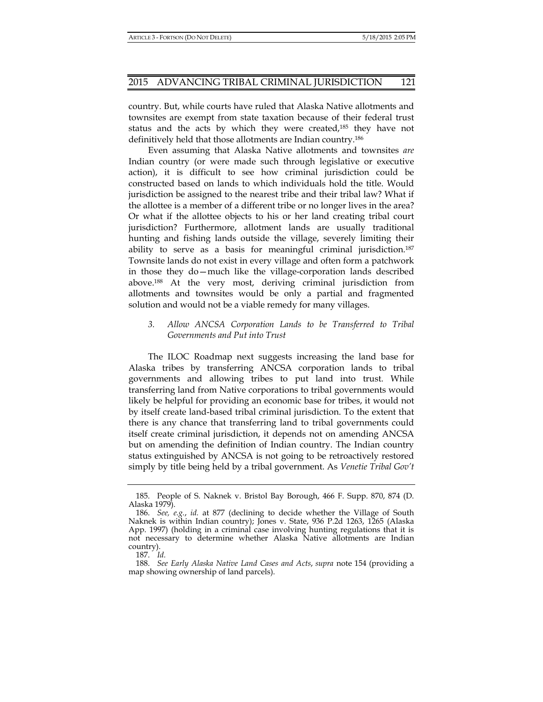country. But, while courts have ruled that Alaska Native allotments and townsites are exempt from state taxation because of their federal trust status and the acts by which they were created,<sup>185</sup> they have not definitively held that those allotments are Indian country.186

Even assuming that Alaska Native allotments and townsites *are* Indian country (or were made such through legislative or executive action), it is difficult to see how criminal jurisdiction could be constructed based on lands to which individuals hold the title. Would jurisdiction be assigned to the nearest tribe and their tribal law? What if the allottee is a member of a different tribe or no longer lives in the area? Or what if the allottee objects to his or her land creating tribal court jurisdiction? Furthermore, allotment lands are usually traditional hunting and fishing lands outside the village, severely limiting their ability to serve as a basis for meaningful criminal jurisdiction.187 Townsite lands do not exist in every village and often form a patchwork in those they do—much like the village-corporation lands described above.188 At the very most, deriving criminal jurisdiction from allotments and townsites would be only a partial and fragmented solution and would not be a viable remedy for many villages.

## *3. Allow ANCSA Corporation Lands to be Transferred to Tribal Governments and Put into Trust*

The ILOC Roadmap next suggests increasing the land base for Alaska tribes by transferring ANCSA corporation lands to tribal governments and allowing tribes to put land into trust. While transferring land from Native corporations to tribal governments would likely be helpful for providing an economic base for tribes, it would not by itself create land-based tribal criminal jurisdiction. To the extent that there is any chance that transferring land to tribal governments could itself create criminal jurisdiction, it depends not on amending ANCSA but on amending the definition of Indian country. The Indian country status extinguished by ANCSA is not going to be retroactively restored simply by title being held by a tribal government. As *Venetie Tribal Gov't*

 <sup>185.</sup> People of S. Naknek v. Bristol Bay Borough, 466 F. Supp. 870, 874 (D. Alaska 1979).

 <sup>186.</sup> *See, e.g.*, *id.* at 877 (declining to decide whether the Village of South Naknek is within Indian country); Jones v. State, 936 P.2d 1263, 1265 (Alaska App. 1997) (holding in a criminal case involving hunting regulations that it is not necessary to determine whether Alaska Native allotments are Indian country).

 <sup>187.</sup> *Id.*

 <sup>188.</sup> *See Early Alaska Native Land Cases and Acts*, *supra* note 154 (providing a map showing ownership of land parcels).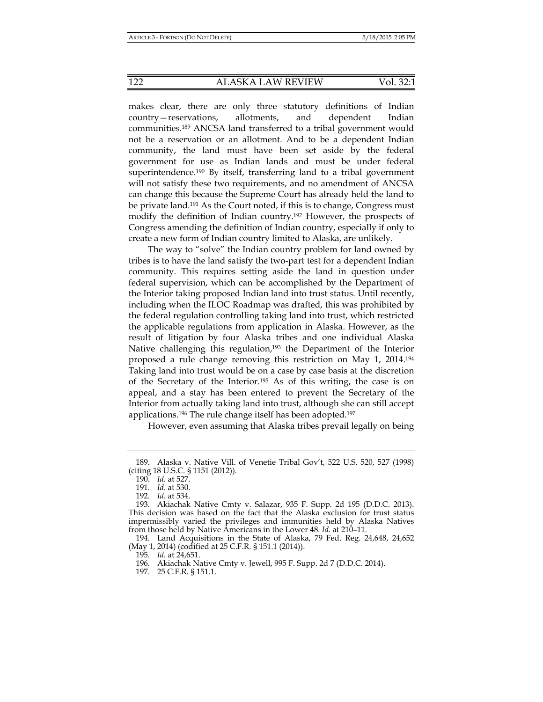makes clear, there are only three statutory definitions of Indian country—reservations, allotments, and dependent Indian communities.189 ANCSA land transferred to a tribal government would not be a reservation or an allotment. And to be a dependent Indian community, the land must have been set aside by the federal government for use as Indian lands and must be under federal superintendence.190 By itself, transferring land to a tribal government will not satisfy these two requirements, and no amendment of ANCSA can change this because the Supreme Court has already held the land to be private land.191 As the Court noted, if this is to change, Congress must modify the definition of Indian country.192 However, the prospects of Congress amending the definition of Indian country, especially if only to create a new form of Indian country limited to Alaska, are unlikely.

The way to "solve" the Indian country problem for land owned by tribes is to have the land satisfy the two-part test for a dependent Indian community. This requires setting aside the land in question under federal supervision, which can be accomplished by the Department of the Interior taking proposed Indian land into trust status. Until recently, including when the ILOC Roadmap was drafted, this was prohibited by the federal regulation controlling taking land into trust, which restricted the applicable regulations from application in Alaska. However, as the result of litigation by four Alaska tribes and one individual Alaska Native challenging this regulation, $193$  the Department of the Interior proposed a rule change removing this restriction on May 1, 2014.194 Taking land into trust would be on a case by case basis at the discretion of the Secretary of the Interior.195 As of this writing, the case is on appeal, and a stay has been entered to prevent the Secretary of the Interior from actually taking land into trust, although she can still accept applications.196 The rule change itself has been adopted.197

However, even assuming that Alaska tribes prevail legally on being

 <sup>189.</sup> Alaska v. Native Vill. of Venetie Tribal Gov't, 522 U.S. 520, 527 (1998) (citing 18 U.S.C. § 1151 (2012)).

 <sup>190.</sup> *Id.* at 527.

 <sup>191.</sup> *Id.* at 530.

 <sup>192.</sup> *Id.* at 534.

 <sup>193.</sup> Akiachak Native Cmty v. Salazar, 935 F. Supp. 2d 195 (D.D.C. 2013). This decision was based on the fact that the Alaska exclusion for trust status impermissibly varied the privileges and immunities held by Alaska Natives from those held by Native Americans in the Lower 48. *Id.* at 210–11.

 <sup>194.</sup> Land Acquisitions in the State of Alaska, 79 Fed. Reg. 24,648, 24,652 (May 1, 2014) (codified at 25 C.F.R. § 151.1 (2014)).

 <sup>195.</sup> *Id.* at 24,651.

 <sup>196.</sup> Akiachak Native Cmty v. Jewell, 995 F. Supp. 2d 7 (D.D.C. 2014).

 <sup>197. 25</sup> C.F.R. § 151.1.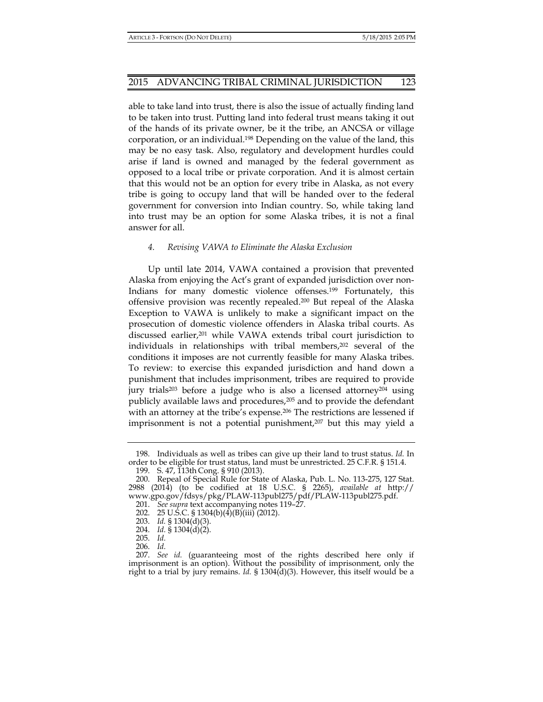able to take land into trust, there is also the issue of actually finding land to be taken into trust. Putting land into federal trust means taking it out of the hands of its private owner, be it the tribe, an ANCSA or village corporation, or an individual.198 Depending on the value of the land, this may be no easy task. Also, regulatory and development hurdles could arise if land is owned and managed by the federal government as opposed to a local tribe or private corporation. And it is almost certain that this would not be an option for every tribe in Alaska, as not every tribe is going to occupy land that will be handed over to the federal government for conversion into Indian country. So, while taking land into trust may be an option for some Alaska tribes, it is not a final answer for all.

#### *4. Revising VAWA to Eliminate the Alaska Exclusion*

Up until late 2014, VAWA contained a provision that prevented Alaska from enjoying the Act's grant of expanded jurisdiction over non-Indians for many domestic violence offenses.199 Fortunately, this offensive provision was recently repealed.200 But repeal of the Alaska Exception to VAWA is unlikely to make a significant impact on the prosecution of domestic violence offenders in Alaska tribal courts. As discussed earlier,<sup>201</sup> while VAWA extends tribal court jurisdiction to individuals in relationships with tribal members,<sup>202</sup> several of the conditions it imposes are not currently feasible for many Alaska tribes. To review: to exercise this expanded jurisdiction and hand down a punishment that includes imprisonment, tribes are required to provide jury trials<sup>203</sup> before a judge who is also a licensed attorney<sup>204</sup> using publicly available laws and procedures,<sup>205</sup> and to provide the defendant with an attorney at the tribe's expense.<sup>206</sup> The restrictions are lessened if imprisonment is not a potential punishment,207 but this may yield a

201. *See supra* text accompanying notes 119–27.

 <sup>198.</sup> Individuals as well as tribes can give up their land to trust status. *Id.* In order to be eligible for trust status, land must be unrestricted. 25 C.F.R. § 151.4.

 <sup>199.</sup> S. 47, 113th Cong. § 910 (2013).

 <sup>200.</sup> Repeal of Special Rule for State of Alaska, Pub. L. No. 113-275, 127 Stat. 2988 (2014) (to be codified at 18 U.S.C. § 2265), *available at* http:// www.gpo.gov/fdsys/pkg/PLAW-113publ275/pdf/PLAW-113publ275.pdf.

<sup>202. 25</sup> U.S.C. § 1304(b)(4)(B)(iii) (2012).

 <sup>203.</sup> *Id.* § 1304(d)(3).

 <sup>204.</sup> *Id.* § 1304(d)(2).

 <sup>205.</sup> *Id.*

 <sup>206.</sup> *Id.*

 <sup>207.</sup> *See id.* (guaranteeing most of the rights described here only if imprisonment is an option). Without the possibility of imprisonment, only the right to a trial by jury remains. *Id.* § 1304(d)(3). However, this itself would be a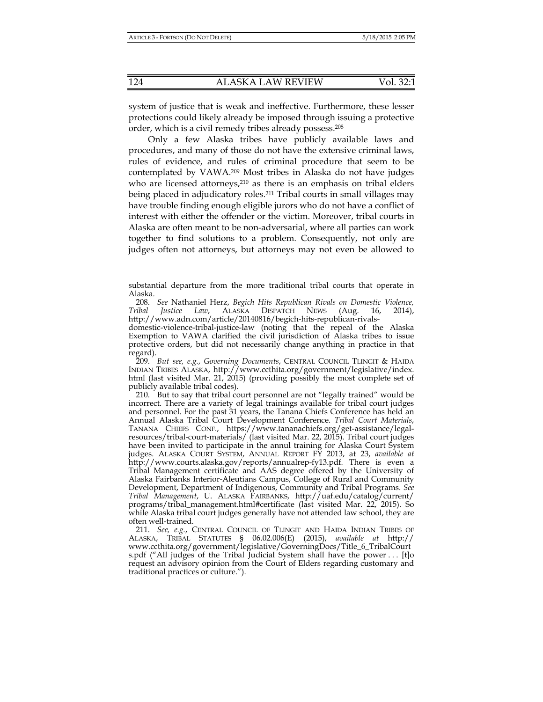system of justice that is weak and ineffective. Furthermore, these lesser protections could likely already be imposed through issuing a protective order, which is a civil remedy tribes already possess.208

Only a few Alaska tribes have publicly available laws and procedures, and many of those do not have the extensive criminal laws, rules of evidence, and rules of criminal procedure that seem to be contemplated by VAWA.209 Most tribes in Alaska do not have judges who are licensed attorneys,<sup>210</sup> as there is an emphasis on tribal elders being placed in adjudicatory roles.<sup>211</sup> Tribal courts in small villages may have trouble finding enough eligible jurors who do not have a conflict of interest with either the offender or the victim. Moreover, tribal courts in Alaska are often meant to be non-adversarial, where all parties can work together to find solutions to a problem. Consequently, not only are judges often not attorneys, but attorneys may not even be allowed to

substantial departure from the more traditional tribal courts that operate in Alaska.

 <sup>208.</sup> *See* Nathaniel Herz, *Begich Hits Republican Rivals on Domestic Violence, Tribal Justice Law*, ALASKA DISPATCH NEWS (Aug. 16, 2014), http://www.adn.com/article/20140816/begich-hits-republican-rivals-

domestic-violence-tribal-justice-law (noting that the repeal of the Alaska Exemption to VAWA clarified the civil jurisdiction of Alaska tribes to issue protective orders, but did not necessarily change anything in practice in that regard).

 <sup>209.</sup> *But see, e.g.*, *Governing Documents*, CENTRAL COUNCIL TLINGIT & HAIDA INDIAN TRIBES ALASKA, http://www.ccthita.org/government/legislative/index. html (last visited Mar. 21, 2015) (providing possibly the most complete set of publicly available tribal codes).

<sup>210.</sup> But to say that tribal court personnel are not "legally trained" would be incorrect. There are a variety of legal trainings available for tribal court judges and personnel. For the past 31 years, the Tanana Chiefs Conference has held an Annual Alaska Tribal Court Development Conference. *Tribal Court Materials*, TANANA CHIEFS CONF., https://www.tananachiefs.org/get-assistance/legalresources/tribal-court-materials/ (last visited Mar. 22, 2015). Tribal court judges have been invited to participate in the annul training for Alaska Court System judges. ALASKA COURT SYSTEM, ANNUAL REPORT FY 2013, at 23, *available at*  http://www.courts.alaska.gov/reports/annualrep-fy13.pdf*.* There is even a Tribal Management certificate and AAS degree offered by the University of Alaska Fairbanks Interior-Aleutians Campus, College of Rural and Community Development, Department of Indigenous, Community and Tribal Programs. *See Tribal Management*, U. ALASKA FAIRBANKS, http://uaf.edu/catalog/current/ programs/tribal\_management.html#certificate (last visited Mar. 22, 2015). So while Alaska tribal court judges generally have not attended law school, they are often well-trained.

 <sup>211.</sup> *See, e.g.*, CENTRAL COUNCIL OF TLINGIT AND HAIDA INDIAN TRIBES OF ALASKA, TRIBAL STATUTES § 06.02.006(E) (2015), *available at* http:// www.ccthita.org/government/legislative/GoverningDocs/Title\_6\_TribalCourt s.pdf ("All judges of the Tribal Judicial System shall have the power . . . [t]o request an advisory opinion from the Court of Elders regarding customary and traditional practices or culture.").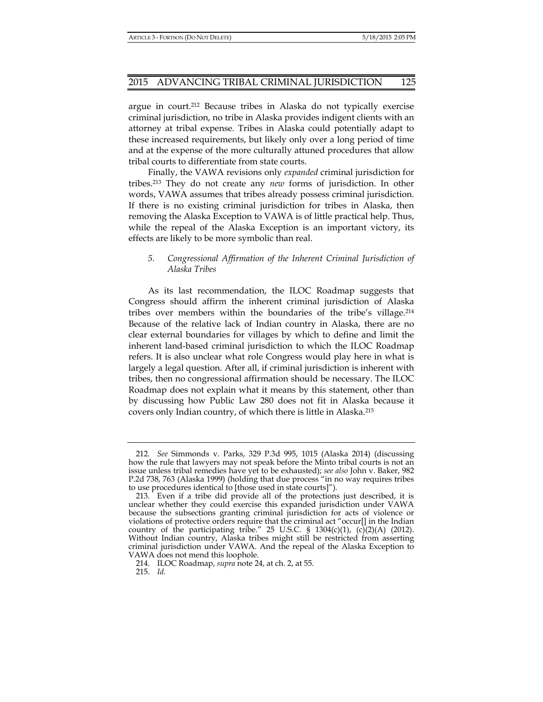argue in court.212 Because tribes in Alaska do not typically exercise criminal jurisdiction, no tribe in Alaska provides indigent clients with an attorney at tribal expense. Tribes in Alaska could potentially adapt to these increased requirements, but likely only over a long period of time and at the expense of the more culturally attuned procedures that allow tribal courts to differentiate from state courts.

Finally, the VAWA revisions only *expanded* criminal jurisdiction for tribes.213 They do not create any *new* forms of jurisdiction. In other words, VAWA assumes that tribes already possess criminal jurisdiction. If there is no existing criminal jurisdiction for tribes in Alaska, then removing the Alaska Exception to VAWA is of little practical help. Thus, while the repeal of the Alaska Exception is an important victory, its effects are likely to be more symbolic than real.

## *5. Congressional Affirmation of the Inherent Criminal Jurisdiction of Alaska Tribes*

As its last recommendation, the ILOC Roadmap suggests that Congress should affirm the inherent criminal jurisdiction of Alaska tribes over members within the boundaries of the tribe's village.214 Because of the relative lack of Indian country in Alaska, there are no clear external boundaries for villages by which to define and limit the inherent land-based criminal jurisdiction to which the ILOC Roadmap refers. It is also unclear what role Congress would play here in what is largely a legal question. After all, if criminal jurisdiction is inherent with tribes, then no congressional affirmation should be necessary. The ILOC Roadmap does not explain what it means by this statement, other than by discussing how Public Law 280 does not fit in Alaska because it covers only Indian country, of which there is little in Alaska.215

<sup>212</sup>*. See* Simmonds v. Parks, 329 P.3d 995, 1015 (Alaska 2014) (discussing how the rule that lawyers may not speak before the Minto tribal courts is not an issue unless tribal remedies have yet to be exhausted); *see also* John v. Baker, 982 P.2d 738, 763 (Alaska 1999) (holding that due process "in no way requires tribes to use procedures identical to [those used in state courts]").

 <sup>213.</sup> Even if a tribe did provide all of the protections just described, it is unclear whether they could exercise this expanded jurisdiction under VAWA because the subsections granting criminal jurisdiction for acts of violence or violations of protective orders require that the criminal act "occur[] in the Indian country of the participating tribe." 25 U.S.C. § 1304(c)(1), (c)(2)(A) (2012). Without Indian country, Alaska tribes might still be restricted from asserting criminal jurisdiction under VAWA. And the repeal of the Alaska Exception to VAWA does not mend this loophole.

 <sup>214.</sup> ILOC Roadmap, *supra* note 24, at ch. 2, at 55.

 <sup>215.</sup> *Id.*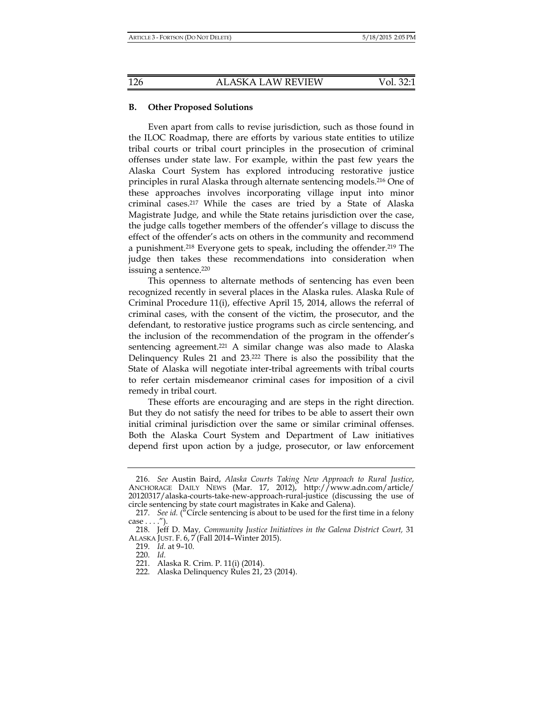#### **B. Other Proposed Solutions**

Even apart from calls to revise jurisdiction, such as those found in the ILOC Roadmap, there are efforts by various state entities to utilize tribal courts or tribal court principles in the prosecution of criminal offenses under state law. For example, within the past few years the Alaska Court System has explored introducing restorative justice principles in rural Alaska through alternate sentencing models.216 One of these approaches involves incorporating village input into minor criminal cases.217 While the cases are tried by a State of Alaska Magistrate Judge, and while the State retains jurisdiction over the case, the judge calls together members of the offender's village to discuss the effect of the offender's acts on others in the community and recommend a punishment.<sup>218</sup> Everyone gets to speak, including the offender.<sup>219</sup> The judge then takes these recommendations into consideration when issuing a sentence.<sup>220</sup>

This openness to alternate methods of sentencing has even been recognized recently in several places in the Alaska rules. Alaska Rule of Criminal Procedure 11(i), effective April 15, 2014, allows the referral of criminal cases, with the consent of the victim, the prosecutor, and the defendant, to restorative justice programs such as circle sentencing, and the inclusion of the recommendation of the program in the offender's sentencing agreement.<sup>221</sup> A similar change was also made to Alaska Delinquency Rules 21 and 23.222 There is also the possibility that the State of Alaska will negotiate inter-tribal agreements with tribal courts to refer certain misdemeanor criminal cases for imposition of a civil remedy in tribal court.

These efforts are encouraging and are steps in the right direction. But they do not satisfy the need for tribes to be able to assert their own initial criminal jurisdiction over the same or similar criminal offenses. Both the Alaska Court System and Department of Law initiatives depend first upon action by a judge, prosecutor, or law enforcement

219. *Id.* at 9–10.

220. *Id.*

 <sup>216.</sup> *See* Austin Baird, *Alaska Courts Taking New Approach to Rural Justice*, ANCHORAGE DAILY NEWS (Mar. 17, 2012), http://www.adn.com/article/ 20120317/alaska-courts-take-new-approach-rural-justice (discussing the use of circle sentencing by state court magistrates in Kake and Galena).

 <sup>217.</sup> *See id.* ("Circle sentencing is about to be used for the first time in a felony case . . . .").

 <sup>218.</sup> Jeff D. May*, Community Justice Initiatives in the Galena District Court,* 31 ALASKA JUST. F. 6, 7 (Fall 2014–Winter 2015).

 <sup>221.</sup> Alaska R. Crim. P. 11(i) (2014).

 <sup>222.</sup> Alaska Delinquency Rules 21, 23 (2014).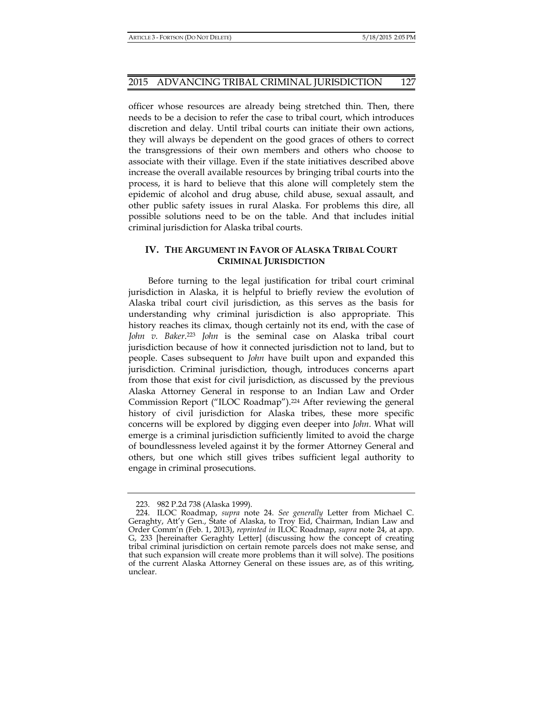officer whose resources are already being stretched thin. Then, there needs to be a decision to refer the case to tribal court, which introduces discretion and delay. Until tribal courts can initiate their own actions, they will always be dependent on the good graces of others to correct the transgressions of their own members and others who choose to associate with their village. Even if the state initiatives described above increase the overall available resources by bringing tribal courts into the process, it is hard to believe that this alone will completely stem the epidemic of alcohol and drug abuse, child abuse, sexual assault, and other public safety issues in rural Alaska. For problems this dire, all possible solutions need to be on the table. And that includes initial criminal jurisdiction for Alaska tribal courts.

## **IV. THE ARGUMENT IN FAVOR OF ALASKA TRIBAL COURT CRIMINAL JURISDICTION**

Before turning to the legal justification for tribal court criminal jurisdiction in Alaska, it is helpful to briefly review the evolution of Alaska tribal court civil jurisdiction, as this serves as the basis for understanding why criminal jurisdiction is also appropriate. This history reaches its climax, though certainly not its end, with the case of *John v. Baker*.223 *John* is the seminal case on Alaska tribal court jurisdiction because of how it connected jurisdiction not to land, but to people. Cases subsequent to *John* have built upon and expanded this jurisdiction. Criminal jurisdiction, though, introduces concerns apart from those that exist for civil jurisdiction, as discussed by the previous Alaska Attorney General in response to an Indian Law and Order Commission Report ("ILOC Roadmap").224 After reviewing the general history of civil jurisdiction for Alaska tribes, these more specific concerns will be explored by digging even deeper into *John*. What will emerge is a criminal jurisdiction sufficiently limited to avoid the charge of boundlessness leveled against it by the former Attorney General and others, but one which still gives tribes sufficient legal authority to engage in criminal prosecutions.

 <sup>223. 982</sup> P.2d 738 (Alaska 1999).

 <sup>224.</sup> ILOC Roadmap, *supra* note 24. *See generally* Letter from Michael C. Geraghty, Att'y Gen., State of Alaska, to Troy Eid, Chairman, Indian Law and Order Comm'n (Feb. 1, 2013), *reprinted in* ILOC Roadmap, *supra* note 24, at app. G, 233 [hereinafter Geraghty Letter] (discussing how the concept of creating tribal criminal jurisdiction on certain remote parcels does not make sense, and that such expansion will create more problems than it will solve). The positions of the current Alaska Attorney General on these issues are, as of this writing, unclear.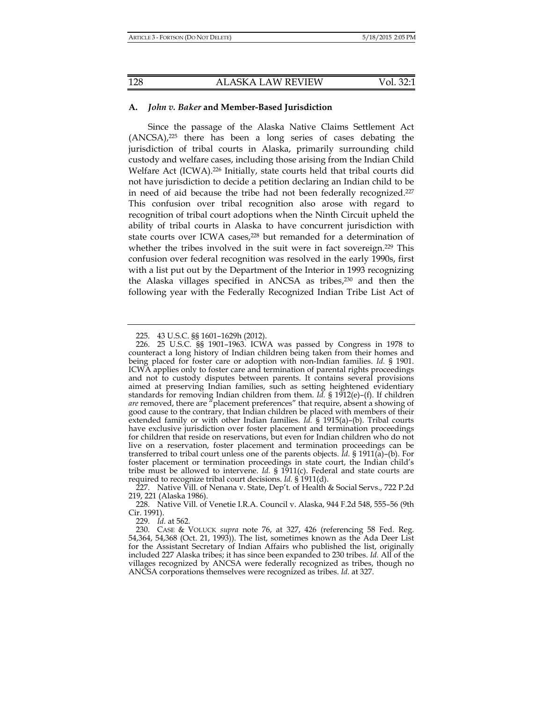#### **A.** *John v. Baker* **and Member-Based Jurisdiction**

Since the passage of the Alaska Native Claims Settlement Act (ANCSA),225 there has been a long series of cases debating the jurisdiction of tribal courts in Alaska, primarily surrounding child custody and welfare cases, including those arising from the Indian Child Welfare Act (ICWA).<sup>226</sup> Initially, state courts held that tribal courts did not have jurisdiction to decide a petition declaring an Indian child to be in need of aid because the tribe had not been federally recognized.227 This confusion over tribal recognition also arose with regard to recognition of tribal court adoptions when the Ninth Circuit upheld the ability of tribal courts in Alaska to have concurrent jurisdiction with state courts over ICWA cases,<sup>228</sup> but remanded for a determination of whether the tribes involved in the suit were in fact sovereign.<sup>229</sup> This confusion over federal recognition was resolved in the early 1990s, first with a list put out by the Department of the Interior in 1993 recognizing the Alaska villages specified in ANCSA as tribes,<sup>230</sup> and then the following year with the Federally Recognized Indian Tribe List Act of

229. *Id.* at 562.

 <sup>225. 43</sup> U.S.C. §§ 1601–1629h (2012).

 <sup>226. 25</sup> U.S.C. §§ 1901–1963. ICWA was passed by Congress in 1978 to counteract a long history of Indian children being taken from their homes and being placed for foster care or adoption with non-Indian families. *Id.* § 1901. ICWA applies only to foster care and termination of parental rights proceedings and not to custody disputes between parents. It contains several provisions aimed at preserving Indian families, such as setting heightened evidentiary standards for removing Indian children from them. *Id.* § 1912(e)–(f). If children *are* removed, there are "placement preferences" that require, absent a showing of good cause to the contrary, that Indian children be placed with members of their extended family or with other Indian families. *Id.* § 1915(a)–(b). Tribal courts have exclusive jurisdiction over foster placement and termination proceedings for children that reside on reservations, but even for Indian children who do not live on a reservation, foster placement and termination proceedings can be transferred to tribal court unless one of the parents objects. *Id.* § 1911(a)–(b). For foster placement or termination proceedings in state court, the Indian child's tribe must be allowed to intervene. *Id.* § 1911(c). Federal and state courts are required to recognize tribal court decisions. *Id.* § 1911(d).

 <sup>227.</sup> Native Vill. of Nenana v. State, Dep't. of Health & Social Servs., 722 P.2d 219, 221 (Alaska 1986).

 <sup>228.</sup> Native Vill. of Venetie I.R.A. Council v. Alaska, 944 F.2d 548, 555–56 (9th Cir. 1991).

 <sup>230.</sup> CASE & VOLUCK *supra* note 76, at 327, 426 (referencing 58 Fed. Reg. 54,364, 54,368 (Oct. 21, 1993)). The list, sometimes known as the Ada Deer List for the Assistant Secretary of Indian Affairs who published the list, originally included 227 Alaska tribes; it has since been expanded to 230 tribes. *Id.* All of the villages recognized by ANCSA were federally recognized as tribes, though no ANCSA corporations themselves were recognized as tribes. *Id.* at 327.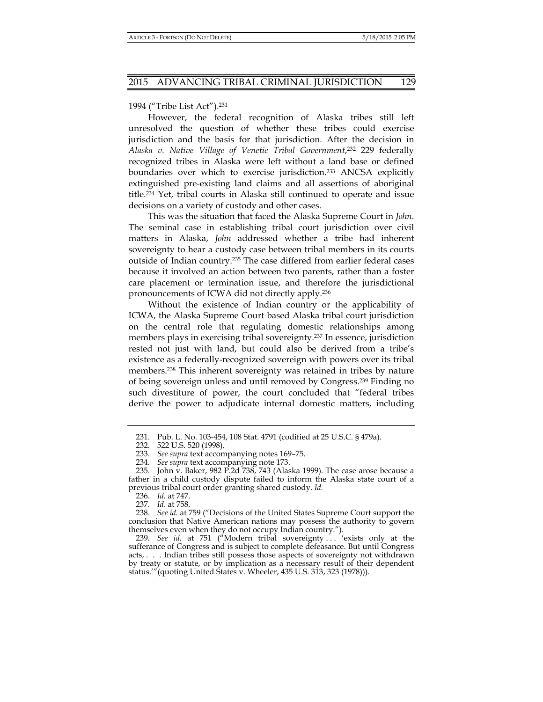1994 ("Tribe List Act").231

However, the federal recognition of Alaska tribes still left unresolved the question of whether these tribes could exercise jurisdiction and the basis for that jurisdiction. After the decision in *Alaska v. Native Village of Venetie Tribal Government*, 232 229 federally recognized tribes in Alaska were left without a land base or defined boundaries over which to exercise jurisdiction.<sup>233</sup> ANCSA explicitly extinguished pre-existing land claims and all assertions of aboriginal title.234 Yet, tribal courts in Alaska still continued to operate and issue decisions on a variety of custody and other cases.

This was the situation that faced the Alaska Supreme Court in *John*. The seminal case in establishing tribal court jurisdiction over civil matters in Alaska, *John* addressed whether a tribe had inherent sovereignty to hear a custody case between tribal members in its courts outside of Indian country.235 The case differed from earlier federal cases because it involved an action between two parents, rather than a foster care placement or termination issue, and therefore the jurisdictional pronouncements of ICWA did not directly apply.236

Without the existence of Indian country or the applicability of ICWA, the Alaska Supreme Court based Alaska tribal court jurisdiction on the central role that regulating domestic relationships among members plays in exercising tribal sovereignty.237 In essence, jurisdiction rested not just with land, but could also be derived from a tribe's existence as a federally-recognized sovereign with powers over its tribal members.238 This inherent sovereignty was retained in tribes by nature of being sovereign unless and until removed by Congress.239 Finding no such divestiture of power, the court concluded that "federal tribes derive the power to adjudicate internal domestic matters, including

236. *Id.* at 747.

 <sup>231.</sup> Pub. L. No. 103-454, 108 Stat. 4791 (codified at 25 U.S.C. § 479a).

 <sup>232. 522</sup> U.S. 520 (1998).

 <sup>233.</sup> *See supra* text accompanying notes 169–75.

 <sup>234.</sup> *See supra* text accompanying note 173.

<sup>235.</sup> John v. Baker, 982 P.2d  $\frac{738}{738}$ , 743 (Alaska 1999). The case arose because a father in a child custody dispute failed to inform the Alaska state court of a previous tribal court order granting shared custody. *Id.*

 <sup>237.</sup> *Id*. at 758.

 <sup>238.</sup> *See id.* at 759 ("Decisions of the United States Supreme Court support the conclusion that Native American nations may possess the authority to govern themselves even when they do not occupy Indian country.").

<sup>239.</sup> See id. at 751 ("Modern tribal sovereignty ... 'exists only at the sufferance of Congress and is subject to complete defeasance. But until Congress acts, . . . Indian tribes still possess those aspects of sovereignty not withdrawn by treaty or statute, or by implication as a necessary result of their dependent status.'"(quoting United States v. Wheeler, 435 U.S. 313, 323 (1978))).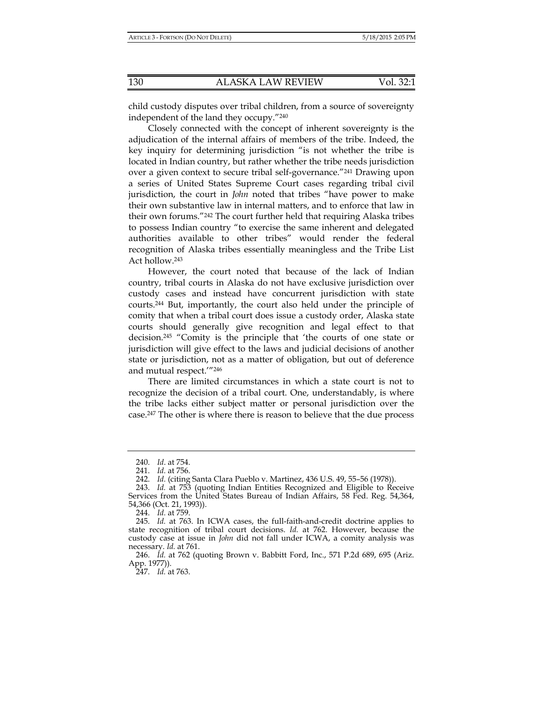child custody disputes over tribal children, from a source of sovereignty independent of the land they occupy."240

Closely connected with the concept of inherent sovereignty is the adjudication of the internal affairs of members of the tribe. Indeed, the key inquiry for determining jurisdiction "is not whether the tribe is located in Indian country, but rather whether the tribe needs jurisdiction over a given context to secure tribal self-governance."241 Drawing upon a series of United States Supreme Court cases regarding tribal civil jurisdiction, the court in *John* noted that tribes "have power to make their own substantive law in internal matters, and to enforce that law in their own forums."242 The court further held that requiring Alaska tribes to possess Indian country "to exercise the same inherent and delegated authorities available to other tribes" would render the federal recognition of Alaska tribes essentially meaningless and the Tribe List Act hollow.243

However, the court noted that because of the lack of Indian country, tribal courts in Alaska do not have exclusive jurisdiction over custody cases and instead have concurrent jurisdiction with state courts.244 But, importantly, the court also held under the principle of comity that when a tribal court does issue a custody order, Alaska state courts should generally give recognition and legal effect to that decision.245 "Comity is the principle that 'the courts of one state or jurisdiction will give effect to the laws and judicial decisions of another state or jurisdiction, not as a matter of obligation, but out of deference and mutual respect.'"246

There are limited circumstances in which a state court is not to recognize the decision of a tribal court. One, understandably, is where the tribe lacks either subject matter or personal jurisdiction over the case.247 The other is where there is reason to believe that the due process

 <sup>240.</sup> *Id*. at 754.

 <sup>241.</sup> *Id.* at 756.

 <sup>242.</sup> *Id.* (citing Santa Clara Pueblo v. Martinez, 436 U.S. 49, 55–56 (1978)).

 <sup>243.</sup> *Id.* at 753 (quoting Indian Entities Recognized and Eligible to Receive Services from the United States Bureau of Indian Affairs, 58 Fed. Reg. 54,364, 54,366 (Oct. 21, 1993)).

 <sup>244.</sup> *Id.* at 759.

 <sup>245.</sup> *Id.* at 763. In ICWA cases, the full-faith-and-credit doctrine applies to state recognition of tribal court decisions. *Id.* at 762. However, because the custody case at issue in *John* did not fall under ICWA, a comity analysis was necessary. *Id.* at 761.

 <sup>246.</sup> *Id.* at 762 (quoting Brown v. Babbitt Ford, Inc., 571 P.2d 689, 695 (Ariz. App. 1977)).

 <sup>247.</sup> *Id.* at 763.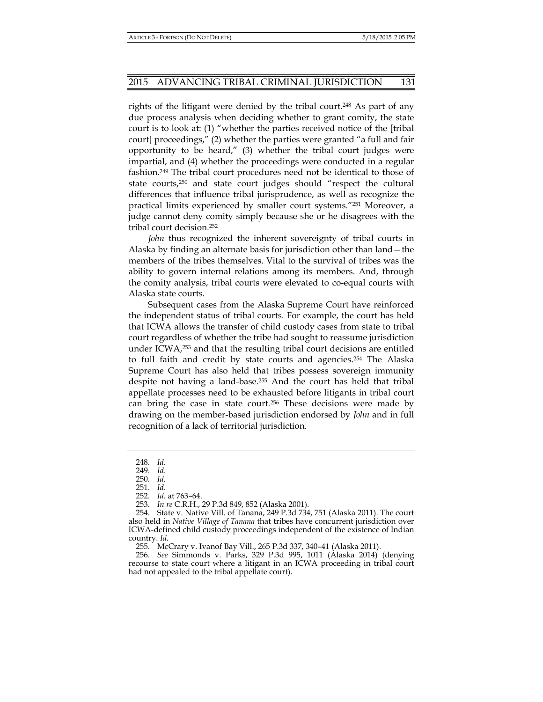rights of the litigant were denied by the tribal court.<sup>248</sup> As part of any due process analysis when deciding whether to grant comity, the state court is to look at: (1) "whether the parties received notice of the [tribal court] proceedings," (2) whether the parties were granted "a full and fair opportunity to be heard," (3) whether the tribal court judges were impartial, and (4) whether the proceedings were conducted in a regular fashion.249 The tribal court procedures need not be identical to those of state courts,250 and state court judges should "respect the cultural differences that influence tribal jurisprudence, as well as recognize the practical limits experienced by smaller court systems."251 Moreover, a judge cannot deny comity simply because she or he disagrees with the tribal court decision.252

*John* thus recognized the inherent sovereignty of tribal courts in Alaska by finding an alternate basis for jurisdiction other than land—the members of the tribes themselves. Vital to the survival of tribes was the ability to govern internal relations among its members. And, through the comity analysis, tribal courts were elevated to co-equal courts with Alaska state courts.

Subsequent cases from the Alaska Supreme Court have reinforced the independent status of tribal courts. For example, the court has held that ICWA allows the transfer of child custody cases from state to tribal court regardless of whether the tribe had sought to reassume jurisdiction under ICWA,253 and that the resulting tribal court decisions are entitled to full faith and credit by state courts and agencies.254 The Alaska Supreme Court has also held that tribes possess sovereign immunity despite not having a land-base.255 And the court has held that tribal appellate processes need to be exhausted before litigants in tribal court can bring the case in state court.256 These decisions were made by drawing on the member-based jurisdiction endorsed by *John* and in full recognition of a lack of territorial jurisdiction.

 <sup>248.</sup> *Id.*

 <sup>249.</sup> *Id.*

 <sup>250.</sup> *Id.*

 <sup>251.</sup> *Id.*

 <sup>252.</sup> *Id.* at 763–64.

 <sup>253.</sup> *In re* C.R.H., 29 P.3d 849, 852 (Alaska 2001).

 <sup>254.</sup> State v. Native Vill. of Tanana, 249 P.3d 734, 751 (Alaska 2011). The court also held in *Native Village of Tanana* that tribes have concurrent jurisdiction over ICWA-defined child custody proceedings independent of the existence of Indian country. *Id.* 

 <sup>255.</sup> McCrary v. Ivanof Bay Vill., 265 P.3d 337, 340–41 (Alaska 2011).

 <sup>256.</sup> *See* Simmonds v. Parks, 329 P.3d 995, 1011 (Alaska 2014) (denying recourse to state court where a litigant in an ICWA proceeding in tribal court had not appealed to the tribal appellate court).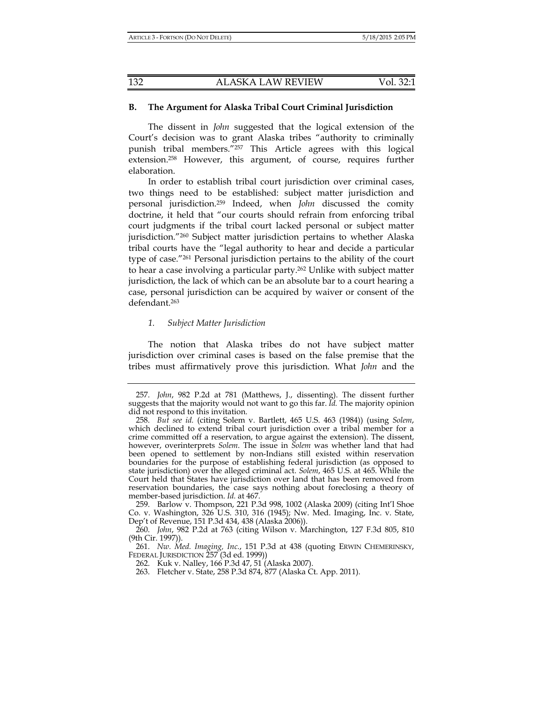#### **B. The Argument for Alaska Tribal Court Criminal Jurisdiction**

The dissent in *John* suggested that the logical extension of the Court's decision was to grant Alaska tribes "authority to criminally punish tribal members."257 This Article agrees with this logical extension.258 However, this argument, of course, requires further elaboration.

In order to establish tribal court jurisdiction over criminal cases, two things need to be established: subject matter jurisdiction and personal jurisdiction.259 Indeed, when *John* discussed the comity doctrine, it held that "our courts should refrain from enforcing tribal court judgments if the tribal court lacked personal or subject matter jurisdiction."260 Subject matter jurisdiction pertains to whether Alaska tribal courts have the "legal authority to hear and decide a particular type of case."261 Personal jurisdiction pertains to the ability of the court to hear a case involving a particular party.262 Unlike with subject matter jurisdiction, the lack of which can be an absolute bar to a court hearing a case, personal jurisdiction can be acquired by waiver or consent of the defendant.263

#### *1. Subject Matter Jurisdiction*

The notion that Alaska tribes do not have subject matter jurisdiction over criminal cases is based on the false premise that the tribes must affirmatively prove this jurisdiction. What *John* and the

 <sup>257.</sup> *John*, 982 P.2d at 781 (Matthews, J., dissenting). The dissent further suggests that the majority would not want to go this far. *Id.* The majority opinion did not respond to this invitation.

 <sup>258.</sup> *But see id.* (citing Solem v. Bartlett, 465 U.S. 463 (1984)) (using *Solem*, which declined to extend tribal court jurisdiction over a tribal member for a crime committed off a reservation, to argue against the extension). The dissent, however, overinterprets *Solem*. The issue in *Solem* was whether land that had been opened to settlement by non-Indians still existed within reservation boundaries for the purpose of establishing federal jurisdiction (as opposed to state jurisdiction) over the alleged criminal act. *Solem*, 465 U.S. at 465. While the Court held that States have jurisdiction over land that has been removed from reservation boundaries, the case says nothing about foreclosing a theory of member-based jurisdiction. *Id.* at 467.

 <sup>259.</sup> Barlow v. Thompson, 221 P.3d 998, 1002 (Alaska 2009) (citing Int'l Shoe Co. v. Washington, 326 U.S. 310, 316 (1945); Nw. Med. Imaging, Inc. v. State, Dep't of Revenue, 151 P.3d 434, 438 (Alaska 2006)).

 <sup>260.</sup> *John*, 982 P.2d at 763 (citing Wilson v. Marchington, 127 F.3d 805, 810 (9th Cir. 1997)).

 <sup>261.</sup> *Nw. Med. Imaging, Inc.*, 151 P.3d at 438 (quoting ERWIN CHEMERINSKY, FEDERAL JURISDICTION 257 (3d ed. 1999))

 <sup>262.</sup> Kuk v. Nalley, 166 P.3d 47, 51 (Alaska 2007).

 <sup>263.</sup> Fletcher v. State, 258 P.3d 874, 877 (Alaska Ct. App. 2011).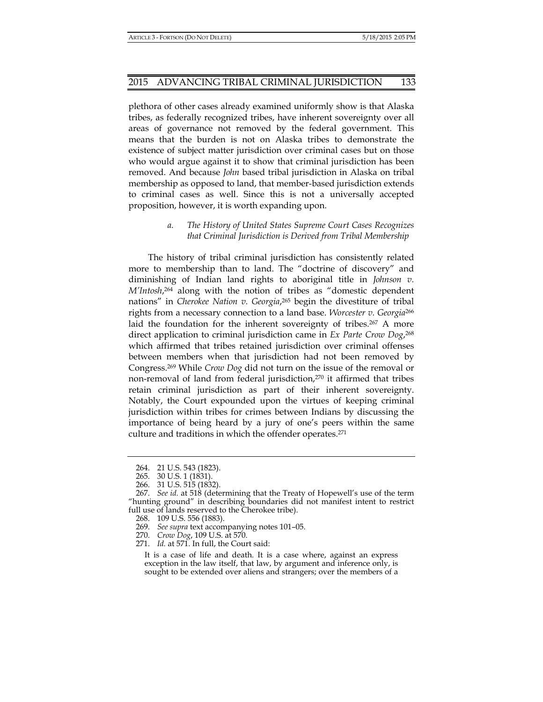plethora of other cases already examined uniformly show is that Alaska tribes, as federally recognized tribes, have inherent sovereignty over all areas of governance not removed by the federal government. This means that the burden is not on Alaska tribes to demonstrate the existence of subject matter jurisdiction over criminal cases but on those who would argue against it to show that criminal jurisdiction has been removed. And because *John* based tribal jurisdiction in Alaska on tribal membership as opposed to land, that member-based jurisdiction extends to criminal cases as well. Since this is not a universally accepted proposition, however, it is worth expanding upon.

## *a. The History of United States Supreme Court Cases Recognizes that Criminal Jurisdiction is Derived from Tribal Membership*

The history of tribal criminal jurisdiction has consistently related more to membership than to land. The "doctrine of discovery" and diminishing of Indian land rights to aboriginal title in *Johnson v. M'Intosh*, 264 along with the notion of tribes as "domestic dependent nations" in *Cherokee Nation v. Georgia*, 265 begin the divestiture of tribal rights from a necessary connection to a land base. *Worcester v. Georgia*<sup>266</sup> laid the foundation for the inherent sovereignty of tribes.<sup>267</sup> A more direct application to criminal jurisdiction came in *Ex Parte Crow Dog*,268 which affirmed that tribes retained jurisdiction over criminal offenses between members when that jurisdiction had not been removed by Congress.269 While *Crow Dog* did not turn on the issue of the removal or non-removal of land from federal jurisdiction,270 it affirmed that tribes retain criminal jurisdiction as part of their inherent sovereignty. Notably, the Court expounded upon the virtues of keeping criminal jurisdiction within tribes for crimes between Indians by discussing the importance of being heard by a jury of one's peers within the same culture and traditions in which the offender operates.271

 <sup>264. 21</sup> U.S. 543 (1823).

 <sup>265. 30</sup> U.S. 1 (1831).

 <sup>266. 31</sup> U.S. 515 (1832).

 <sup>267.</sup> *See id.* at 518 (determining that the Treaty of Hopewell's use of the term "hunting ground" in describing boundaries did not manifest intent to restrict full use of lands reserved to the Cherokee tribe).

 <sup>268. 109</sup> U.S. 556 (1883).

 <sup>269.</sup> *See supra* text accompanying notes 101–05.

 <sup>270.</sup> *Crow Dog*, 109 U.S. at 570.

 <sup>271.</sup> *Id.* at 571. In full, the Court said:

It is a case of life and death. It is a case where, against an express exception in the law itself, that law, by argument and inference only, is sought to be extended over aliens and strangers; over the members of a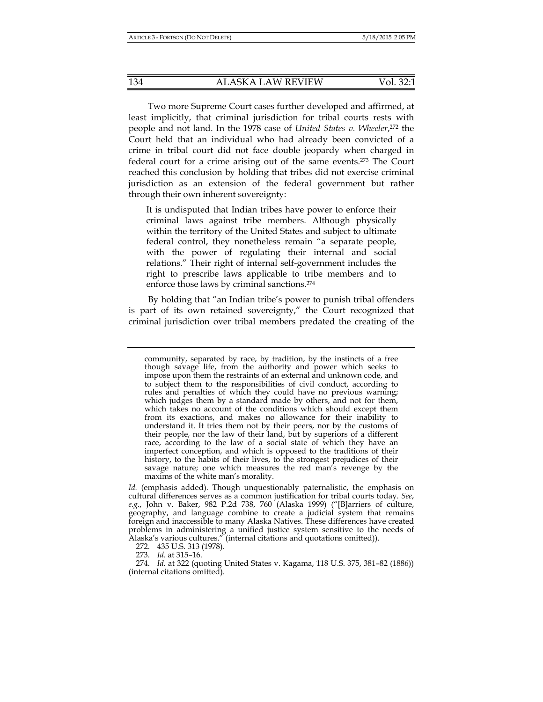Two more Supreme Court cases further developed and affirmed, at least implicitly, that criminal jurisdiction for tribal courts rests with people and not land. In the 1978 case of *United States v. Wheeler*, 272 the Court held that an individual who had already been convicted of a crime in tribal court did not face double jeopardy when charged in federal court for a crime arising out of the same events.273 The Court reached this conclusion by holding that tribes did not exercise criminal jurisdiction as an extension of the federal government but rather through their own inherent sovereignty:

It is undisputed that Indian tribes have power to enforce their criminal laws against tribe members. Although physically within the territory of the United States and subject to ultimate federal control, they nonetheless remain "a separate people, with the power of regulating their internal and social relations." Their right of internal self-government includes the right to prescribe laws applicable to tribe members and to enforce those laws by criminal sanctions.274

By holding that "an Indian tribe's power to punish tribal offenders is part of its own retained sovereignty," the Court recognized that criminal jurisdiction over tribal members predated the creating of the

*Id.* (emphasis added). Though unquestionably paternalistic, the emphasis on cultural differences serves as a common justification for tribal courts today. *See*, *e.g.*, John v. Baker, 982 P.2d 738, 760 (Alaska 1999) ("[B]arriers of culture, geography, and language combine to create a judicial system that remains foreign and inaccessible to many Alaska Natives. These differences have created problems in administering a unified justice system sensitive to the needs of Alaska's various cultures." (internal citations and quotations omitted)).

272. 435 U.S. 313 (1978).

273. *Id.* at 315–16.

community, separated by race, by tradition, by the instincts of a free though savage life, from the authority and power which seeks to impose upon them the restraints of an external and unknown code, and to subject them to the responsibilities of civil conduct, according to rules and penalties of which they could have no previous warning; which judges them by a standard made by others, and not for them, which takes no account of the conditions which should except them from its exactions, and makes no allowance for their inability to understand it. It tries them not by their peers, nor by the customs of their people, nor the law of their land, but by superiors of a different race, according to the law of a social state of which they have an imperfect conception, and which is opposed to the traditions of their history, to the habits of their lives, to the strongest prejudices of their savage nature; one which measures the red man's revenge by the maxims of the white man's morality.

 <sup>274.</sup> *Id.* at 322 (quoting United States v. Kagama, 118 U.S. 375, 381–82 (1886)) (internal citations omitted).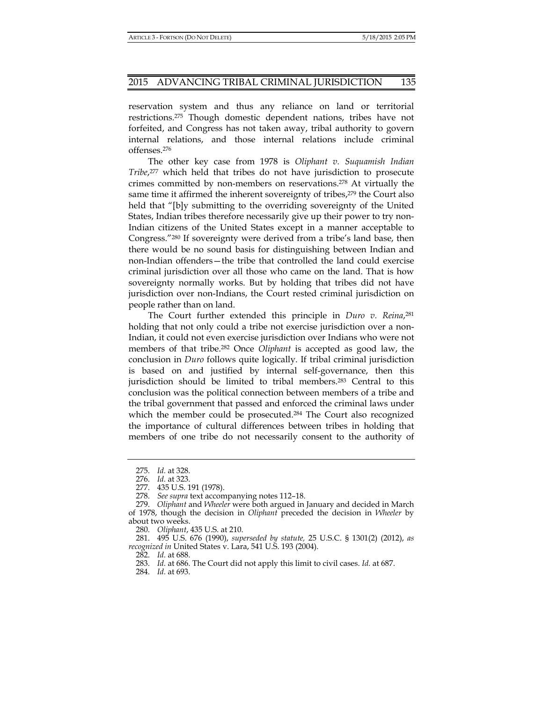reservation system and thus any reliance on land or territorial restrictions.275 Though domestic dependent nations, tribes have not forfeited, and Congress has not taken away, tribal authority to govern internal relations, and those internal relations include criminal offenses.276

The other key case from 1978 is *Oliphant v. Suquamish Indian*  Tribe,<sup>277</sup> which held that tribes do not have jurisdiction to prosecute crimes committed by non-members on reservations.278 At virtually the same time it affirmed the inherent sovereignty of tribes,<sup>279</sup> the Court also held that "[b]y submitting to the overriding sovereignty of the United States, Indian tribes therefore necessarily give up their power to try non-Indian citizens of the United States except in a manner acceptable to Congress."280 If sovereignty were derived from a tribe's land base, then there would be no sound basis for distinguishing between Indian and non-Indian offenders—the tribe that controlled the land could exercise criminal jurisdiction over all those who came on the land. That is how sovereignty normally works. But by holding that tribes did not have jurisdiction over non-Indians, the Court rested criminal jurisdiction on people rather than on land.

The Court further extended this principle in *Duro v. Reina*,281 holding that not only could a tribe not exercise jurisdiction over a non-Indian, it could not even exercise jurisdiction over Indians who were not members of that tribe.282 Once *Oliphant* is accepted as good law, the conclusion in *Duro* follows quite logically. If tribal criminal jurisdiction is based on and justified by internal self-governance, then this jurisdiction should be limited to tribal members.283 Central to this conclusion was the political connection between members of a tribe and the tribal government that passed and enforced the criminal laws under which the member could be prosecuted.<sup>284</sup> The Court also recognized the importance of cultural differences between tribes in holding that members of one tribe do not necessarily consent to the authority of

 <sup>275.</sup> *Id.* at 328.

 <sup>276.</sup> *Id.* at 323.

 <sup>277. 435</sup> U.S. 191 (1978).

 <sup>278.</sup> *See supra* text accompanying notes 112–18.

 <sup>279.</sup> *Oliphant* and *Wheeler* were both argued in January and decided in March of 1978, though the decision in *Oliphant* preceded the decision in *Wheeler* by about two weeks.

 <sup>280.</sup> *Oliphant*, 435 U.S. at 210.

 <sup>281. 495</sup> U.S. 676 (1990), *superseded by statute,* 25 U.S.C. § 1301(2) (2012), *as recognized in* United States v. Lara, 541 U.S. 193 (2004).

 <sup>282.</sup> *Id.* at 688.

 <sup>283.</sup> *Id.* at 686. The Court did not apply this limit to civil cases. *Id.* at 687.

 <sup>284.</sup> *Id.* at 693.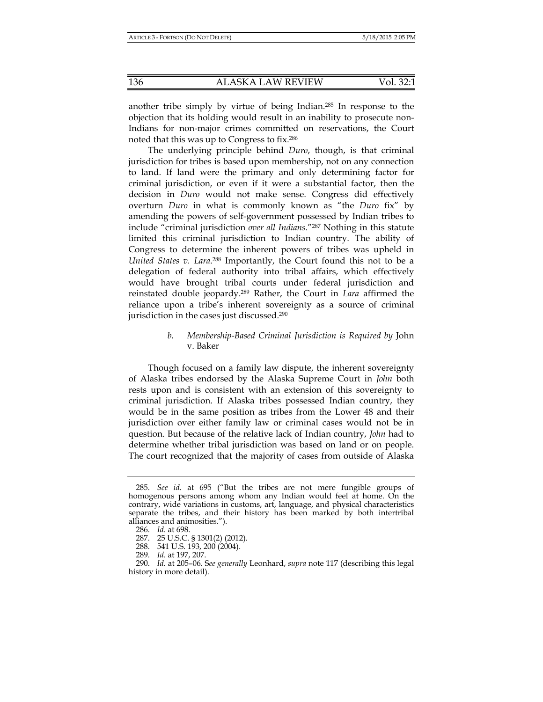another tribe simply by virtue of being Indian.285 In response to the objection that its holding would result in an inability to prosecute non-Indians for non-major crimes committed on reservations, the Court noted that this was up to Congress to fix.286

The underlying principle behind *Duro*, though, is that criminal jurisdiction for tribes is based upon membership, not on any connection to land. If land were the primary and only determining factor for criminal jurisdiction, or even if it were a substantial factor, then the decision in *Duro* would not make sense. Congress did effectively overturn *Duro* in what is commonly known as "the *Duro* fix" by amending the powers of self-government possessed by Indian tribes to include "criminal jurisdiction *over all Indians*."287 Nothing in this statute limited this criminal jurisdiction to Indian country. The ability of Congress to determine the inherent powers of tribes was upheld in *United States v. Lara*. 288 Importantly, the Court found this not to be a delegation of federal authority into tribal affairs, which effectively would have brought tribal courts under federal jurisdiction and reinstated double jeopardy.289 Rather, the Court in *Lara* affirmed the reliance upon a tribe's inherent sovereignty as a source of criminal jurisdiction in the cases just discussed.290

## *b. Membership-Based Criminal Jurisdiction is Required by* John v. Baker

Though focused on a family law dispute, the inherent sovereignty of Alaska tribes endorsed by the Alaska Supreme Court in *John* both rests upon and is consistent with an extension of this sovereignty to criminal jurisdiction. If Alaska tribes possessed Indian country, they would be in the same position as tribes from the Lower 48 and their jurisdiction over either family law or criminal cases would not be in question. But because of the relative lack of Indian country, *John* had to determine whether tribal jurisdiction was based on land or on people. The court recognized that the majority of cases from outside of Alaska

 <sup>285.</sup> *See id.* at 695 ("But the tribes are not mere fungible groups of homogenous persons among whom any Indian would feel at home. On the contrary, wide variations in customs, art, language, and physical characteristics separate the tribes, and their history has been marked by both intertribal alliances and animosities.").

 <sup>286.</sup> *Id.* at 698.

 <sup>287. 25</sup> U.S.C. § 1301(2) (2012).

 <sup>288. 541</sup> U.S. 193, 200 (2004).

 <sup>289.</sup> *Id.* at 197, 207.

 <sup>290.</sup> *Id.* at 205–06. S*ee generally* Leonhard, *supra* note 117 (describing this legal history in more detail).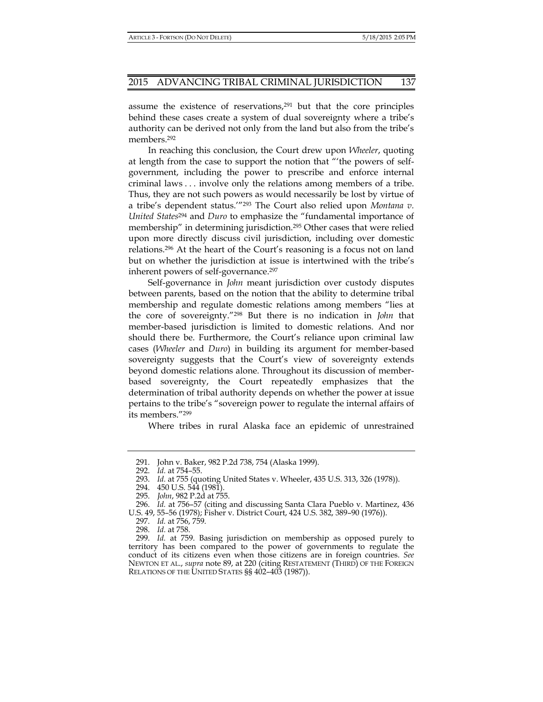assume the existence of reservations, $291$  but that the core principles behind these cases create a system of dual sovereignty where a tribe's authority can be derived not only from the land but also from the tribe's members.292

In reaching this conclusion, the Court drew upon *Wheeler*, quoting at length from the case to support the notion that "'the powers of selfgovernment, including the power to prescribe and enforce internal criminal laws . . . involve only the relations among members of a tribe. Thus, they are not such powers as would necessarily be lost by virtue of a tribe's dependent status.'"293 The Court also relied upon *Montana v. United States*294 and *Duro* to emphasize the "fundamental importance of membership" in determining jurisdiction.295 Other cases that were relied upon more directly discuss civil jurisdiction, including over domestic relations.296 At the heart of the Court's reasoning is a focus not on land but on whether the jurisdiction at issue is intertwined with the tribe's inherent powers of self-governance.297

Self-governance in *John* meant jurisdiction over custody disputes between parents, based on the notion that the ability to determine tribal membership and regulate domestic relations among members "lies at the core of sovereignty."298 But there is no indication in *John* that member-based jurisdiction is limited to domestic relations. And nor should there be. Furthermore, the Court's reliance upon criminal law cases (*Wheeler* and *Duro*) in building its argument for member-based sovereignty suggests that the Court's view of sovereignty extends beyond domestic relations alone. Throughout its discussion of memberbased sovereignty, the Court repeatedly emphasizes that the determination of tribal authority depends on whether the power at issue pertains to the tribe's "sovereign power to regulate the internal affairs of its members."299

Where tribes in rural Alaska face an epidemic of unrestrained

 <sup>291.</sup> John v. Baker, 982 P.2d 738, 754 (Alaska 1999).

 <sup>292.</sup> *Id.* at 754–55.

 <sup>293.</sup> *Id.* at 755 (quoting United States v. Wheeler, 435 U.S. 313, 326 (1978)).

 <sup>294. 450</sup> U.S. 544 (1981).

 <sup>295.</sup> *John*, 982 P.2d at 755.

 <sup>296.</sup> *Id.* at 756–57 (citing and discussing Santa Clara Pueblo v. Martinez, 436 U.S. 49, 55–56 (1978); Fisher v. District Court, 424 U.S. 382, 389–90 (1976)).

 <sup>297.</sup> *Id.* at 756, 759.

 <sup>298.</sup> *Id.* at 758.

 <sup>299.</sup> *Id.* at 759. Basing jurisdiction on membership as opposed purely to territory has been compared to the power of governments to regulate the conduct of its citizens even when those citizens are in foreign countries. *See* NEWTON ET AL., *supra* note 89, at 220 (citing RESTATEMENT (THIRD) OF THE FOREIGN RELATIONS OF THE UNITED STATES §§ 402–403 (1987)).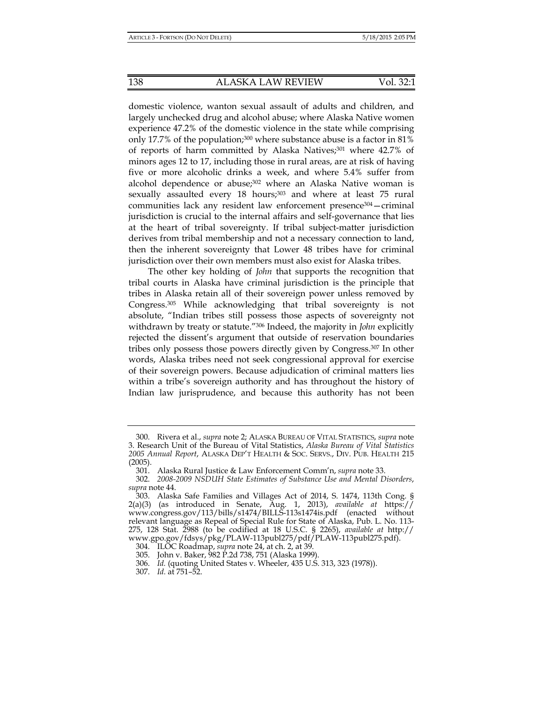domestic violence, wanton sexual assault of adults and children, and largely unchecked drug and alcohol abuse; where Alaska Native women experience 47.2% of the domestic violence in the state while comprising only 17.7% of the population;<sup>300</sup> where substance abuse is a factor in 81% of reports of harm committed by Alaska Natives;301 where 42.7% of minors ages 12 to 17, including those in rural areas, are at risk of having five or more alcoholic drinks a week, and where 5.4% suffer from alcohol dependence or abuse; $302$  where an Alaska Native woman is sexually assaulted every 18 hours;<sup>303</sup> and where at least 75 rural communities lack any resident law enforcement presence304—criminal jurisdiction is crucial to the internal affairs and self-governance that lies at the heart of tribal sovereignty. If tribal subject-matter jurisdiction derives from tribal membership and not a necessary connection to land, then the inherent sovereignty that Lower 48 tribes have for criminal jurisdiction over their own members must also exist for Alaska tribes.

The other key holding of *John* that supports the recognition that tribal courts in Alaska have criminal jurisdiction is the principle that tribes in Alaska retain all of their sovereign power unless removed by Congress.305 While acknowledging that tribal sovereignty is not absolute, "Indian tribes still possess those aspects of sovereignty not withdrawn by treaty or statute."306 Indeed, the majority in *John* explicitly rejected the dissent's argument that outside of reservation boundaries tribes only possess those powers directly given by Congress.307 In other words, Alaska tribes need not seek congressional approval for exercise of their sovereign powers. Because adjudication of criminal matters lies within a tribe's sovereign authority and has throughout the history of Indian law jurisprudence, and because this authority has not been

 <sup>300.</sup> Rivera et al., *supra* note 2; ALASKA BUREAU OF VITAL STATISTICS, *supra* note 3. Research Unit of the Bureau of Vital Statistics, *Alaska Bureau of Vital Statistics 2005 Annual Report*, ALASKA DEP'T HEALTH & SOC. SERVS., DIV. PUB. HEALTH 215 (2005).

 <sup>301.</sup> Alaska Rural Justice & Law Enforcement Comm'n, *supra* note 33.

 <sup>302.</sup> *2008-2009 NSDUH State Estimates of Substance Use and Mental Disorders*, *supra* note 44.

 <sup>303.</sup> Alaska Safe Families and Villages Act of 2014, S. 1474, 113th Cong. § 2(a)(3) (as introduced in Senate, Aug. 1, 2013), *available at* https:// www.congress.gov/113/bills/s1474/BILLS-113s1474is.pdf (enacted without relevant language as Repeal of Special Rule for State of Alaska, Pub. L. No. 113- 275, 128 Stat. 2988 (to be codified at 18 U.S.C. § 2265), *available at* http:// www.gpo.gov/fdsys/pkg/PLAW-113publ275/pdf/PLAW-113publ275.pdf).

 <sup>304.</sup> ILOC Roadmap, *supra* note 24, at ch. 2, at 39.

 <sup>305.</sup> John v. Baker, 982 P.2d 738, 751 (Alaska 1999).

 <sup>306.</sup> *Id.* (quoting United States v. Wheeler, 435 U.S. 313, 323 (1978)).

 <sup>307.</sup> *Id.* at 751–52.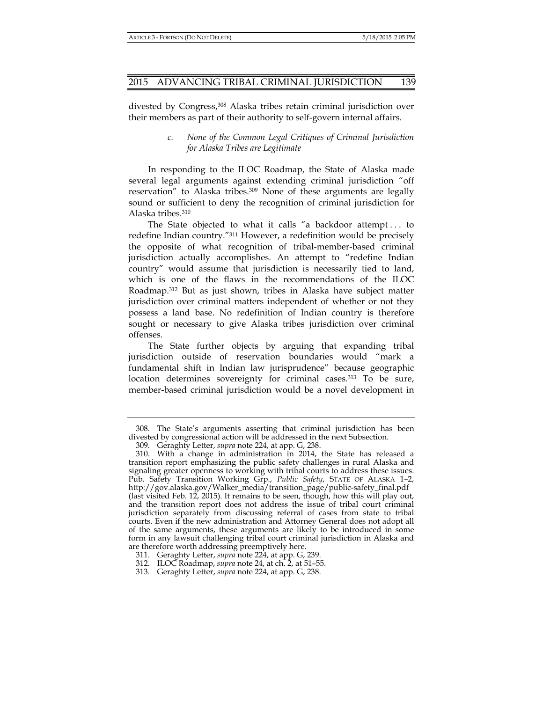divested by Congress,<sup>308</sup> Alaska tribes retain criminal jurisdiction over their members as part of their authority to self-govern internal affairs.

## *c. None of the Common Legal Critiques of Criminal Jurisdiction for Alaska Tribes are Legitimate*

In responding to the ILOC Roadmap, the State of Alaska made several legal arguments against extending criminal jurisdiction "off reservation" to Alaska tribes.<sup>309</sup> None of these arguments are legally sound or sufficient to deny the recognition of criminal jurisdiction for Alaska tribes.310

The State objected to what it calls "a backdoor attempt . . . to redefine Indian country."311 However, a redefinition would be precisely the opposite of what recognition of tribal-member-based criminal jurisdiction actually accomplishes. An attempt to "redefine Indian country" would assume that jurisdiction is necessarily tied to land, which is one of the flaws in the recommendations of the ILOC Roadmap.312 But as just shown, tribes in Alaska have subject matter jurisdiction over criminal matters independent of whether or not they possess a land base. No redefinition of Indian country is therefore sought or necessary to give Alaska tribes jurisdiction over criminal offenses.

The State further objects by arguing that expanding tribal jurisdiction outside of reservation boundaries would "mark a fundamental shift in Indian law jurisprudence" because geographic location determines sovereignty for criminal cases.<sup>313</sup> To be sure, member-based criminal jurisdiction would be a novel development in

 <sup>308.</sup> The State's arguments asserting that criminal jurisdiction has been divested by congressional action will be addressed in the next Subsection.

 <sup>309.</sup> Geraghty Letter, *supra* note 224, at app. G, 238.

 <sup>310.</sup> With a change in administration in 2014, the State has released a transition report emphasizing the public safety challenges in rural Alaska and signaling greater openness to working with tribal courts to address these issues. Pub. Safety Transition Working Grp., *Public Safety*, STATE OF ALASKA 1–2, http://gov.alaska.gov/Walker\_media/transition\_page/public-safety\_final.pdf (last visited Feb. 12, 2015). It remains to be seen, though, how this will play out, and the transition report does not address the issue of tribal court criminal jurisdiction separately from discussing referral of cases from state to tribal courts. Even if the new administration and Attorney General does not adopt all of the same arguments, these arguments are likely to be introduced in some form in any lawsuit challenging tribal court criminal jurisdiction in Alaska and are therefore worth addressing preemptively here.

 <sup>311.</sup> Geraghty Letter, *supra* note 224, at app. G, 239.

 <sup>312.</sup> ILOC Roadmap, *supra* note 24, at ch. 2, at 51–55.

 <sup>313.</sup> Geraghty Letter, *supra* note 224, at app. G, 238.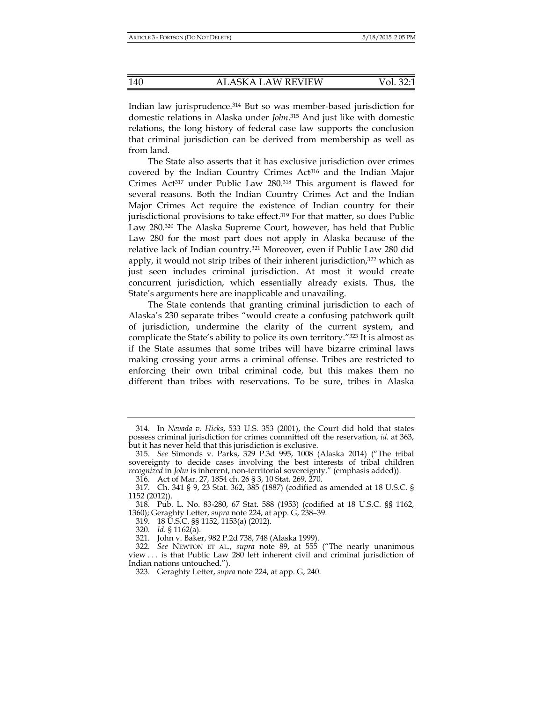Indian law jurisprudence.314 But so was member-based jurisdiction for domestic relations in Alaska under *John*. 315 And just like with domestic relations, the long history of federal case law supports the conclusion that criminal jurisdiction can be derived from membership as well as from land.

The State also asserts that it has exclusive jurisdiction over crimes covered by the Indian Country Crimes Act<sup>316</sup> and the Indian Major Crimes Act317 under Public Law 280.318 This argument is flawed for several reasons. Both the Indian Country Crimes Act and the Indian Major Crimes Act require the existence of Indian country for their jurisdictional provisions to take effect.319 For that matter, so does Public Law 280.320 The Alaska Supreme Court, however, has held that Public Law 280 for the most part does not apply in Alaska because of the relative lack of Indian country.321 Moreover, even if Public Law 280 did apply, it would not strip tribes of their inherent jurisdiction, $322$  which as just seen includes criminal jurisdiction. At most it would create concurrent jurisdiction, which essentially already exists. Thus, the State's arguments here are inapplicable and unavailing.

The State contends that granting criminal jurisdiction to each of Alaska's 230 separate tribes "would create a confusing patchwork quilt of jurisdiction, undermine the clarity of the current system, and complicate the State's ability to police its own territory."323 It is almost as if the State assumes that some tribes will have bizarre criminal laws making crossing your arms a criminal offense. Tribes are restricted to enforcing their own tribal criminal code, but this makes them no different than tribes with reservations. To be sure, tribes in Alaska

 <sup>314.</sup> In *Nevada v. Hicks*, 533 U.S. 353 (2001), the Court did hold that states possess criminal jurisdiction for crimes committed off the reservation, *id.* at 363, but it has never held that this jurisdiction is exclusive.

 <sup>315.</sup> *See* Simonds v. Parks, 329 P.3d 995, 1008 (Alaska 2014) ("The tribal sovereignty to decide cases involving the best interests of tribal children *recognized* in *John* is inherent, non-territorial sovereignty." (emphasis added)).

 <sup>316.</sup> Act of Mar. 27, 1854 ch. 26 § 3, 10 Stat. 269, 270.

 <sup>317.</sup> Ch. 341 § 9, 23 Stat. 362, 385 (1887) (codified as amended at 18 U.S.C. § 1152 (2012)).

 <sup>318.</sup> Pub. L. No. 83-280, 67 Stat. 588 (1953) (codified at 18 U.S.C. §§ 1162, 1360); Geraghty Letter, *supra* note 224, at app. G, 238–39.

 <sup>319. 18</sup> U.S.C. §§ 1152, 1153(a) (2012).

 <sup>320.</sup> *Id.* § 1162(a).

 <sup>321.</sup> John v. Baker, 982 P.2d 738, 748 (Alaska 1999).

 <sup>322.</sup> *See* NEWTON ET AL., *supra* note 89, at 555 ("The nearly unanimous view . . . is that Public Law 280 left inherent civil and criminal jurisdiction of Indian nations untouched.").

 <sup>323.</sup> Geraghty Letter, *supra* note 224, at app. G, 240.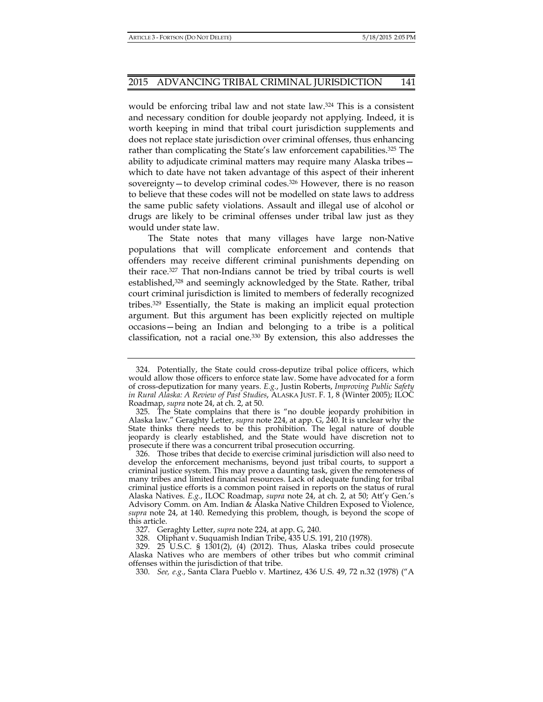would be enforcing tribal law and not state law.324 This is a consistent and necessary condition for double jeopardy not applying. Indeed, it is worth keeping in mind that tribal court jurisdiction supplements and does not replace state jurisdiction over criminal offenses, thus enhancing rather than complicating the State's law enforcement capabilities.325 The ability to adjudicate criminal matters may require many Alaska tribes which to date have not taken advantage of this aspect of their inherent sovereignty—to develop criminal codes.326 However, there is no reason to believe that these codes will not be modelled on state laws to address the same public safety violations. Assault and illegal use of alcohol or drugs are likely to be criminal offenses under tribal law just as they would under state law.

The State notes that many villages have large non-Native populations that will complicate enforcement and contends that offenders may receive different criminal punishments depending on their race.327 That non-Indians cannot be tried by tribal courts is well established,<sup>328</sup> and seemingly acknowledged by the State. Rather, tribal court criminal jurisdiction is limited to members of federally recognized tribes.329 Essentially, the State is making an implicit equal protection argument. But this argument has been explicitly rejected on multiple occasions—being an Indian and belonging to a tribe is a political classification, not a racial one.330 By extension, this also addresses the

 <sup>324.</sup> Potentially, the State could cross-deputize tribal police officers, which would allow those officers to enforce state law. Some have advocated for a form of cross-deputization for many years. *E.g.*, Justin Roberts, *Improving Public Safety in Rural Alaska: A Review of Past Studies*, ALASKA JUST. F. 1, 8 (Winter 2005); ILOC Roadmap, *supra* note 24, at ch. 2, at 50.

 <sup>325.</sup> The State complains that there is "no double jeopardy prohibition in Alaska law." Geraghty Letter, *supra* note 224, at app. G, 240. It is unclear why the State thinks there needs to be this prohibition. The legal nature of double jeopardy is clearly established, and the State would have discretion not to prosecute if there was a concurrent tribal prosecution occurring.

 <sup>326.</sup> Those tribes that decide to exercise criminal jurisdiction will also need to develop the enforcement mechanisms, beyond just tribal courts, to support a criminal justice system. This may prove a daunting task, given the remoteness of many tribes and limited financial resources. Lack of adequate funding for tribal criminal justice efforts is a common point raised in reports on the status of rural Alaska Natives. *E.g.*, ILOC Roadmap, *supra* note 24, at ch. 2, at 50; Att'y Gen.'s Advisory Comm. on Am. Indian & Alaska Native Children Exposed to Violence, *supra* note 24, at 140. Remedying this problem, though, is beyond the scope of this article.

 <sup>327.</sup> Geraghty Letter, *supra* note 224, at app. G, 240.

 <sup>328.</sup> Oliphant v. Suquamish Indian Tribe, 435 U.S. 191, 210 (1978).

 <sup>329. 25</sup> U.S.C. § 1301(2), (4) (2012). Thus, Alaska tribes could prosecute Alaska Natives who are members of other tribes but who commit criminal offenses within the jurisdiction of that tribe.

 <sup>330.</sup> *See, e.g.*, Santa Clara Pueblo v. Martinez, 436 U.S. 49, 72 n.32 (1978) ("A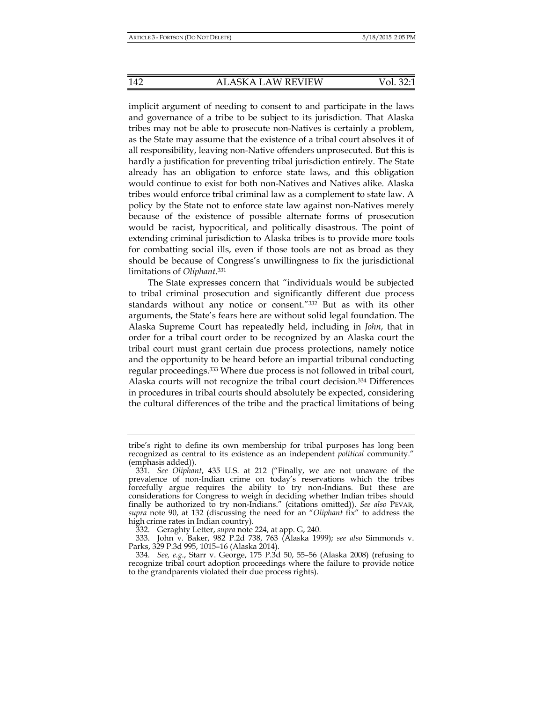implicit argument of needing to consent to and participate in the laws and governance of a tribe to be subject to its jurisdiction. That Alaska tribes may not be able to prosecute non-Natives is certainly a problem, as the State may assume that the existence of a tribal court absolves it of all responsibility, leaving non-Native offenders unprosecuted. But this is hardly a justification for preventing tribal jurisdiction entirely. The State already has an obligation to enforce state laws, and this obligation would continue to exist for both non-Natives and Natives alike. Alaska tribes would enforce tribal criminal law as a complement to state law. A policy by the State not to enforce state law against non-Natives merely because of the existence of possible alternate forms of prosecution would be racist, hypocritical, and politically disastrous. The point of extending criminal jurisdiction to Alaska tribes is to provide more tools for combatting social ills, even if those tools are not as broad as they should be because of Congress's unwillingness to fix the jurisdictional limitations of *Oliphant*. 331

The State expresses concern that "individuals would be subjected to tribal criminal prosecution and significantly different due process standards without any notice or consent."332 But as with its other arguments, the State's fears here are without solid legal foundation. The Alaska Supreme Court has repeatedly held, including in *John*, that in order for a tribal court order to be recognized by an Alaska court the tribal court must grant certain due process protections, namely notice and the opportunity to be heard before an impartial tribunal conducting regular proceedings.333 Where due process is not followed in tribal court, Alaska courts will not recognize the tribal court decision.334 Differences in procedures in tribal courts should absolutely be expected, considering the cultural differences of the tribe and the practical limitations of being

tribe's right to define its own membership for tribal purposes has long been recognized as central to its existence as an independent *political* community." (emphasis added)).

 <sup>331.</sup> *See Oliphant*, 435 U.S. at 212 ("Finally, we are not unaware of the prevalence of non-Indian crime on today's reservations which the tribes forcefully argue requires the ability to try non-Indians. But these are considerations for Congress to weigh in deciding whether Indian tribes should finally be authorized to try non-Indians." (citations omitted)). *See also* PEVAR, *supra* note 90, at 132 (discussing the need for an "*Oliphant* fix" to address the high crime rates in Indian country).

 <sup>332.</sup> Geraghty Letter, *supra* note 224, at app. G, 240.

 <sup>333.</sup> John v. Baker, 982 P.2d 738, 763 (Alaska 1999); *see also* Simmonds v. Parks, 329 P.3d 995, 1015–16 (Alaska 2014).

 <sup>334.</sup> *See, e.g.*, Starr v. George, 175 P.3d 50, 55–56 (Alaska 2008) (refusing to recognize tribal court adoption proceedings where the failure to provide notice to the grandparents violated their due process rights).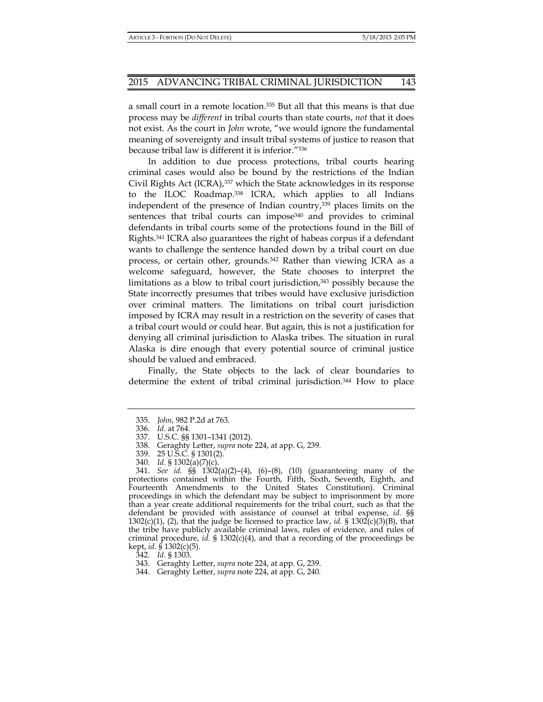a small court in a remote location.335 But all that this means is that due process may be *different* in tribal courts than state courts, *not* that it does not exist. As the court in *John* wrote, "we would ignore the fundamental meaning of sovereignty and insult tribal systems of justice to reason that because tribal law is different it is inferior."336

In addition to due process protections, tribal courts hearing criminal cases would also be bound by the restrictions of the Indian Civil Rights Act (ICRA),337 which the State acknowledges in its response to the ILOC Roadmap.338 ICRA, which applies to all Indians independent of the presence of Indian country,<sup>339</sup> places limits on the sentences that tribal courts can impose<sup>340</sup> and provides to criminal defendants in tribal courts some of the protections found in the Bill of Rights.341 ICRA also guarantees the right of habeas corpus if a defendant wants to challenge the sentence handed down by a tribal court on due process, or certain other, grounds.342 Rather than viewing ICRA as a welcome safeguard, however, the State chooses to interpret the limitations as a blow to tribal court jurisdiction, $343$  possibly because the State incorrectly presumes that tribes would have exclusive jurisdiction over criminal matters. The limitations on tribal court jurisdiction imposed by ICRA may result in a restriction on the severity of cases that a tribal court would or could hear. But again, this is not a justification for denying all criminal jurisdiction to Alaska tribes. The situation in rural Alaska is dire enough that every potential source of criminal justice should be valued and embraced.

Finally, the State objects to the lack of clear boundaries to determine the extent of tribal criminal jurisdiction.344 How to place

340. *Id.* § 1302(a)(7)(c).

 <sup>335.</sup> *John*, 982 P.2d at 763.

 <sup>336.</sup> *Id.* at 764.

 <sup>337.</sup> U.S.C. §§ 1301–1341 (2012).

 <sup>338.</sup> Geraghty Letter, *supra* note 224, at app. G, 239.

 <sup>339. 25</sup> U.S.C. § 1301(2).

 <sup>341.</sup> *See id.* §§ 1302(a)(2)–(4), (6)–(8), (10) (guaranteeing many of the protections contained within the Fourth, Fifth, Sixth, Seventh, Eighth, and Fourteenth Amendments to the United States Constitution). Criminal proceedings in which the defendant may be subject to imprisonment by more than a year create additional requirements for the tribal court, such as that the defendant be provided with assistance of counsel at tribal expense, *id.* §§ 1302(c)(1), (2), that the judge be licensed to practice law, *id.* § 1302(c)(3)(B), that the tribe have publicly available criminal laws, rules of evidence, and rules of criminal procedure, *id.*  $\S$  1302(c)(4), and that a recording of the proceedings be kept, *id.* § 1302(c)(5).

 <sup>342.</sup> *Id.* § 1303.

 <sup>343.</sup> Geraghty Letter, *supra* note 224, at app. G, 239.

 <sup>344.</sup> Geraghty Letter, *supra* note 224, at app. G, 240*.*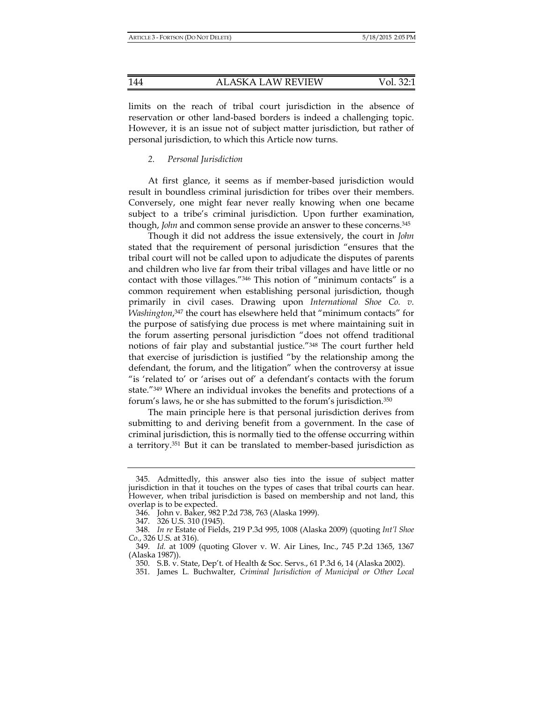limits on the reach of tribal court jurisdiction in the absence of reservation or other land-based borders is indeed a challenging topic. However, it is an issue not of subject matter jurisdiction, but rather of personal jurisdiction, to which this Article now turns.

#### *2. Personal Jurisdiction*

At first glance, it seems as if member-based jurisdiction would result in boundless criminal jurisdiction for tribes over their members. Conversely, one might fear never really knowing when one became subject to a tribe's criminal jurisdiction. Upon further examination, though, *John* and common sense provide an answer to these concerns.345

Though it did not address the issue extensively, the court in *John*  stated that the requirement of personal jurisdiction "ensures that the tribal court will not be called upon to adjudicate the disputes of parents and children who live far from their tribal villages and have little or no contact with those villages."346 This notion of "minimum contacts" is a common requirement when establishing personal jurisdiction, though primarily in civil cases. Drawing upon *International Shoe Co. v. Washington*, 347 the court has elsewhere held that "minimum contacts" for the purpose of satisfying due process is met where maintaining suit in the forum asserting personal jurisdiction "does not offend traditional notions of fair play and substantial justice."348 The court further held that exercise of jurisdiction is justified "by the relationship among the defendant, the forum, and the litigation" when the controversy at issue "is 'related to' or 'arises out of' a defendant's contacts with the forum state."349 Where an individual invokes the benefits and protections of a forum's laws, he or she has submitted to the forum's jurisdiction.350

The main principle here is that personal jurisdiction derives from submitting to and deriving benefit from a government. In the case of criminal jurisdiction, this is normally tied to the offense occurring within a territory.351 But it can be translated to member-based jurisdiction as

 <sup>345.</sup> Admittedly, this answer also ties into the issue of subject matter jurisdiction in that it touches on the types of cases that tribal courts can hear. However, when tribal jurisdiction is based on membership and not land, this overlap is to be expected.

 <sup>346.</sup> John v. Baker, 982 P.2d 738, 763 (Alaska 1999).

 <sup>347. 326</sup> U.S. 310 (1945).

 <sup>348.</sup> *In re* Estate of Fields, 219 P.3d 995, 1008 (Alaska 2009) (quoting *Int'l Shoe Co*., 326 U.S. at 316).

 <sup>349.</sup> *Id.* at 1009 (quoting Glover v. W. Air Lines, Inc., 745 P.2d 1365, 1367 (Alaska 1987)).

 <sup>350.</sup> S.B. v. State, Dep't. of Health & Soc. Servs., 61 P.3d 6, 14 (Alaska 2002).

 <sup>351.</sup> James L. Buchwalter, *Criminal Jurisdiction of Municipal or Other Local*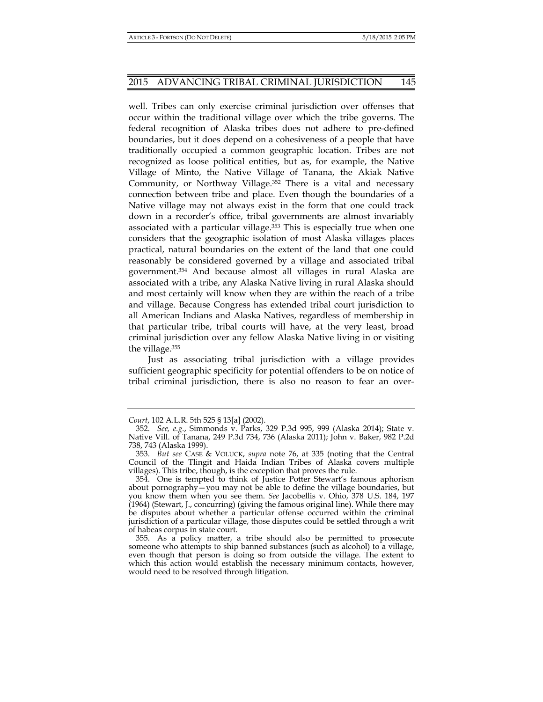well. Tribes can only exercise criminal jurisdiction over offenses that occur within the traditional village over which the tribe governs. The federal recognition of Alaska tribes does not adhere to pre-defined boundaries, but it does depend on a cohesiveness of a people that have traditionally occupied a common geographic location. Tribes are not recognized as loose political entities, but as, for example, the Native Village of Minto, the Native Village of Tanana, the Akiak Native Community, or Northway Village.352 There is a vital and necessary connection between tribe and place. Even though the boundaries of a Native village may not always exist in the form that one could track down in a recorder's office, tribal governments are almost invariably associated with a particular village.353 This is especially true when one considers that the geographic isolation of most Alaska villages places practical, natural boundaries on the extent of the land that one could reasonably be considered governed by a village and associated tribal government.354 And because almost all villages in rural Alaska are associated with a tribe, any Alaska Native living in rural Alaska should and most certainly will know when they are within the reach of a tribe and village. Because Congress has extended tribal court jurisdiction to all American Indians and Alaska Natives, regardless of membership in that particular tribe, tribal courts will have, at the very least, broad criminal jurisdiction over any fellow Alaska Native living in or visiting the village.355

Just as associating tribal jurisdiction with a village provides sufficient geographic specificity for potential offenders to be on notice of tribal criminal jurisdiction, there is also no reason to fear an over-

*Court*, 102 A.L.R. 5th 525 § 13[a] (2002).

 <sup>352.</sup> *See, e.g.*, Simmonds v. Parks, 329 P.3d 995, 999 (Alaska 2014); State v. Native Vill. of Tanana, 249 P.3d 734, 736 (Alaska 2011); John v. Baker, 982 P.2d 738, 743 (Alaska 1999).

 <sup>353.</sup> *But see* CASE & VOLUCK, *supra* note 76, at 335 (noting that the Central Council of the Tlingit and Haida Indian Tribes of Alaska covers multiple villages). This tribe, though, is the exception that proves the rule.

 <sup>354.</sup> One is tempted to think of Justice Potter Stewart's famous aphorism about pornography—you may not be able to define the village boundaries, but you know them when you see them. *See* Jacobellis v. Ohio, 378 U.S. 184, 197 (1964) (Stewart, J., concurring) (giving the famous original line). While there may be disputes about whether a particular offense occurred within the criminal jurisdiction of a particular village, those disputes could be settled through a writ of habeas corpus in state court.

 <sup>355.</sup> As a policy matter, a tribe should also be permitted to prosecute someone who attempts to ship banned substances (such as alcohol) to a village, even though that person is doing so from outside the village. The extent to which this action would establish the necessary minimum contacts, however, would need to be resolved through litigation.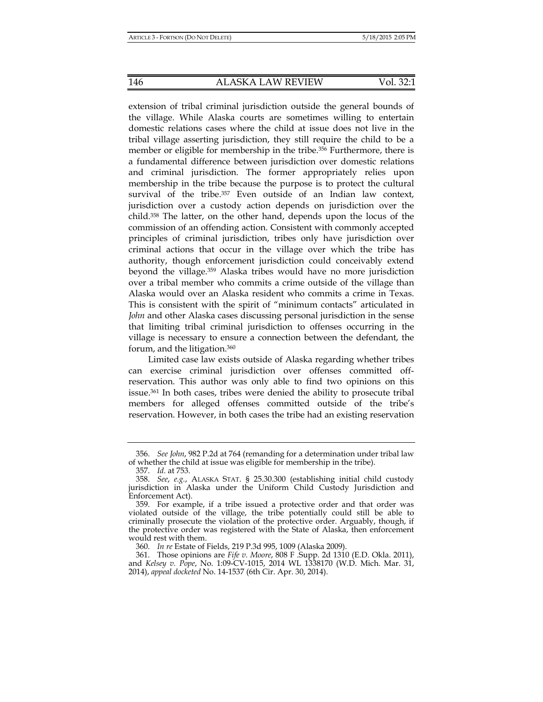extension of tribal criminal jurisdiction outside the general bounds of the village. While Alaska courts are sometimes willing to entertain domestic relations cases where the child at issue does not live in the tribal village asserting jurisdiction, they still require the child to be a member or eligible for membership in the tribe.356 Furthermore, there is a fundamental difference between jurisdiction over domestic relations and criminal jurisdiction. The former appropriately relies upon membership in the tribe because the purpose is to protect the cultural survival of the tribe.<sup>357</sup> Even outside of an Indian law context, jurisdiction over a custody action depends on jurisdiction over the child.358 The latter, on the other hand, depends upon the locus of the commission of an offending action. Consistent with commonly accepted principles of criminal jurisdiction, tribes only have jurisdiction over criminal actions that occur in the village over which the tribe has authority, though enforcement jurisdiction could conceivably extend beyond the village.359 Alaska tribes would have no more jurisdiction over a tribal member who commits a crime outside of the village than Alaska would over an Alaska resident who commits a crime in Texas. This is consistent with the spirit of "minimum contacts" articulated in *John* and other Alaska cases discussing personal jurisdiction in the sense that limiting tribal criminal jurisdiction to offenses occurring in the village is necessary to ensure a connection between the defendant, the forum, and the litigation.360

Limited case law exists outside of Alaska regarding whether tribes can exercise criminal jurisdiction over offenses committed offreservation. This author was only able to find two opinions on this issue.361 In both cases, tribes were denied the ability to prosecute tribal members for alleged offenses committed outside of the tribe's reservation. However, in both cases the tribe had an existing reservation

 <sup>356.</sup> *See John*, 982 P.2d at 764 (remanding for a determination under tribal law of whether the child at issue was eligible for membership in the tribe).

 <sup>357.</sup> *Id.* at 753.

 <sup>358.</sup> *See*, *e.g.*, ALASKA STAT. § 25.30.300 (establishing initial child custody jurisdiction in Alaska under the Uniform Child Custody Jurisdiction and Enforcement Act).

 <sup>359.</sup> For example, if a tribe issued a protective order and that order was violated outside of the village, the tribe potentially could still be able to criminally prosecute the violation of the protective order. Arguably, though, if the protective order was registered with the State of Alaska, then enforcement would rest with them.

 <sup>360.</sup> *In re* Estate of Fields, 219 P.3d 995, 1009 (Alaska 2009).

 <sup>361.</sup> Those opinions are *Fife v. Moore*, 808 F .Supp. 2d 1310 (E.D. Okla. 2011), and *Kelsey v. Pope*, No. 1:09-CV-1015, 2014 WL 1338170 (W.D. Mich. Mar. 31, 2014), *appeal docketed* No. 14-1537 (6th Cir. Apr. 30, 2014).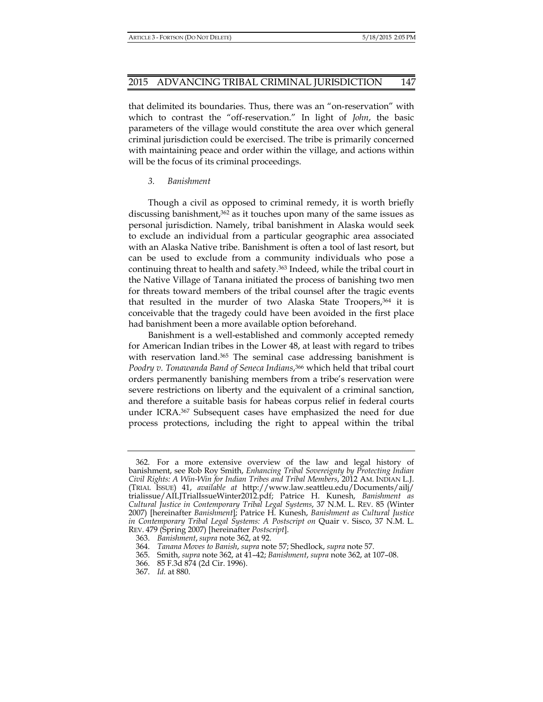that delimited its boundaries. Thus, there was an "on-reservation" with which to contrast the "off-reservation." In light of *John*, the basic parameters of the village would constitute the area over which general criminal jurisdiction could be exercised. The tribe is primarily concerned with maintaining peace and order within the village, and actions within will be the focus of its criminal proceedings.

#### *3. Banishment*

Though a civil as opposed to criminal remedy, it is worth briefly discussing banishment,<sup>362</sup> as it touches upon many of the same issues as personal jurisdiction. Namely, tribal banishment in Alaska would seek to exclude an individual from a particular geographic area associated with an Alaska Native tribe. Banishment is often a tool of last resort, but can be used to exclude from a community individuals who pose a continuing threat to health and safety.363 Indeed, while the tribal court in the Native Village of Tanana initiated the process of banishing two men for threats toward members of the tribal counsel after the tragic events that resulted in the murder of two Alaska State Troopers,<sup>364</sup> it is conceivable that the tragedy could have been avoided in the first place had banishment been a more available option beforehand.

Banishment is a well-established and commonly accepted remedy for American Indian tribes in the Lower 48, at least with regard to tribes with reservation land.<sup>365</sup> The seminal case addressing banishment is *Poodry v. Tonawanda Band of Seneca Indians*, 366 which held that tribal court orders permanently banishing members from a tribe's reservation were severe restrictions on liberty and the equivalent of a criminal sanction, and therefore a suitable basis for habeas corpus relief in federal courts under ICRA.367 Subsequent cases have emphasized the need for due process protections, including the right to appeal within the tribal

 <sup>362.</sup> For a more extensive overview of the law and legal history of banishment, see Rob Roy Smith, *Enhancing Tribal Sovereignty by Protecting Indian Civil Rights: A Win-Win for Indian Tribes and Tribal Members*, 2012 AM. INDIAN L.J. (TRIAL ISSUE) 41, *available at* http://www.law.seattleu.edu/Documents/ailj/ trialissue/AILJTrialIssueWinter2012.pdf; Patrice H. Kunesh, *Banishment as Cultural Justice in Contemporary Tribal Legal Systems*, 37 N.M. L. REV. 85 (Winter 2007) [hereinafter *Banishment*]; Patrice H. Kunesh, *Banishment as Cultural Justice in Contemporary Tribal Legal Systems: A Postscript on* Quair v. Sisco, 37 N.M. L. REV. 479 (Spring 2007) [hereinafter *Postscript*].

 <sup>363.</sup> *Banishment*, *supra* note 362, at 92.

 <sup>364.</sup> *Tanana Moves to Banish*, *supra* note 57; Shedlock, *supra* note 57.

 <sup>365.</sup> Smith, *supra* note 362, at 41–42; *Banishment*, *supra* note 362, at 107–08.

 <sup>366. 85</sup> F.3d 874 (2d Cir. 1996).

 <sup>367.</sup> *Id.* at 880.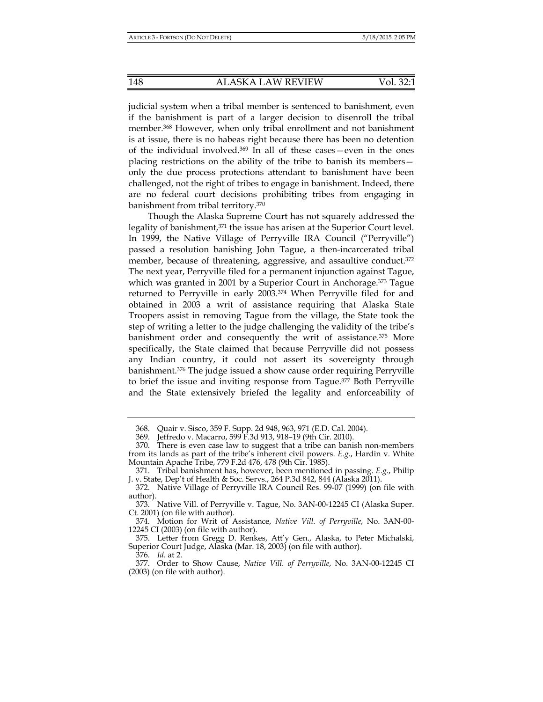judicial system when a tribal member is sentenced to banishment, even if the banishment is part of a larger decision to disenroll the tribal member.368 However, when only tribal enrollment and not banishment is at issue, there is no habeas right because there has been no detention of the individual involved.369 In all of these cases—even in the ones placing restrictions on the ability of the tribe to banish its members only the due process protections attendant to banishment have been challenged, not the right of tribes to engage in banishment. Indeed, there are no federal court decisions prohibiting tribes from engaging in banishment from tribal territory.370

Though the Alaska Supreme Court has not squarely addressed the legality of banishment,<sup>371</sup> the issue has arisen at the Superior Court level. In 1999, the Native Village of Perryville IRA Council ("Perryville") passed a resolution banishing John Tague, a then-incarcerated tribal member, because of threatening, aggressive, and assaultive conduct.<sup>372</sup> The next year, Perryville filed for a permanent injunction against Tague, which was granted in 2001 by a Superior Court in Anchorage.<sup>373</sup> Tague returned to Perryville in early 2003.374 When Perryville filed for and obtained in 2003 a writ of assistance requiring that Alaska State Troopers assist in removing Tague from the village, the State took the step of writing a letter to the judge challenging the validity of the tribe's banishment order and consequently the writ of assistance.<sup>375</sup> More specifically, the State claimed that because Perryville did not possess any Indian country, it could not assert its sovereignty through banishment.376 The judge issued a show cause order requiring Perryville to brief the issue and inviting response from Tague.377 Both Perryville and the State extensively briefed the legality and enforceability of

 <sup>368.</sup> Quair v. Sisco, 359 F. Supp. 2d 948, 963, 971 (E.D. Cal. 2004).

 <sup>369.</sup> Jeffredo v. Macarro, 599 F.3d 913, 918–19 (9th Cir. 2010).

 <sup>370.</sup> There is even case law to suggest that a tribe can banish non-members from its lands as part of the tribe's inherent civil powers. *E.g.*, Hardin v. White Mountain Apache Tribe, 779 F.2d 476, 478 (9th Cir. 1985).

 <sup>371.</sup> Tribal banishment has, however, been mentioned in passing. *E.g.*, Philip J. v. State, Dep't of Health & Soc. Servs., 264 P.3d 842, 844 (Alaska 2011).

 <sup>372.</sup> Native Village of Perryville IRA Council Res. 99-07 (1999) (on file with author).

 <sup>373.</sup> Native Vill. of Perryville v. Tague, No. 3AN-00-12245 CI (Alaska Super. Ct. 2001) (on file with author).

 <sup>374.</sup> Motion for Writ of Assistance, *Native Vill. of Perryville*, No. 3AN-00- 12245 CI (2003) (on file with author).

 <sup>375.</sup> Letter from Gregg D. Renkes, Att'y Gen., Alaska, to Peter Michalski, Superior Court Judge, Alaska (Mar. 18, 2003) (on file with author).

 <sup>376.</sup> *Id.* at 2.

 <sup>377.</sup> Order to Show Cause, *Native Vill. of Perryville*, No. 3AN-00-12245 CI (2003) (on file with author).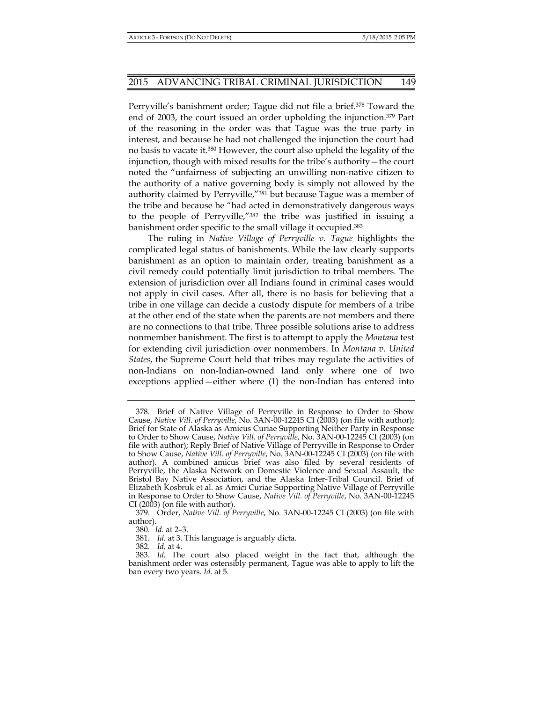Perryville's banishment order; Tague did not file a brief.<sup>378</sup> Toward the end of 2003, the court issued an order upholding the injunction.379 Part of the reasoning in the order was that Tague was the true party in interest, and because he had not challenged the injunction the court had no basis to vacate it.380 However, the court also upheld the legality of the injunction, though with mixed results for the tribe's authority—the court noted the "unfairness of subjecting an unwilling non-native citizen to the authority of a native governing body is simply not allowed by the authority claimed by Perryville,"381 but because Tague was a member of the tribe and because he "had acted in demonstratively dangerous ways to the people of Perryville,"382 the tribe was justified in issuing a banishment order specific to the small village it occupied.383

The ruling in *Native Village of Perryville v. Tague* highlights the complicated legal status of banishments. While the law clearly supports banishment as an option to maintain order, treating banishment as a civil remedy could potentially limit jurisdiction to tribal members. The extension of jurisdiction over all Indians found in criminal cases would not apply in civil cases. After all, there is no basis for believing that a tribe in one village can decide a custody dispute for members of a tribe at the other end of the state when the parents are not members and there are no connections to that tribe. Three possible solutions arise to address nonmember banishment. The first is to attempt to apply the *Montana* test for extending civil jurisdiction over nonmembers. In *Montana v. United States*, the Supreme Court held that tribes may regulate the activities of non-Indians on non-Indian-owned land only where one of two exceptions applied—either where (1) the non-Indian has entered into

380. *Id.* at 2–3.

382. *Id,* at 4.

 <sup>378.</sup> Brief of Native Village of Perryville in Response to Order to Show Cause, *Native Vill. of Perryville*, No. 3AN-00-12245 CI (2003) (on file with author); Brief for State of Alaska as Amicus Curiae Supporting Neither Party in Response to Order to Show Cause, *Native Vill. of Perryville*, No. 3AN-00-12245 CI (2003) (on file with author); Reply Brief of Native Village of Perryville in Response to Order to Show Cause, *Native Vill. of Perryville*, No. 3AN-00-12245 CI (2003) (on file with author). A combined amicus brief was also filed by several residents of Perryville, the Alaska Network on Domestic Violence and Sexual Assault, the Bristol Bay Native Association, and the Alaska Inter-Tribal Council. Brief of Elizabeth Kosbruk et al. as Amici Curiae Supporting Native Village of Perryville in Response to Order to Show Cause, *Native Vill. of Perryville*, No. 3AN-00-12245 CI (2003) (on file with author).

 <sup>379.</sup> Order, *Native Vill. of Perryville*, No. 3AN-00-12245 CI (2003) (on file with author).

 <sup>381.</sup> *Id.* at 3. This language is arguably dicta.

 <sup>383.</sup> *Id.* The court also placed weight in the fact that, although the banishment order was ostensibly permanent, Tague was able to apply to lift the ban every two years. *Id*. at 5.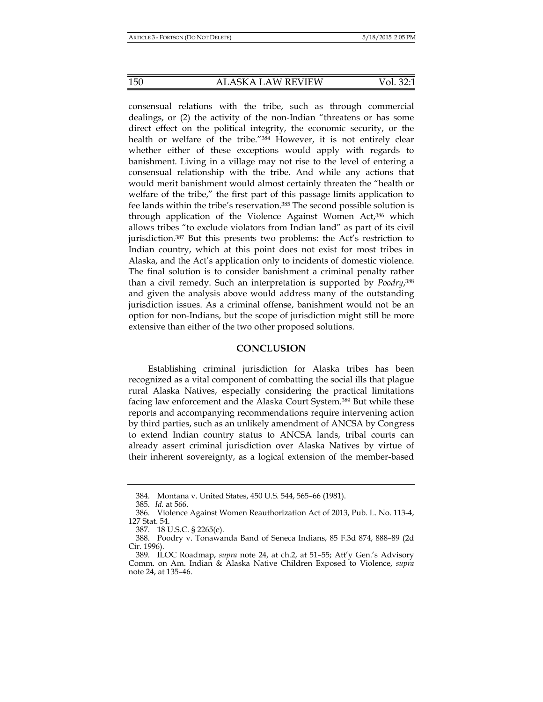consensual relations with the tribe, such as through commercial dealings, or (2) the activity of the non-Indian "threatens or has some direct effect on the political integrity, the economic security, or the health or welfare of the tribe."384 However, it is not entirely clear whether either of these exceptions would apply with regards to banishment. Living in a village may not rise to the level of entering a consensual relationship with the tribe. And while any actions that would merit banishment would almost certainly threaten the "health or welfare of the tribe," the first part of this passage limits application to fee lands within the tribe's reservation.385 The second possible solution is through application of the Violence Against Women Act,<sup>386</sup> which allows tribes "to exclude violators from Indian land" as part of its civil jurisdiction.387 But this presents two problems: the Act's restriction to Indian country, which at this point does not exist for most tribes in Alaska, and the Act's application only to incidents of domestic violence. The final solution is to consider banishment a criminal penalty rather than a civil remedy. Such an interpretation is supported by *Poodry*,388 and given the analysis above would address many of the outstanding jurisdiction issues. As a criminal offense, banishment would not be an option for non-Indians, but the scope of jurisdiction might still be more extensive than either of the two other proposed solutions.

#### **CONCLUSION**

Establishing criminal jurisdiction for Alaska tribes has been recognized as a vital component of combatting the social ills that plague rural Alaska Natives, especially considering the practical limitations facing law enforcement and the Alaska Court System.389 But while these reports and accompanying recommendations require intervening action by third parties, such as an unlikely amendment of ANCSA by Congress to extend Indian country status to ANCSA lands, tribal courts can already assert criminal jurisdiction over Alaska Natives by virtue of their inherent sovereignty, as a logical extension of the member-based

 <sup>384.</sup> Montana v. United States, 450 U.S. 544, 565–66 (1981).

 <sup>385.</sup> *Id.* at 566.

 <sup>386.</sup> Violence Against Women Reauthorization Act of 2013, Pub. L. No. 113-4, 127 Stat. 54.

 <sup>387. 18</sup> U.S.C. § 2265(e).

 <sup>388.</sup> Poodry v. Tonawanda Band of Seneca Indians, 85 F.3d 874, 888–89 (2d Cir. 1996).

 <sup>389.</sup> ILOC Roadmap, *supra* note 24, at ch.2, at 51–55; Att'y Gen.'s Advisory Comm. on Am. Indian & Alaska Native Children Exposed to Violence, *supra* note 24, at 135–46.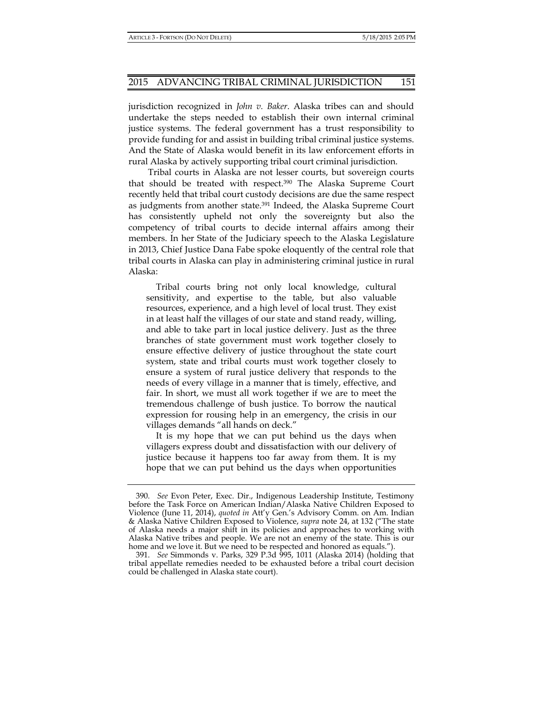jurisdiction recognized in *John v. Baker*. Alaska tribes can and should undertake the steps needed to establish their own internal criminal justice systems. The federal government has a trust responsibility to provide funding for and assist in building tribal criminal justice systems. And the State of Alaska would benefit in its law enforcement efforts in rural Alaska by actively supporting tribal court criminal jurisdiction.

Tribal courts in Alaska are not lesser courts, but sovereign courts that should be treated with respect.390 The Alaska Supreme Court recently held that tribal court custody decisions are due the same respect as judgments from another state.<sup>391</sup> Indeed, the Alaska Supreme Court has consistently upheld not only the sovereignty but also the competency of tribal courts to decide internal affairs among their members. In her State of the Judiciary speech to the Alaska Legislature in 2013, Chief Justice Dana Fabe spoke eloquently of the central role that tribal courts in Alaska can play in administering criminal justice in rural Alaska:

 Tribal courts bring not only local knowledge, cultural sensitivity, and expertise to the table, but also valuable resources, experience, and a high level of local trust. They exist in at least half the villages of our state and stand ready, willing, and able to take part in local justice delivery. Just as the three branches of state government must work together closely to ensure effective delivery of justice throughout the state court system, state and tribal courts must work together closely to ensure a system of rural justice delivery that responds to the needs of every village in a manner that is timely, effective, and fair. In short, we must all work together if we are to meet the tremendous challenge of bush justice. To borrow the nautical expression for rousing help in an emergency, the crisis in our villages demands "all hands on deck."

 It is my hope that we can put behind us the days when villagers express doubt and dissatisfaction with our delivery of justice because it happens too far away from them. It is my hope that we can put behind us the days when opportunities

 <sup>390.</sup> *See* Evon Peter, Exec. Dir., Indigenous Leadership Institute, Testimony before the Task Force on American Indian/Alaska Native Children Exposed to Violence (June 11, 2014), *quoted in* Att'y Gen.'s Advisory Comm. on Am. Indian & Alaska Native Children Exposed to Violence, *supra* note 24, at 132 ("The state of Alaska needs a major shift in its policies and approaches to working with Alaska Native tribes and people. We are not an enemy of the state. This is our home and we love it. But we need to be respected and honored as equals.").

 <sup>391.</sup> *See* Simmonds v. Parks, 329 P.3d 995, 1011 (Alaska 2014) (holding that tribal appellate remedies needed to be exhausted before a tribal court decision could be challenged in Alaska state court).